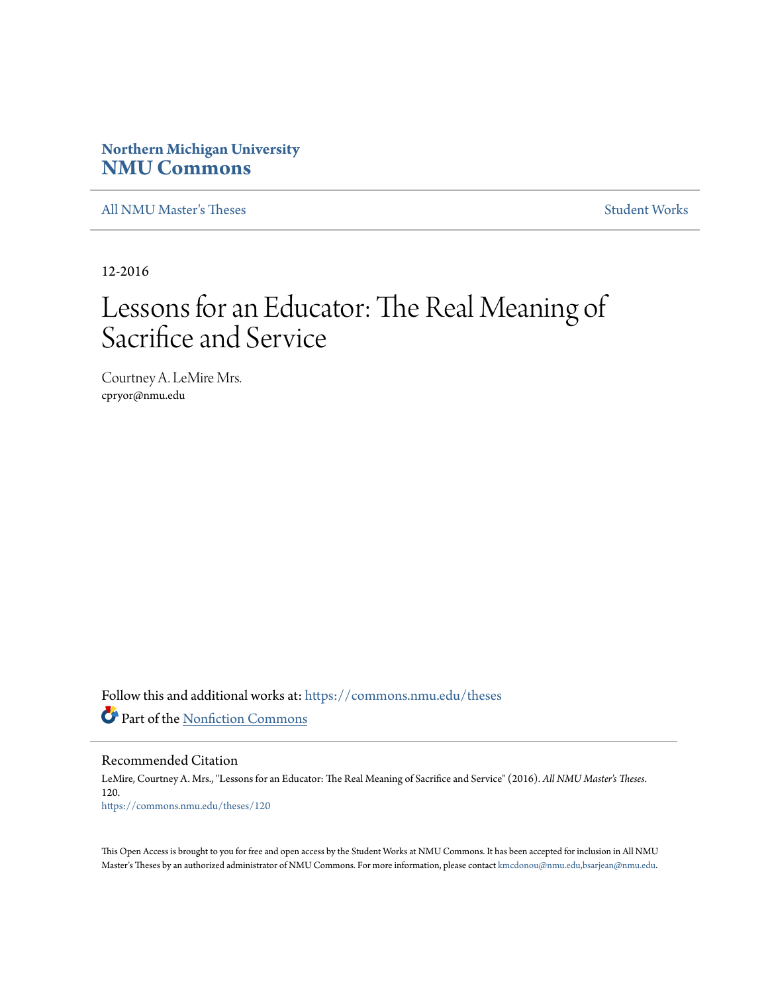# **Northern Michigan University [NMU Commons](https://commons.nmu.edu?utm_source=commons.nmu.edu%2Ftheses%2F120&utm_medium=PDF&utm_campaign=PDFCoverPages)**

[All NMU Master's Theses](https://commons.nmu.edu/theses?utm_source=commons.nmu.edu%2Ftheses%2F120&utm_medium=PDF&utm_campaign=PDFCoverPages) [Student Works](https://commons.nmu.edu/student_works?utm_source=commons.nmu.edu%2Ftheses%2F120&utm_medium=PDF&utm_campaign=PDFCoverPages)

12-2016

# Lessons for an Educator: The Real Meaning of Sacrifice and Service

Courtney A. LeMire Mrs. cpryor@nmu.edu

Follow this and additional works at: [https://commons.nmu.edu/theses](https://commons.nmu.edu/theses?utm_source=commons.nmu.edu%2Ftheses%2F120&utm_medium=PDF&utm_campaign=PDFCoverPages) Part of the [Nonfiction Commons](http://network.bepress.com/hgg/discipline/1152?utm_source=commons.nmu.edu%2Ftheses%2F120&utm_medium=PDF&utm_campaign=PDFCoverPages)

Recommended Citation

LeMire, Courtney A. Mrs., "Lessons for an Educator: The Real Meaning of Sacrifice and Service" (2016). *All NMU Master's Theses*. 120. [https://commons.nmu.edu/theses/120](https://commons.nmu.edu/theses/120?utm_source=commons.nmu.edu%2Ftheses%2F120&utm_medium=PDF&utm_campaign=PDFCoverPages)

This Open Access is brought to you for free and open access by the Student Works at NMU Commons. It has been accepted for inclusion in All NMU Master's Theses by an authorized administrator of NMU Commons. For more information, please contact [kmcdonou@nmu.edu,bsarjean@nmu.edu.](mailto:kmcdonou@nmu.edu,bsarjean@nmu.edu)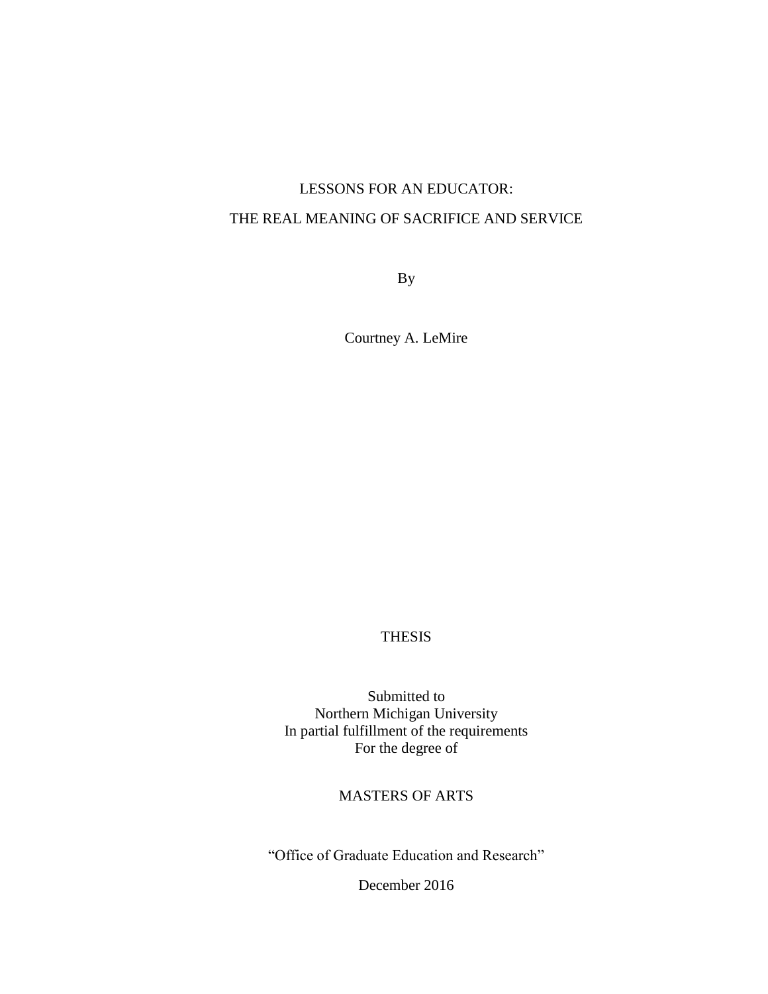# LESSONS FOR AN EDUCATOR: THE REAL MEANING OF SACRIFICE AND SERVICE

By

Courtney A. LeMire

# THESIS

Submitted to Northern Michigan University In partial fulfillment of the requirements For the degree of

# MASTERS OF ARTS

"Office of Graduate Education and Research"

December 2016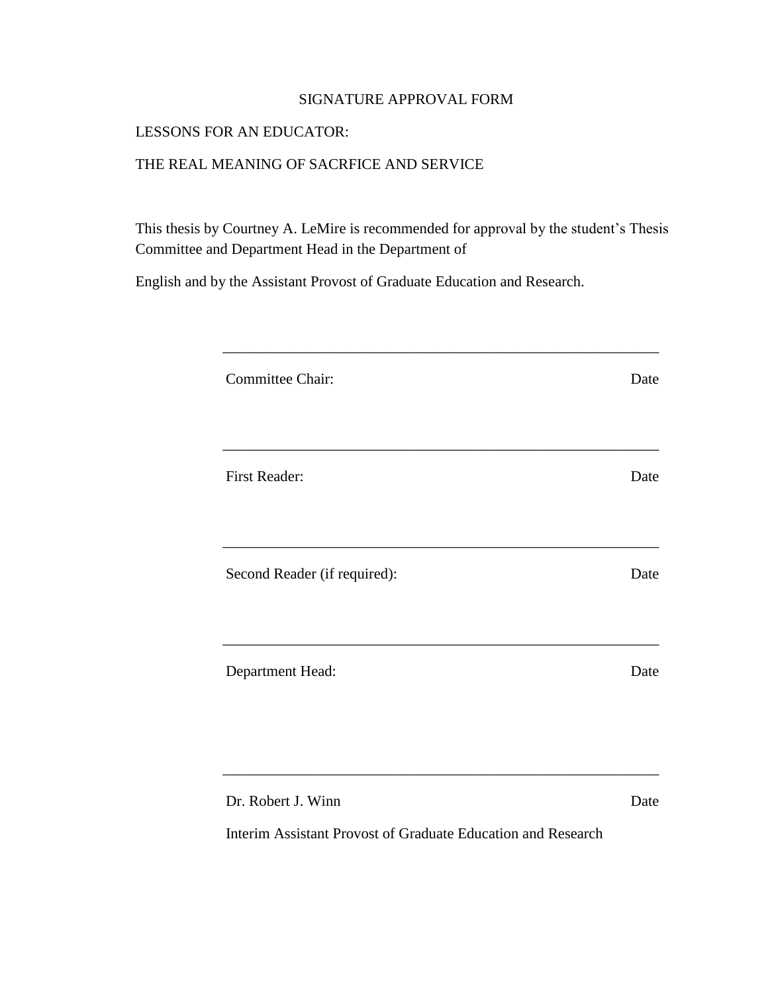# SIGNATURE APPROVAL FORM

# LESSONS FOR AN EDUCATOR:

#### THE REAL MEANING OF SACRFICE AND SERVICE

This thesis by Courtney A. LeMire is recommended for approval by the student's Thesis Committee and Department Head in the Department of

English and by the Assistant Provost of Graduate Education and Research.

| Committee Chair:             | Date |
|------------------------------|------|
| First Reader:                | Date |
|                              |      |
| Second Reader (if required): | Date |
|                              |      |
| Department Head:             | Date |
|                              |      |
| Dr. Robert J. Winn           | Date |

\_\_\_\_\_\_\_\_\_\_\_\_\_\_\_\_\_\_\_\_\_\_\_\_\_\_\_\_\_\_\_\_\_\_\_\_\_\_\_\_\_\_\_\_\_\_\_\_\_\_\_\_\_\_\_\_\_\_

Interim Assistant Provost of Graduate Education and Research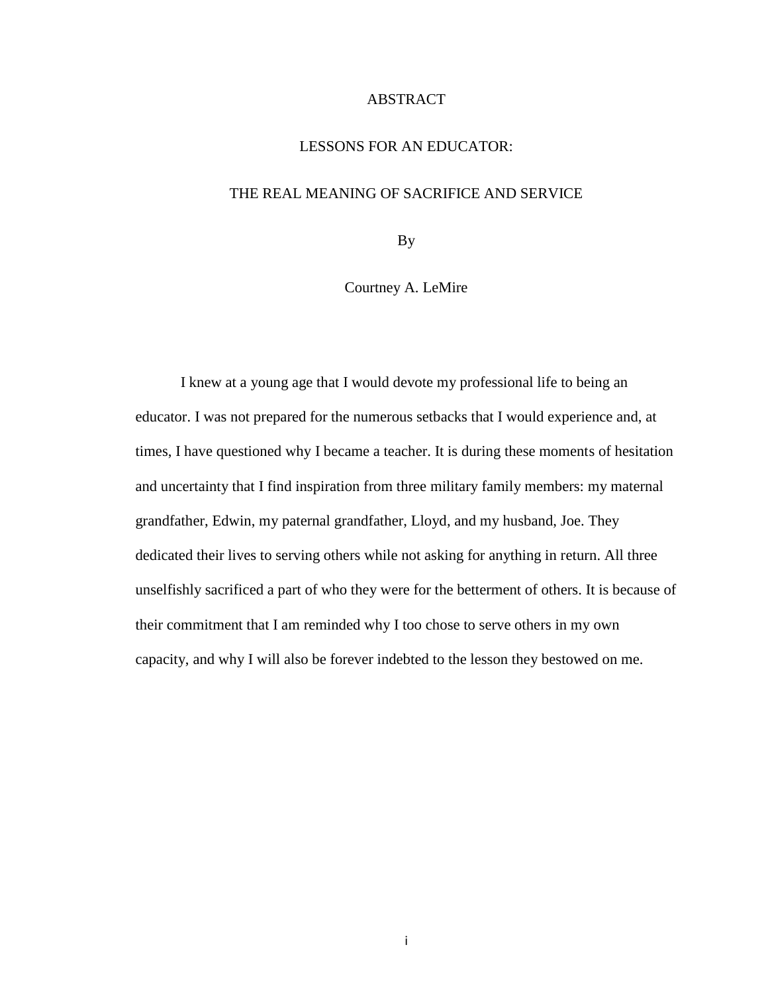#### ABSTRACT

#### LESSONS FOR AN EDUCATOR:

#### THE REAL MEANING OF SACRIFICE AND SERVICE

By

Courtney A. LeMire

I knew at a young age that I would devote my professional life to being an educator. I was not prepared for the numerous setbacks that I would experience and, at times, I have questioned why I became a teacher. It is during these moments of hesitation and uncertainty that I find inspiration from three military family members: my maternal grandfather, Edwin, my paternal grandfather, Lloyd, and my husband, Joe. They dedicated their lives to serving others while not asking for anything in return. All three unselfishly sacrificed a part of who they were for the betterment of others. It is because of their commitment that I am reminded why I too chose to serve others in my own capacity, and why I will also be forever indebted to the lesson they bestowed on me.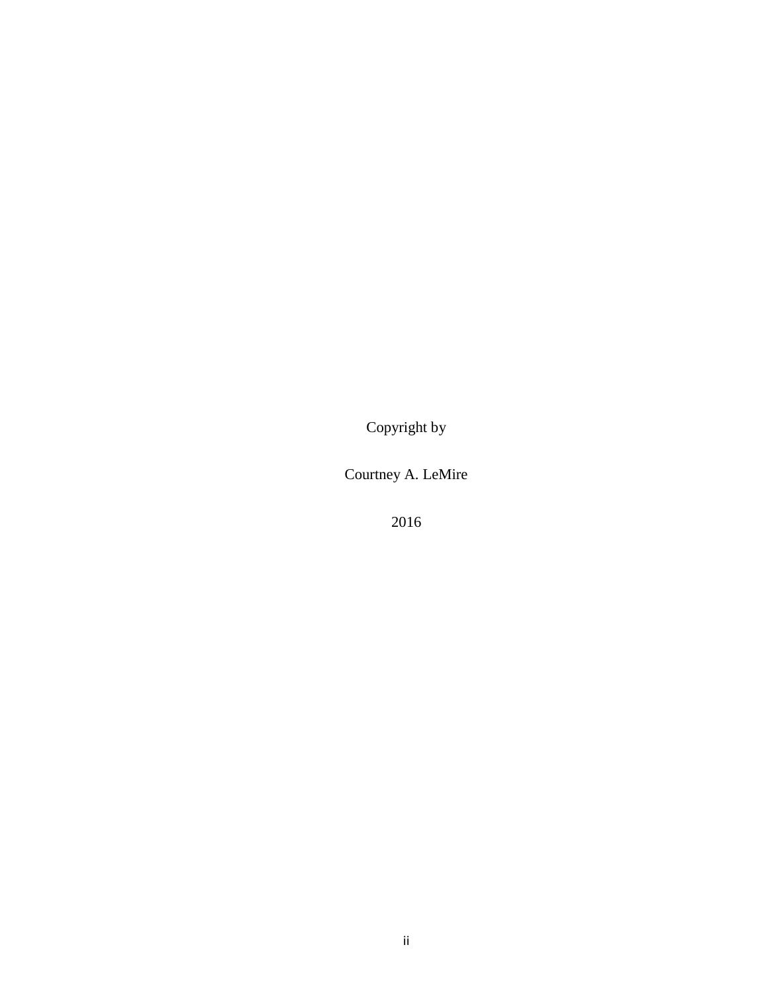Copyright by

Courtney A. LeMire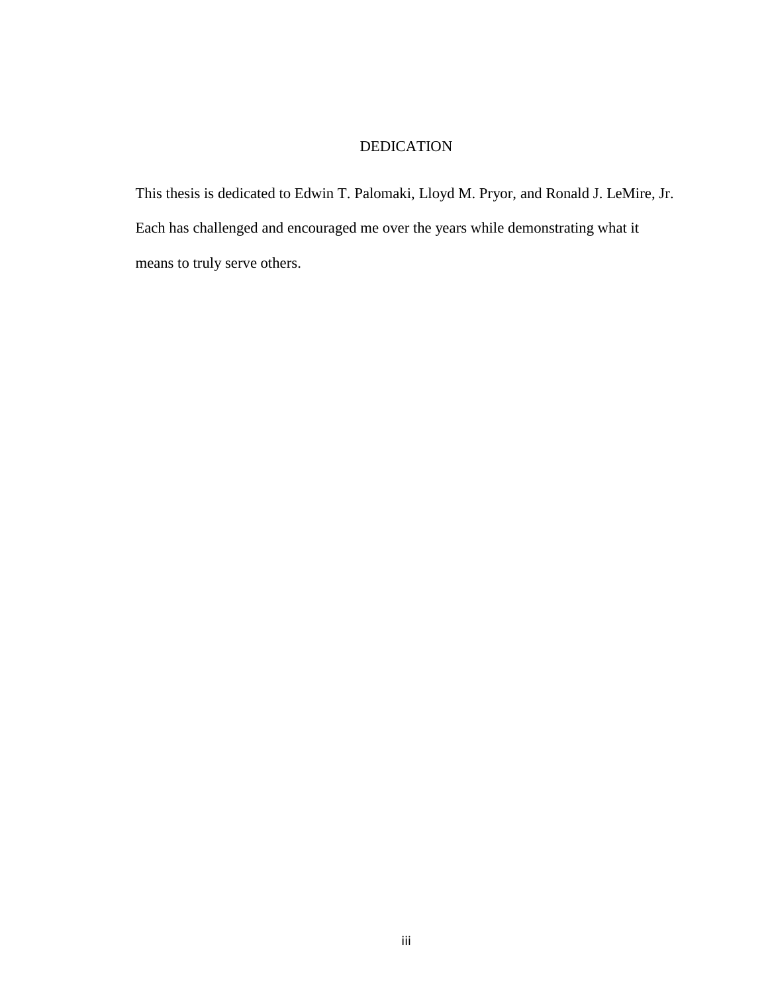# DEDICATION

This thesis is dedicated to Edwin T. Palomaki, Lloyd M. Pryor, and Ronald J. LeMire, Jr. Each has challenged and encouraged me over the years while demonstrating what it means to truly serve others.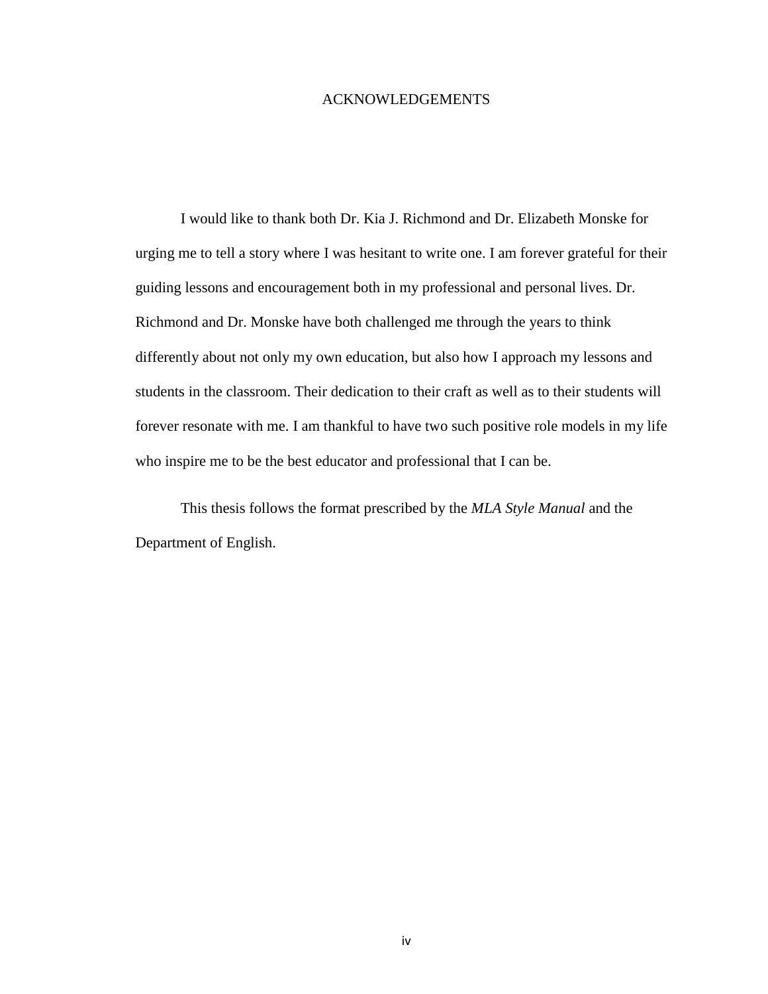#### ACKNOWLEDGEMENTS

I would like to thank both Dr. Kia J. Richmond and Dr. Elizabeth Monske for urging me to tell a story where I was hesitant to write one. I am forever grateful for their guiding lessons and encouragement both in my professional and personal lives. Dr. Richmond and Dr. Monske have both challenged me through the years to think differently about not only my own education, but also how I approach my lessons and students in the classroom. Their dedication to their craft as well as to their students will forever resonate with me. I am thankful to have two such positive role models in my life who inspire me to be the best educator and professional that I can be.

This thesis follows the format prescribed by the *MLA Style Manual* and the Department of English.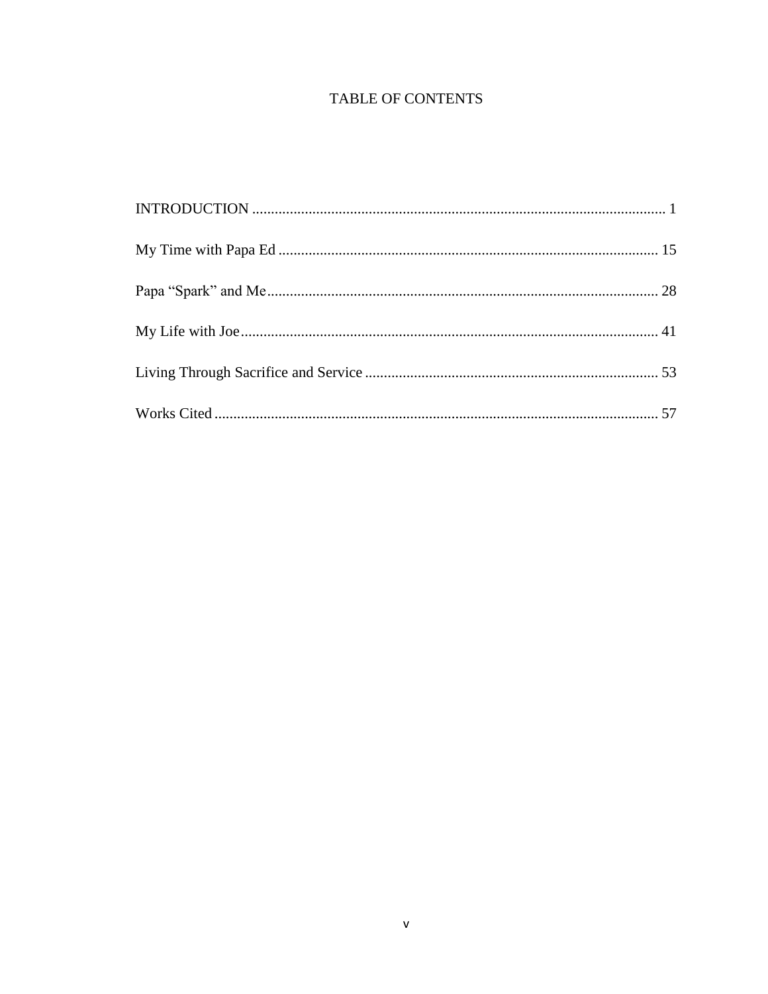# **TABLE OF CONTENTS**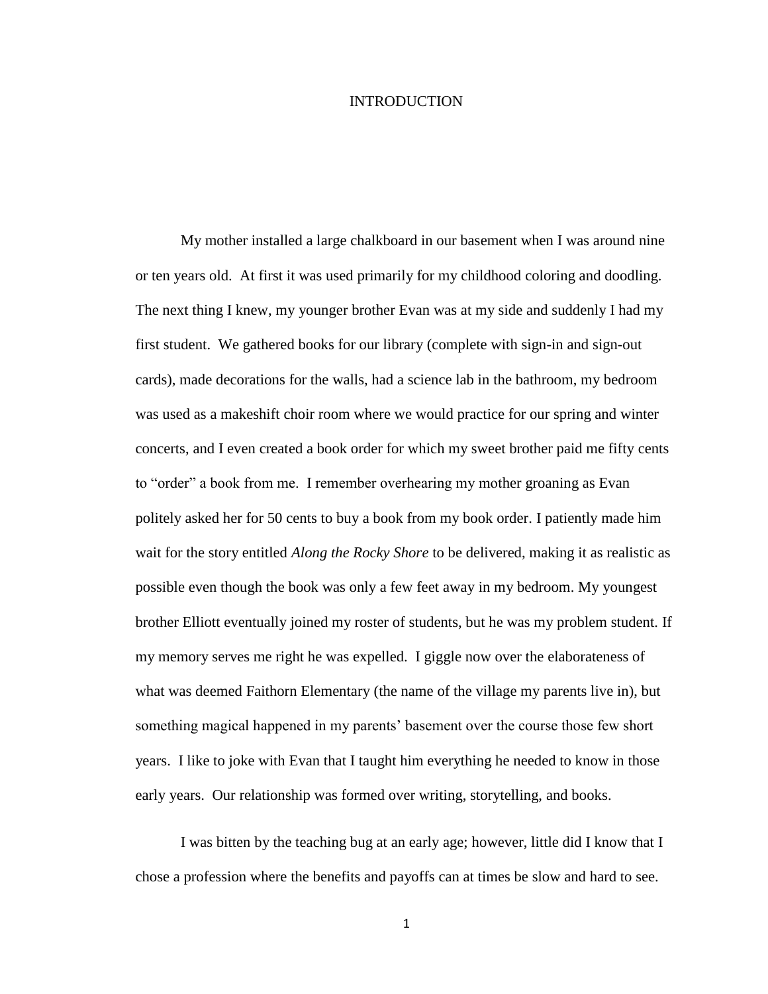#### INTRODUCTION

<span id="page-8-0"></span>My mother installed a large chalkboard in our basement when I was around nine or ten years old. At first it was used primarily for my childhood coloring and doodling. The next thing I knew, my younger brother Evan was at my side and suddenly I had my first student. We gathered books for our library (complete with sign-in and sign-out cards), made decorations for the walls, had a science lab in the bathroom, my bedroom was used as a makeshift choir room where we would practice for our spring and winter concerts, and I even created a book order for which my sweet brother paid me fifty cents to "order" a book from me. I remember overhearing my mother groaning as Evan politely asked her for 50 cents to buy a book from my book order. I patiently made him wait for the story entitled *Along the Rocky Shore* to be delivered, making it as realistic as possible even though the book was only a few feet away in my bedroom. My youngest brother Elliott eventually joined my roster of students, but he was my problem student. If my memory serves me right he was expelled. I giggle now over the elaborateness of what was deemed Faithorn Elementary (the name of the village my parents live in), but something magical happened in my parents' basement over the course those few short years. I like to joke with Evan that I taught him everything he needed to know in those early years. Our relationship was formed over writing, storytelling, and books.

I was bitten by the teaching bug at an early age; however, little did I know that I chose a profession where the benefits and payoffs can at times be slow and hard to see.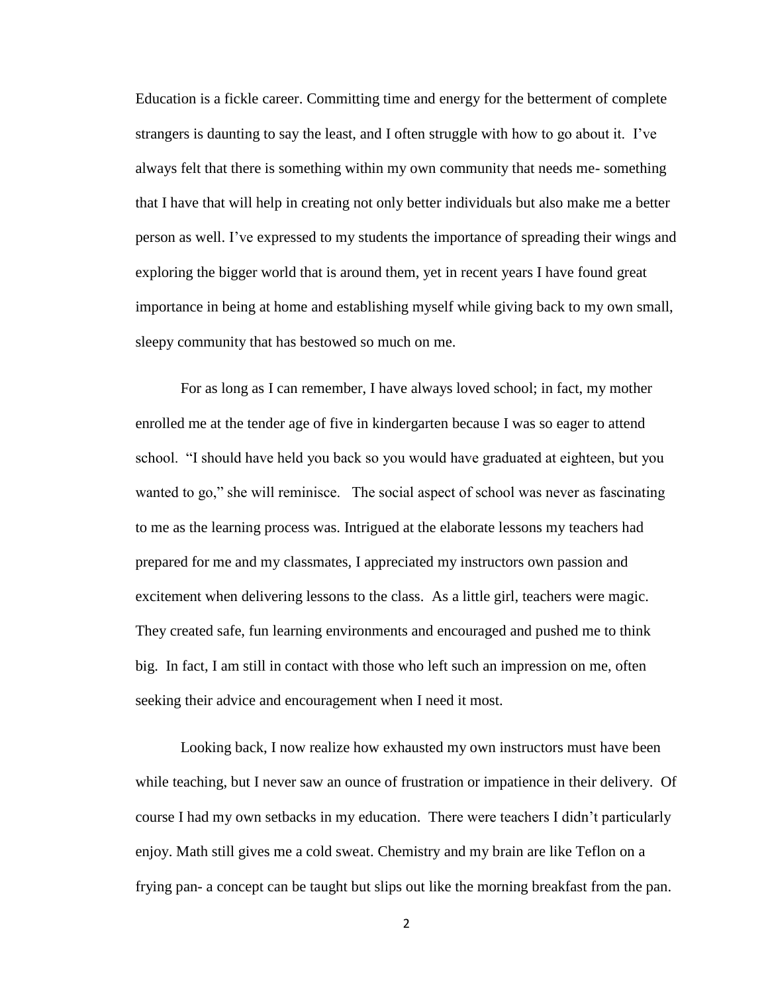Education is a fickle career. Committing time and energy for the betterment of complete strangers is daunting to say the least, and I often struggle with how to go about it. I've always felt that there is something within my own community that needs me- something that I have that will help in creating not only better individuals but also make me a better person as well. I've expressed to my students the importance of spreading their wings and exploring the bigger world that is around them, yet in recent years I have found great importance in being at home and establishing myself while giving back to my own small, sleepy community that has bestowed so much on me.

For as long as I can remember, I have always loved school; in fact, my mother enrolled me at the tender age of five in kindergarten because I was so eager to attend school. "I should have held you back so you would have graduated at eighteen, but you wanted to go," she will reminisce. The social aspect of school was never as fascinating to me as the learning process was. Intrigued at the elaborate lessons my teachers had prepared for me and my classmates, I appreciated my instructors own passion and excitement when delivering lessons to the class. As a little girl, teachers were magic. They created safe, fun learning environments and encouraged and pushed me to think big. In fact, I am still in contact with those who left such an impression on me, often seeking their advice and encouragement when I need it most.

Looking back, I now realize how exhausted my own instructors must have been while teaching, but I never saw an ounce of frustration or impatience in their delivery. Of course I had my own setbacks in my education. There were teachers I didn't particularly enjoy. Math still gives me a cold sweat. Chemistry and my brain are like Teflon on a frying pan- a concept can be taught but slips out like the morning breakfast from the pan.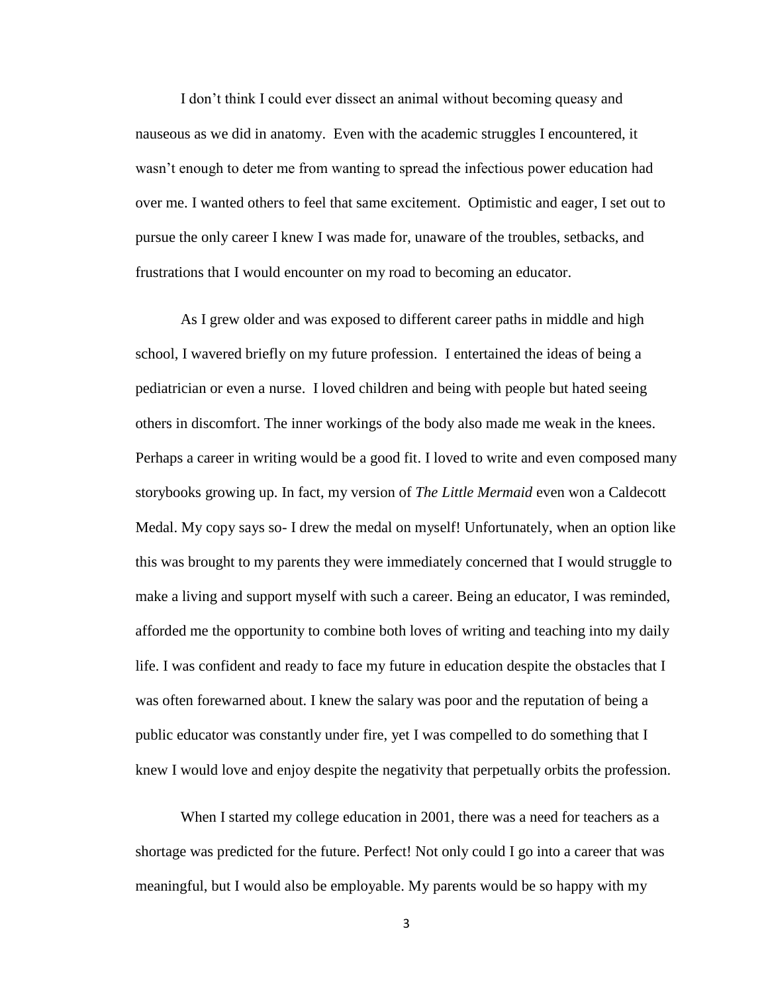I don't think I could ever dissect an animal without becoming queasy and nauseous as we did in anatomy. Even with the academic struggles I encountered, it wasn't enough to deter me from wanting to spread the infectious power education had over me. I wanted others to feel that same excitement. Optimistic and eager, I set out to pursue the only career I knew I was made for, unaware of the troubles, setbacks, and frustrations that I would encounter on my road to becoming an educator.

As I grew older and was exposed to different career paths in middle and high school, I wavered briefly on my future profession. I entertained the ideas of being a pediatrician or even a nurse. I loved children and being with people but hated seeing others in discomfort. The inner workings of the body also made me weak in the knees. Perhaps a career in writing would be a good fit. I loved to write and even composed many storybooks growing up. In fact, my version of *The Little Mermaid* even won a Caldecott Medal. My copy says so- I drew the medal on myself! Unfortunately, when an option like this was brought to my parents they were immediately concerned that I would struggle to make a living and support myself with such a career. Being an educator, I was reminded, afforded me the opportunity to combine both loves of writing and teaching into my daily life. I was confident and ready to face my future in education despite the obstacles that I was often forewarned about. I knew the salary was poor and the reputation of being a public educator was constantly under fire, yet I was compelled to do something that I knew I would love and enjoy despite the negativity that perpetually orbits the profession.

When I started my college education in 2001, there was a need for teachers as a shortage was predicted for the future. Perfect! Not only could I go into a career that was meaningful, but I would also be employable. My parents would be so happy with my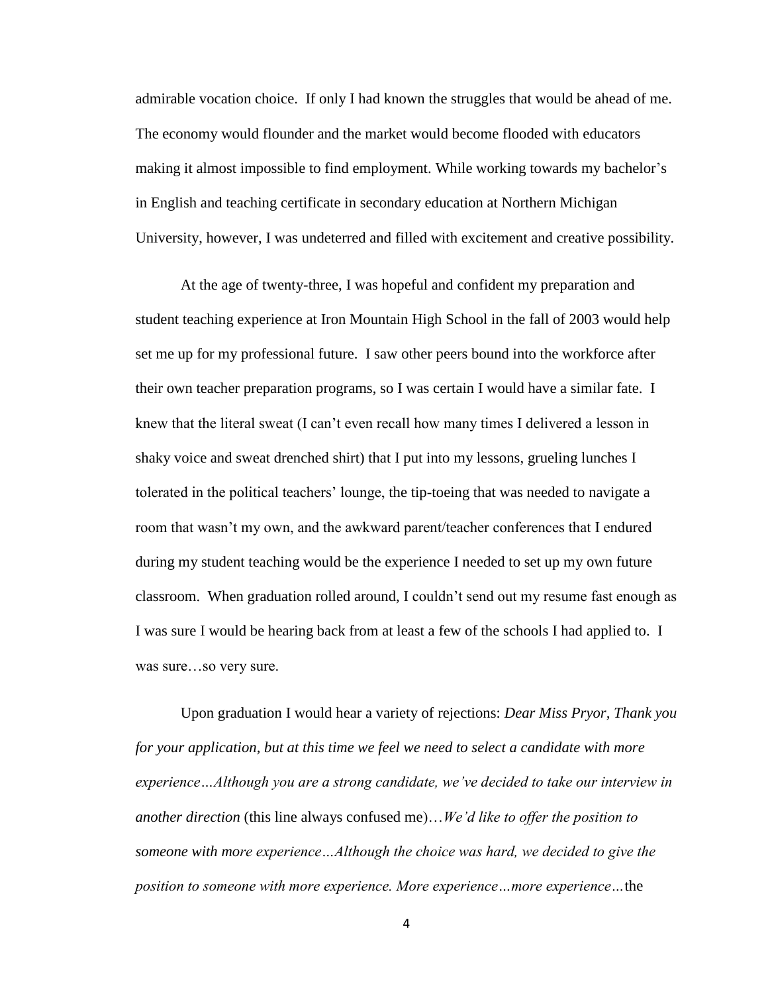admirable vocation choice. If only I had known the struggles that would be ahead of me. The economy would flounder and the market would become flooded with educators making it almost impossible to find employment. While working towards my bachelor's in English and teaching certificate in secondary education at Northern Michigan University, however, I was undeterred and filled with excitement and creative possibility.

At the age of twenty-three, I was hopeful and confident my preparation and student teaching experience at Iron Mountain High School in the fall of 2003 would help set me up for my professional future. I saw other peers bound into the workforce after their own teacher preparation programs, so I was certain I would have a similar fate. I knew that the literal sweat (I can't even recall how many times I delivered a lesson in shaky voice and sweat drenched shirt) that I put into my lessons, grueling lunches I tolerated in the political teachers' lounge, the tip-toeing that was needed to navigate a room that wasn't my own, and the awkward parent/teacher conferences that I endured during my student teaching would be the experience I needed to set up my own future classroom. When graduation rolled around, I couldn't send out my resume fast enough as I was sure I would be hearing back from at least a few of the schools I had applied to. I was sure…so very sure.

Upon graduation I would hear a variety of rejections: *Dear Miss Pryor, Thank you for your application, but at this time we feel we need to select a candidate with more experience…Although you are a strong candidate, we've decided to take our interview in another direction* (this line always confused me)…*We'd like to offer the position to someone with more experience…Although the choice was hard, we decided to give the position to someone with more experience. More experience…more experience…*the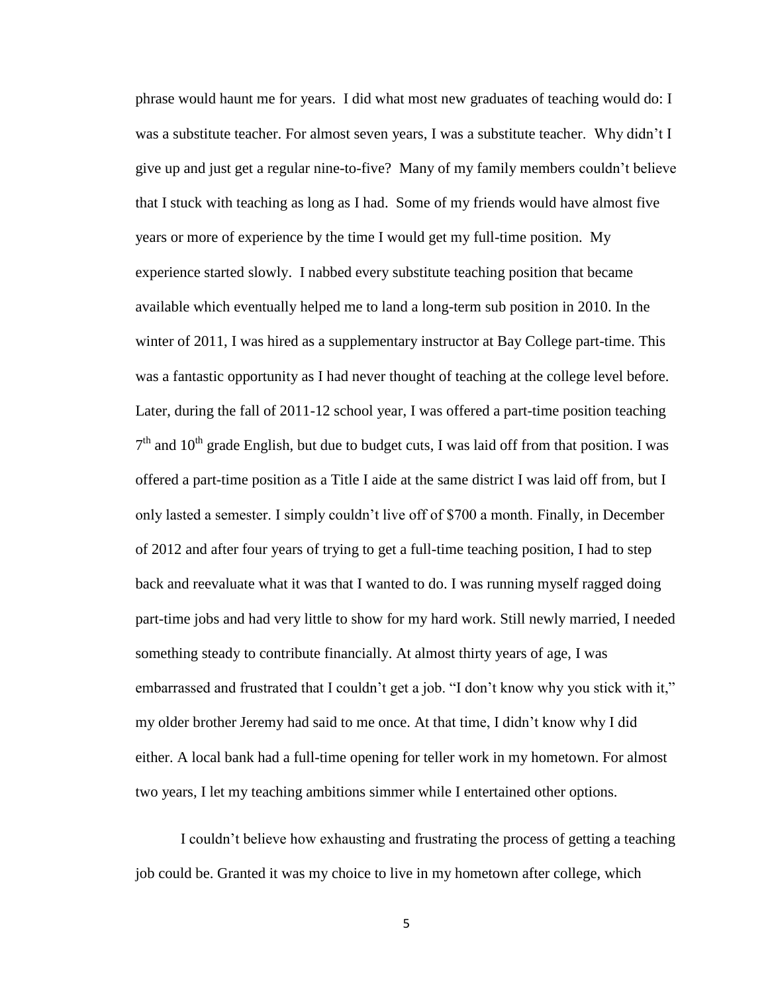phrase would haunt me for years. I did what most new graduates of teaching would do: I was a substitute teacher. For almost seven years, I was a substitute teacher. Why didn't I give up and just get a regular nine-to-five? Many of my family members couldn't believe that I stuck with teaching as long as I had. Some of my friends would have almost five years or more of experience by the time I would get my full-time position. My experience started slowly. I nabbed every substitute teaching position that became available which eventually helped me to land a long-term sub position in 2010. In the winter of 2011, I was hired as a supplementary instructor at Bay College part-time. This was a fantastic opportunity as I had never thought of teaching at the college level before. Later, during the fall of 2011-12 school year, I was offered a part-time position teaching  $7<sup>th</sup>$  and 10<sup>th</sup> grade English, but due to budget cuts, I was laid off from that position. I was offered a part-time position as a Title I aide at the same district I was laid off from, but I only lasted a semester. I simply couldn't live off of \$700 a month. Finally, in December of 2012 and after four years of trying to get a full-time teaching position, I had to step back and reevaluate what it was that I wanted to do. I was running myself ragged doing part-time jobs and had very little to show for my hard work. Still newly married, I needed something steady to contribute financially. At almost thirty years of age, I was embarrassed and frustrated that I couldn't get a job. "I don't know why you stick with it," my older brother Jeremy had said to me once. At that time, I didn't know why I did either. A local bank had a full-time opening for teller work in my hometown. For almost two years, I let my teaching ambitions simmer while I entertained other options.

I couldn't believe how exhausting and frustrating the process of getting a teaching job could be. Granted it was my choice to live in my hometown after college, which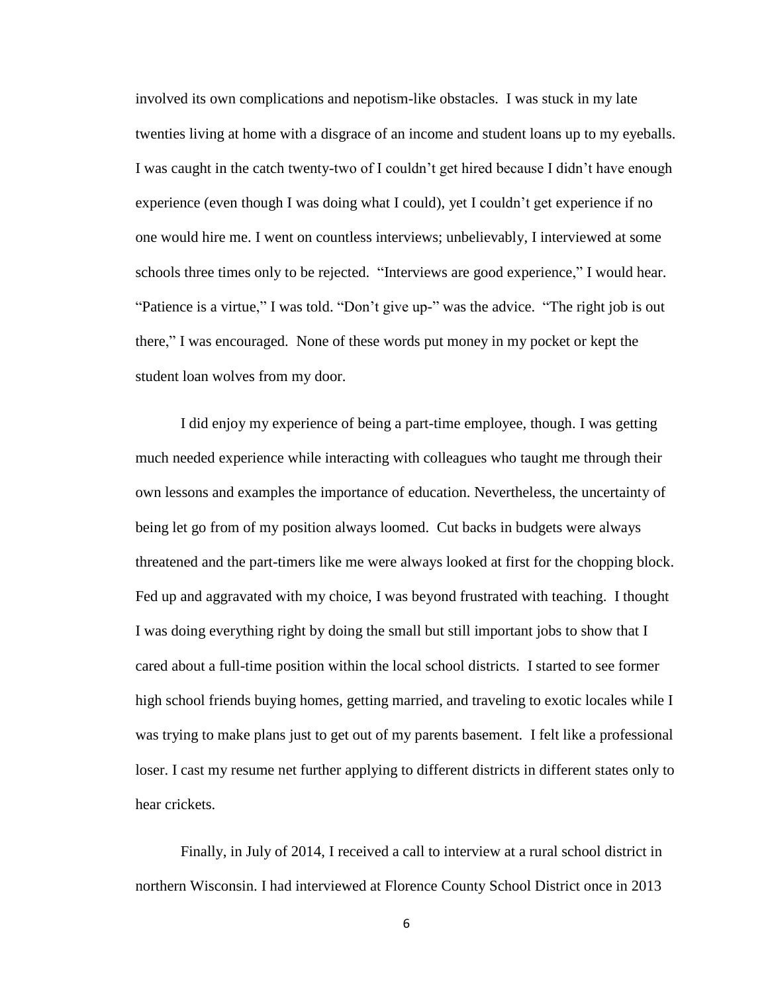involved its own complications and nepotism-like obstacles. I was stuck in my late twenties living at home with a disgrace of an income and student loans up to my eyeballs. I was caught in the catch twenty-two of I couldn't get hired because I didn't have enough experience (even though I was doing what I could), yet I couldn't get experience if no one would hire me. I went on countless interviews; unbelievably, I interviewed at some schools three times only to be rejected. "Interviews are good experience," I would hear. "Patience is a virtue," I was told. "Don't give up-" was the advice. "The right job is out there," I was encouraged. None of these words put money in my pocket or kept the student loan wolves from my door.

I did enjoy my experience of being a part-time employee, though. I was getting much needed experience while interacting with colleagues who taught me through their own lessons and examples the importance of education. Nevertheless, the uncertainty of being let go from of my position always loomed. Cut backs in budgets were always threatened and the part-timers like me were always looked at first for the chopping block. Fed up and aggravated with my choice, I was beyond frustrated with teaching. I thought I was doing everything right by doing the small but still important jobs to show that I cared about a full-time position within the local school districts. I started to see former high school friends buying homes, getting married, and traveling to exotic locales while I was trying to make plans just to get out of my parents basement. I felt like a professional loser. I cast my resume net further applying to different districts in different states only to hear crickets.

Finally, in July of 2014, I received a call to interview at a rural school district in northern Wisconsin. I had interviewed at Florence County School District once in 2013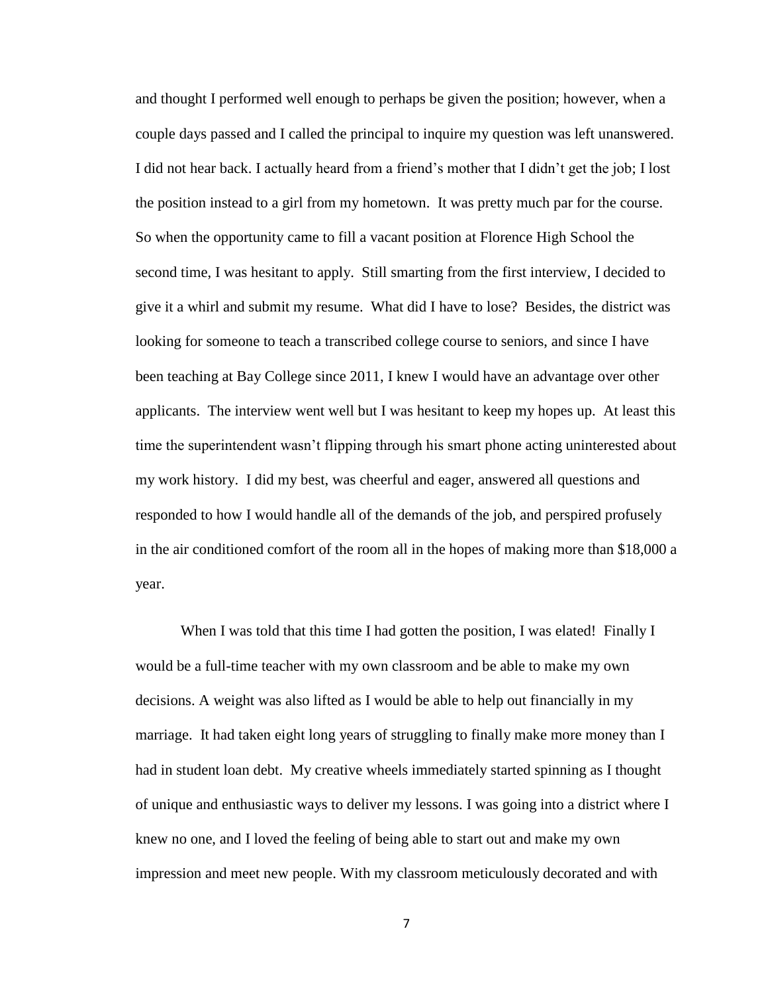and thought I performed well enough to perhaps be given the position; however, when a couple days passed and I called the principal to inquire my question was left unanswered. I did not hear back. I actually heard from a friend's mother that I didn't get the job; I lost the position instead to a girl from my hometown. It was pretty much par for the course. So when the opportunity came to fill a vacant position at Florence High School the second time, I was hesitant to apply. Still smarting from the first interview, I decided to give it a whirl and submit my resume. What did I have to lose? Besides, the district was looking for someone to teach a transcribed college course to seniors, and since I have been teaching at Bay College since 2011, I knew I would have an advantage over other applicants. The interview went well but I was hesitant to keep my hopes up. At least this time the superintendent wasn't flipping through his smart phone acting uninterested about my work history. I did my best, was cheerful and eager, answered all questions and responded to how I would handle all of the demands of the job, and perspired profusely in the air conditioned comfort of the room all in the hopes of making more than \$18,000 a year.

When I was told that this time I had gotten the position, I was elated! Finally I would be a full-time teacher with my own classroom and be able to make my own decisions. A weight was also lifted as I would be able to help out financially in my marriage. It had taken eight long years of struggling to finally make more money than I had in student loan debt. My creative wheels immediately started spinning as I thought of unique and enthusiastic ways to deliver my lessons. I was going into a district where I knew no one, and I loved the feeling of being able to start out and make my own impression and meet new people. With my classroom meticulously decorated and with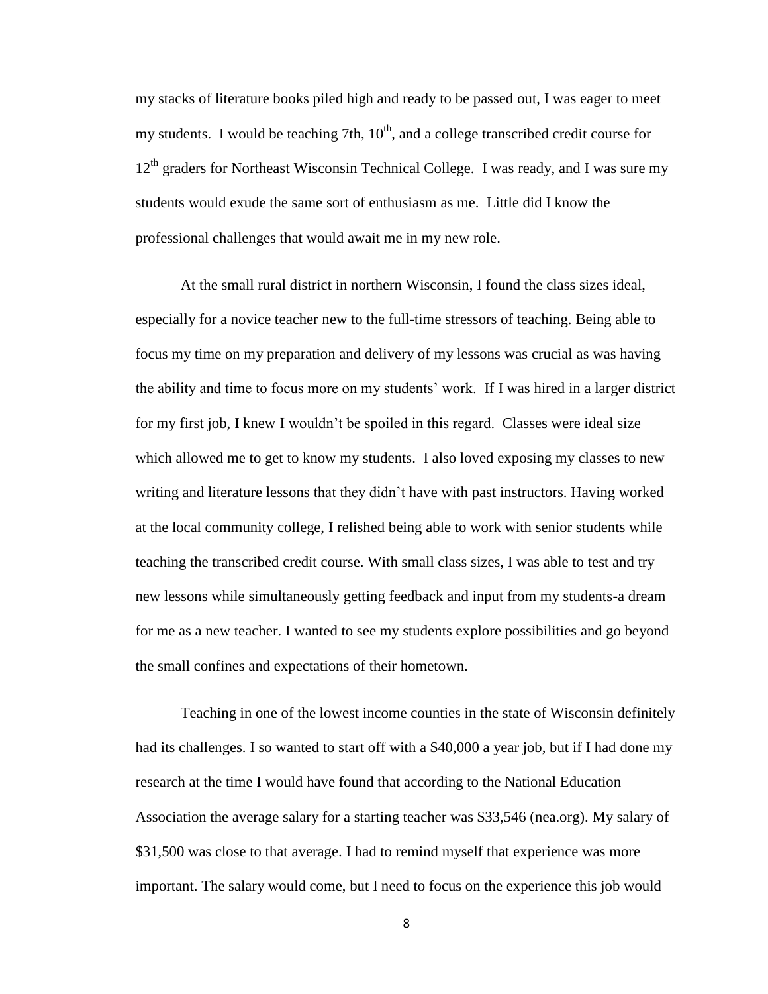my stacks of literature books piled high and ready to be passed out, I was eager to meet my students. I would be teaching 7th,  $10<sup>th</sup>$ , and a college transcribed credit course for  $12<sup>th</sup>$  graders for Northeast Wisconsin Technical College. I was ready, and I was sure my students would exude the same sort of enthusiasm as me. Little did I know the professional challenges that would await me in my new role.

At the small rural district in northern Wisconsin, I found the class sizes ideal, especially for a novice teacher new to the full-time stressors of teaching. Being able to focus my time on my preparation and delivery of my lessons was crucial as was having the ability and time to focus more on my students' work. If I was hired in a larger district for my first job, I knew I wouldn't be spoiled in this regard. Classes were ideal size which allowed me to get to know my students. I also loved exposing my classes to new writing and literature lessons that they didn't have with past instructors. Having worked at the local community college, I relished being able to work with senior students while teaching the transcribed credit course. With small class sizes, I was able to test and try new lessons while simultaneously getting feedback and input from my students-a dream for me as a new teacher. I wanted to see my students explore possibilities and go beyond the small confines and expectations of their hometown.

Teaching in one of the lowest income counties in the state of Wisconsin definitely had its challenges. I so wanted to start off with a \$40,000 a year job, but if I had done my research at the time I would have found that according to the National Education Association the average salary for a starting teacher was \$33,546 (nea.org). My salary of \$31,500 was close to that average. I had to remind myself that experience was more important. The salary would come, but I need to focus on the experience this job would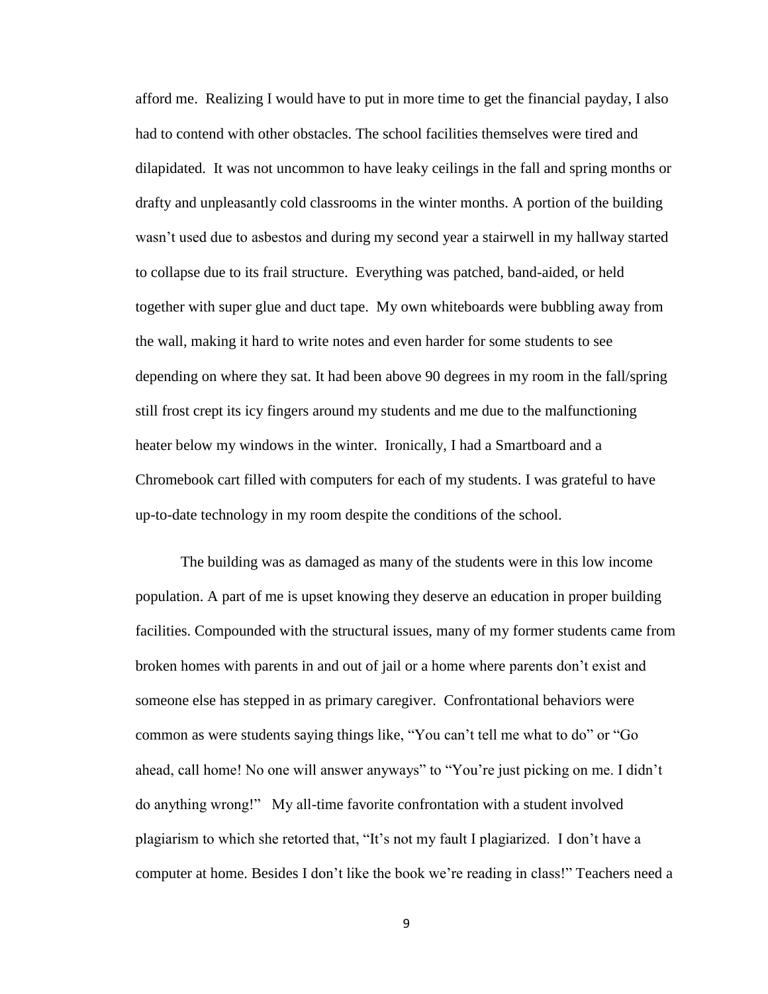afford me. Realizing I would have to put in more time to get the financial payday, I also had to contend with other obstacles. The school facilities themselves were tired and dilapidated. It was not uncommon to have leaky ceilings in the fall and spring months or drafty and unpleasantly cold classrooms in the winter months. A portion of the building wasn't used due to asbestos and during my second year a stairwell in my hallway started to collapse due to its frail structure. Everything was patched, band-aided, or held together with super glue and duct tape. My own whiteboards were bubbling away from the wall, making it hard to write notes and even harder for some students to see depending on where they sat. It had been above 90 degrees in my room in the fall/spring still frost crept its icy fingers around my students and me due to the malfunctioning heater below my windows in the winter. Ironically, I had a Smartboard and a Chromebook cart filled with computers for each of my students. I was grateful to have up-to-date technology in my room despite the conditions of the school.

The building was as damaged as many of the students were in this low income population. A part of me is upset knowing they deserve an education in proper building facilities. Compounded with the structural issues, many of my former students came from broken homes with parents in and out of jail or a home where parents don't exist and someone else has stepped in as primary caregiver. Confrontational behaviors were common as were students saying things like, "You can't tell me what to do" or "Go ahead, call home! No one will answer anyways" to "You're just picking on me. I didn't do anything wrong!" My all-time favorite confrontation with a student involved plagiarism to which she retorted that, "It's not my fault I plagiarized. I don't have a computer at home. Besides I don't like the book we're reading in class!" Teachers need a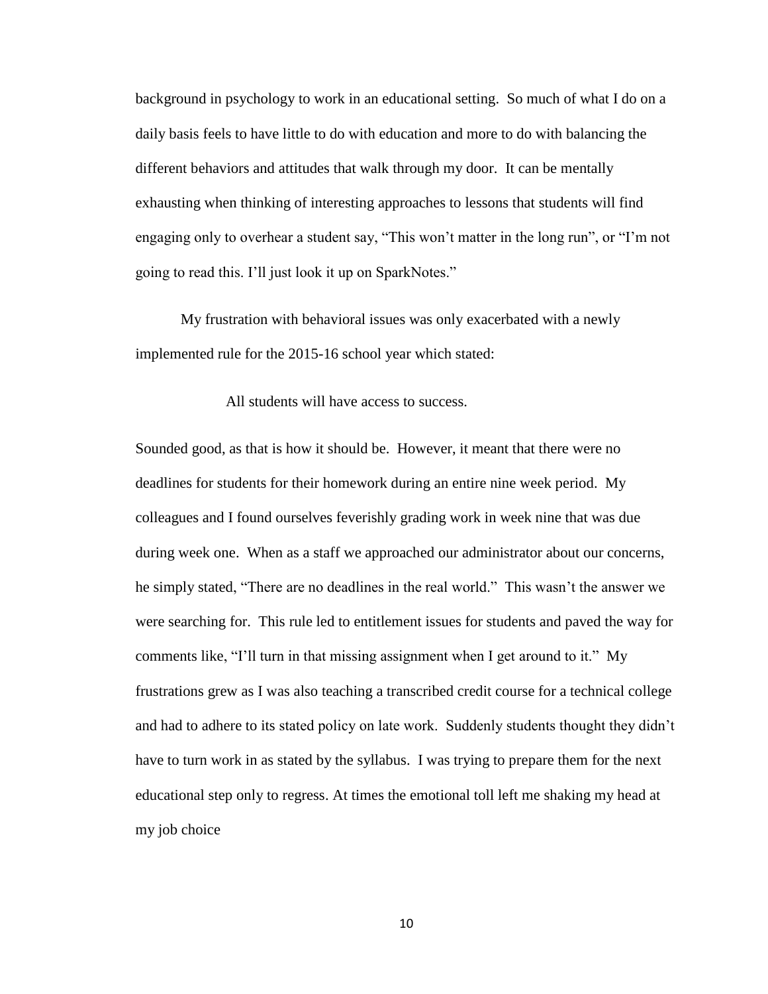background in psychology to work in an educational setting. So much of what I do on a daily basis feels to have little to do with education and more to do with balancing the different behaviors and attitudes that walk through my door. It can be mentally exhausting when thinking of interesting approaches to lessons that students will find engaging only to overhear a student say, "This won't matter in the long run", or "I'm not going to read this. I'll just look it up on SparkNotes."

My frustration with behavioral issues was only exacerbated with a newly implemented rule for the 2015-16 school year which stated:

All students will have access to success.

Sounded good, as that is how it should be. However, it meant that there were no deadlines for students for their homework during an entire nine week period. My colleagues and I found ourselves feverishly grading work in week nine that was due during week one. When as a staff we approached our administrator about our concerns, he simply stated, "There are no deadlines in the real world." This wasn't the answer we were searching for. This rule led to entitlement issues for students and paved the way for comments like, "I'll turn in that missing assignment when I get around to it." My frustrations grew as I was also teaching a transcribed credit course for a technical college and had to adhere to its stated policy on late work. Suddenly students thought they didn't have to turn work in as stated by the syllabus. I was trying to prepare them for the next educational step only to regress. At times the emotional toll left me shaking my head at my job choice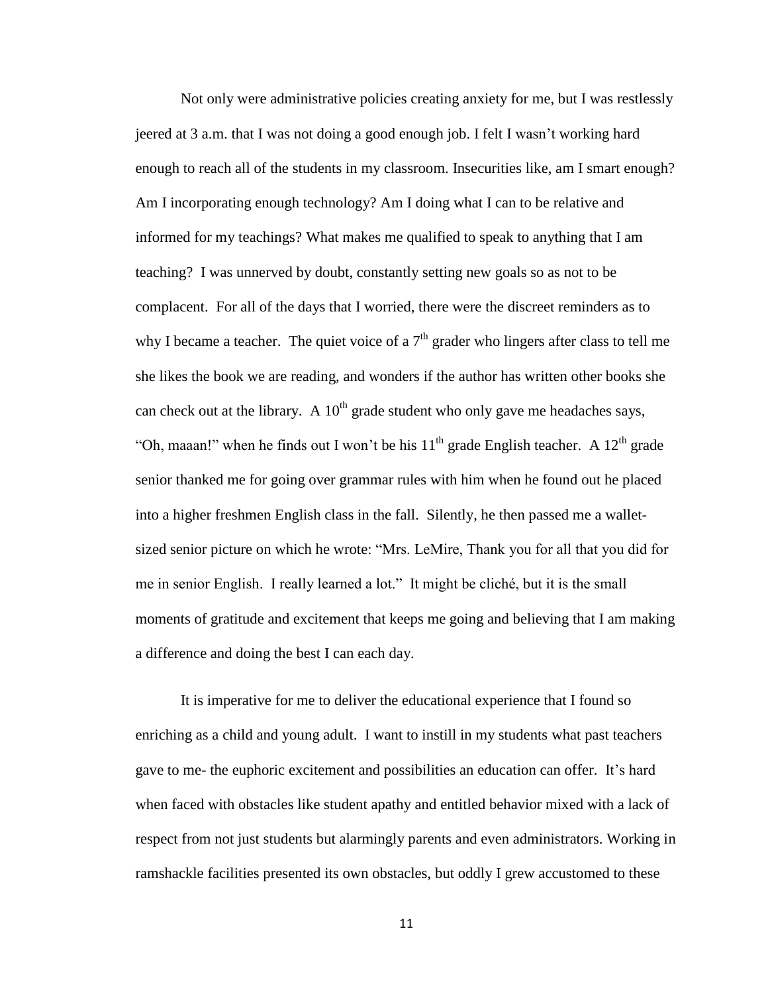Not only were administrative policies creating anxiety for me, but I was restlessly jeered at 3 a.m. that I was not doing a good enough job. I felt I wasn't working hard enough to reach all of the students in my classroom. Insecurities like, am I smart enough? Am I incorporating enough technology? Am I doing what I can to be relative and informed for my teachings? What makes me qualified to speak to anything that I am teaching? I was unnerved by doubt, constantly setting new goals so as not to be complacent. For all of the days that I worried, there were the discreet reminders as to why I became a teacher. The quiet voice of a  $7<sup>th</sup>$  grader who lingers after class to tell me she likes the book we are reading, and wonders if the author has written other books she can check out at the library. A  $10<sup>th</sup>$  grade student who only gave me headaches says, "Oh, maaan!" when he finds out I won't be his  $11<sup>th</sup>$  grade English teacher. A  $12<sup>th</sup>$  grade senior thanked me for going over grammar rules with him when he found out he placed into a higher freshmen English class in the fall. Silently, he then passed me a walletsized senior picture on which he wrote: "Mrs. LeMire, Thank you for all that you did for me in senior English. I really learned a lot." It might be cliché, but it is the small moments of gratitude and excitement that keeps me going and believing that I am making a difference and doing the best I can each day.

It is imperative for me to deliver the educational experience that I found so enriching as a child and young adult. I want to instill in my students what past teachers gave to me- the euphoric excitement and possibilities an education can offer. It's hard when faced with obstacles like student apathy and entitled behavior mixed with a lack of respect from not just students but alarmingly parents and even administrators. Working in ramshackle facilities presented its own obstacles, but oddly I grew accustomed to these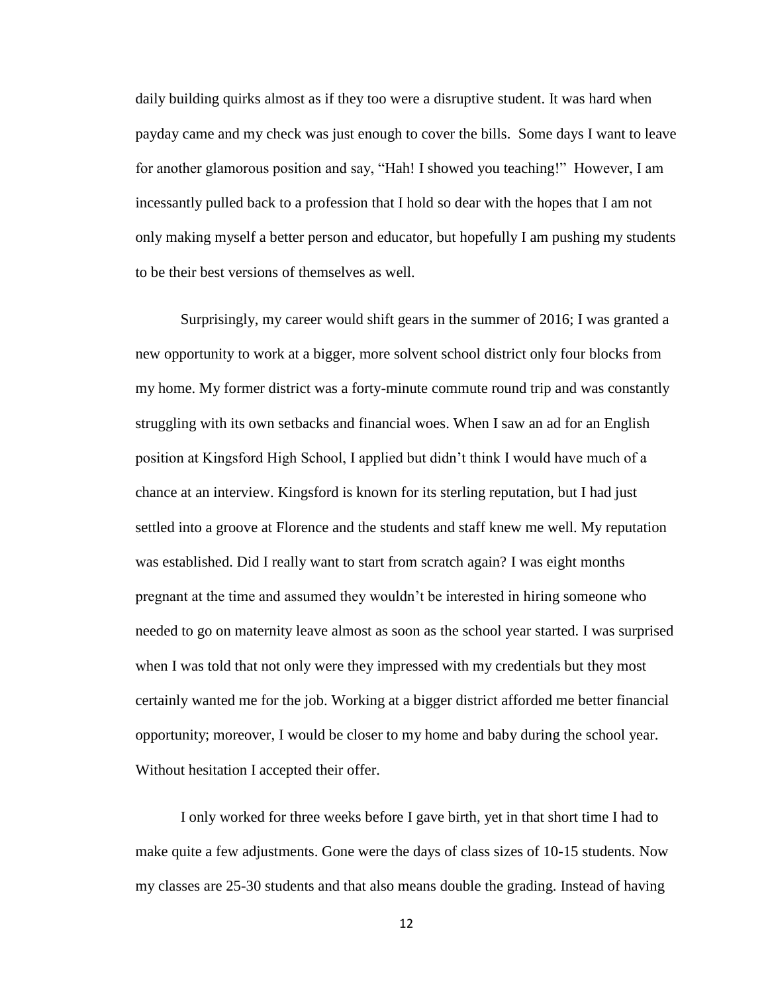daily building quirks almost as if they too were a disruptive student. It was hard when payday came and my check was just enough to cover the bills. Some days I want to leave for another glamorous position and say, "Hah! I showed you teaching!" However, I am incessantly pulled back to a profession that I hold so dear with the hopes that I am not only making myself a better person and educator, but hopefully I am pushing my students to be their best versions of themselves as well.

Surprisingly, my career would shift gears in the summer of 2016; I was granted a new opportunity to work at a bigger, more solvent school district only four blocks from my home. My former district was a forty-minute commute round trip and was constantly struggling with its own setbacks and financial woes. When I saw an ad for an English position at Kingsford High School, I applied but didn't think I would have much of a chance at an interview. Kingsford is known for its sterling reputation, but I had just settled into a groove at Florence and the students and staff knew me well. My reputation was established. Did I really want to start from scratch again? I was eight months pregnant at the time and assumed they wouldn't be interested in hiring someone who needed to go on maternity leave almost as soon as the school year started. I was surprised when I was told that not only were they impressed with my credentials but they most certainly wanted me for the job. Working at a bigger district afforded me better financial opportunity; moreover, I would be closer to my home and baby during the school year. Without hesitation I accepted their offer.

I only worked for three weeks before I gave birth, yet in that short time I had to make quite a few adjustments. Gone were the days of class sizes of 10-15 students. Now my classes are 25-30 students and that also means double the grading. Instead of having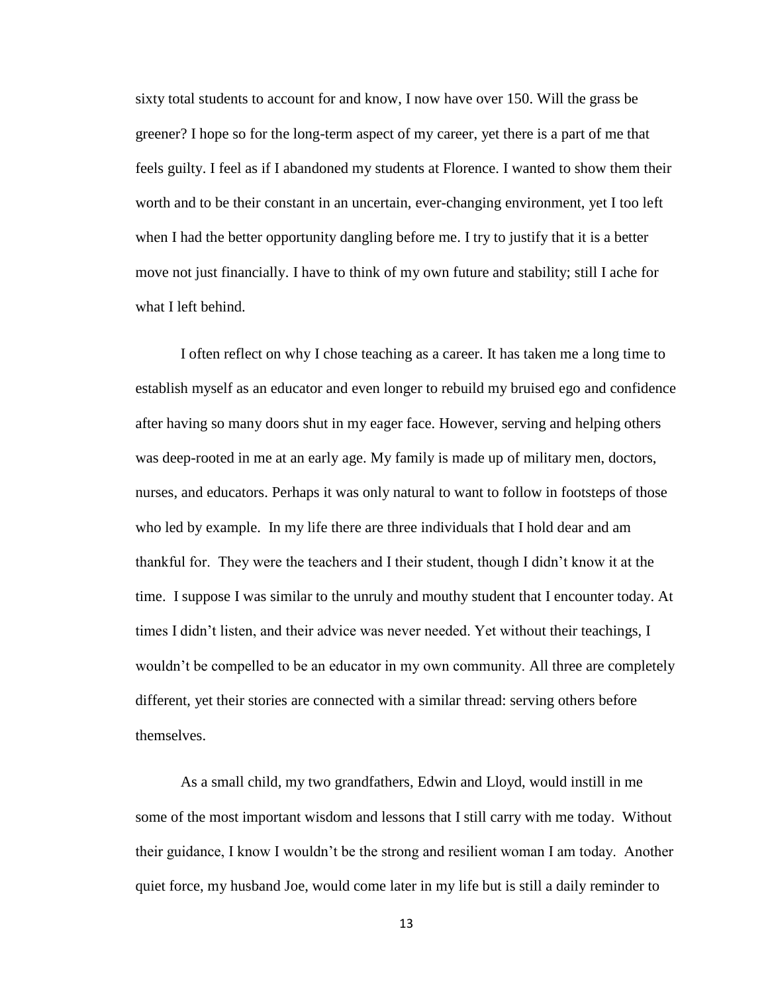sixty total students to account for and know, I now have over 150. Will the grass be greener? I hope so for the long-term aspect of my career, yet there is a part of me that feels guilty. I feel as if I abandoned my students at Florence. I wanted to show them their worth and to be their constant in an uncertain, ever-changing environment, yet I too left when I had the better opportunity dangling before me. I try to justify that it is a better move not just financially. I have to think of my own future and stability; still I ache for what I left behind.

I often reflect on why I chose teaching as a career. It has taken me a long time to establish myself as an educator and even longer to rebuild my bruised ego and confidence after having so many doors shut in my eager face. However, serving and helping others was deep-rooted in me at an early age. My family is made up of military men, doctors, nurses, and educators. Perhaps it was only natural to want to follow in footsteps of those who led by example. In my life there are three individuals that I hold dear and am thankful for. They were the teachers and I their student, though I didn't know it at the time. I suppose I was similar to the unruly and mouthy student that I encounter today. At times I didn't listen, and their advice was never needed. Yet without their teachings, I wouldn't be compelled to be an educator in my own community. All three are completely different, yet their stories are connected with a similar thread: serving others before themselves.

As a small child, my two grandfathers, Edwin and Lloyd, would instill in me some of the most important wisdom and lessons that I still carry with me today. Without their guidance, I know I wouldn't be the strong and resilient woman I am today. Another quiet force, my husband Joe, would come later in my life but is still a daily reminder to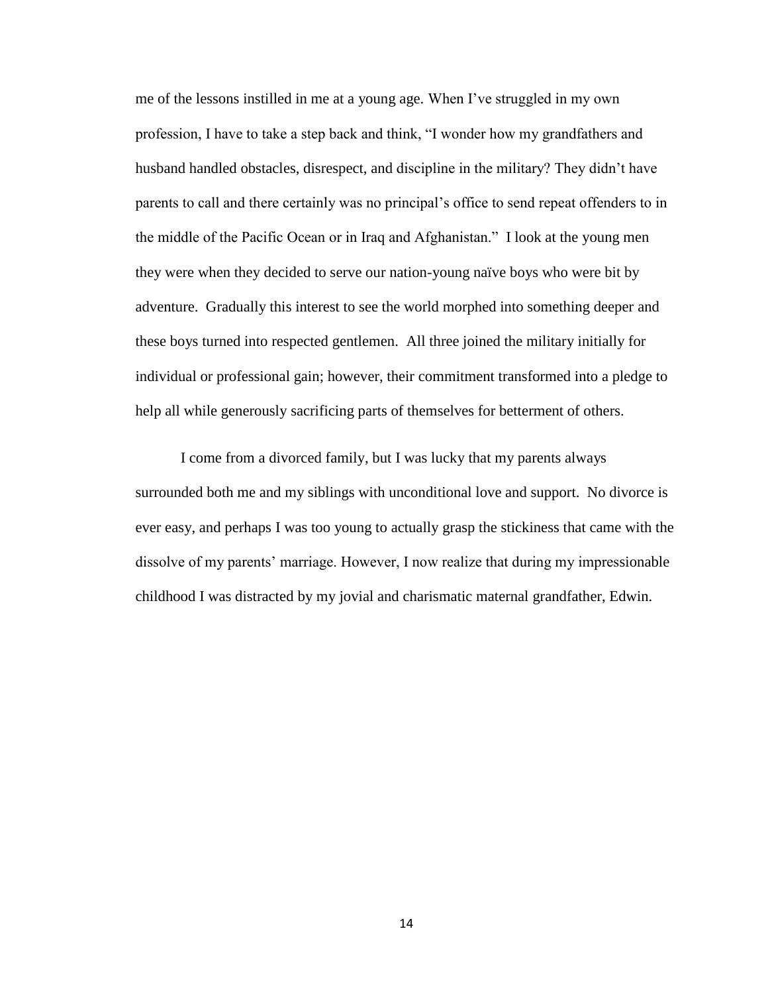me of the lessons instilled in me at a young age. When I've struggled in my own profession, I have to take a step back and think, "I wonder how my grandfathers and husband handled obstacles, disrespect, and discipline in the military? They didn't have parents to call and there certainly was no principal's office to send repeat offenders to in the middle of the Pacific Ocean or in Iraq and Afghanistan." I look at the young men they were when they decided to serve our nation-young naïve boys who were bit by adventure. Gradually this interest to see the world morphed into something deeper and these boys turned into respected gentlemen. All three joined the military initially for individual or professional gain; however, their commitment transformed into a pledge to help all while generously sacrificing parts of themselves for betterment of others.

I come from a divorced family, but I was lucky that my parents always surrounded both me and my siblings with unconditional love and support. No divorce is ever easy, and perhaps I was too young to actually grasp the stickiness that came with the dissolve of my parents' marriage. However, I now realize that during my impressionable childhood I was distracted by my jovial and charismatic maternal grandfather, Edwin.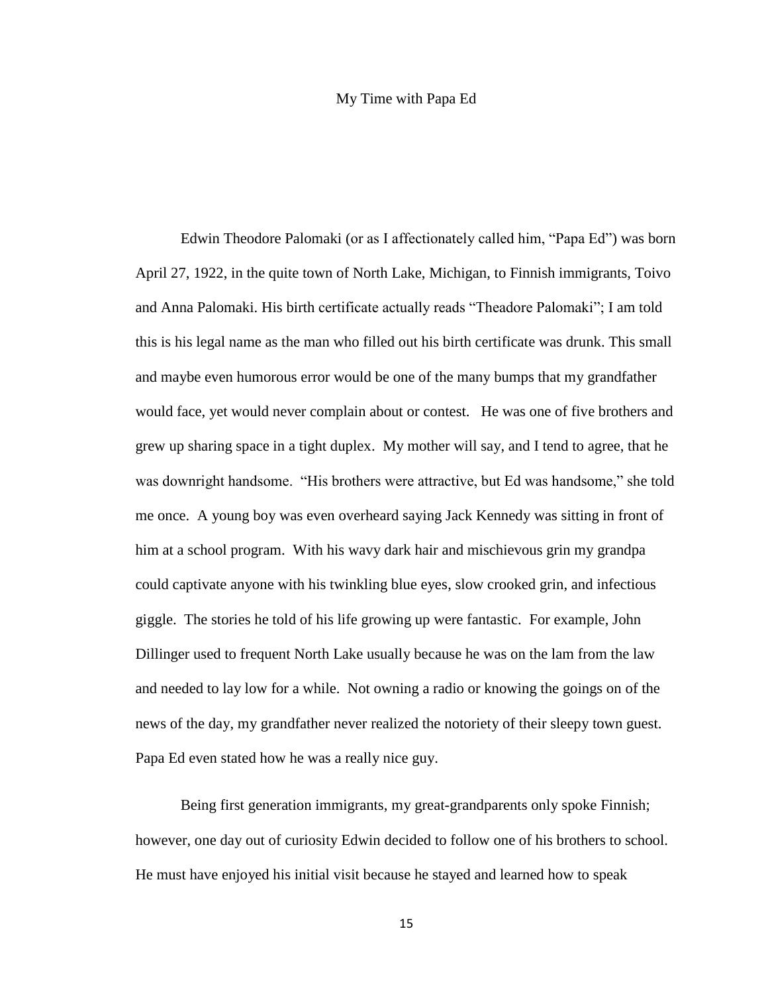#### My Time with Papa Ed

<span id="page-22-0"></span>Edwin Theodore Palomaki (or as I affectionately called him, "Papa Ed") was born April 27, 1922, in the quite town of North Lake, Michigan, to Finnish immigrants, Toivo and Anna Palomaki. His birth certificate actually reads "Theadore Palomaki"; I am told this is his legal name as the man who filled out his birth certificate was drunk. This small and maybe even humorous error would be one of the many bumps that my grandfather would face, yet would never complain about or contest. He was one of five brothers and grew up sharing space in a tight duplex. My mother will say, and I tend to agree, that he was downright handsome. "His brothers were attractive, but Ed was handsome," she told me once. A young boy was even overheard saying Jack Kennedy was sitting in front of him at a school program. With his wavy dark hair and mischievous grin my grandpa could captivate anyone with his twinkling blue eyes, slow crooked grin, and infectious giggle. The stories he told of his life growing up were fantastic. For example, John Dillinger used to frequent North Lake usually because he was on the lam from the law and needed to lay low for a while. Not owning a radio or knowing the goings on of the news of the day, my grandfather never realized the notoriety of their sleepy town guest. Papa Ed even stated how he was a really nice guy.

Being first generation immigrants, my great-grandparents only spoke Finnish; however, one day out of curiosity Edwin decided to follow one of his brothers to school. He must have enjoyed his initial visit because he stayed and learned how to speak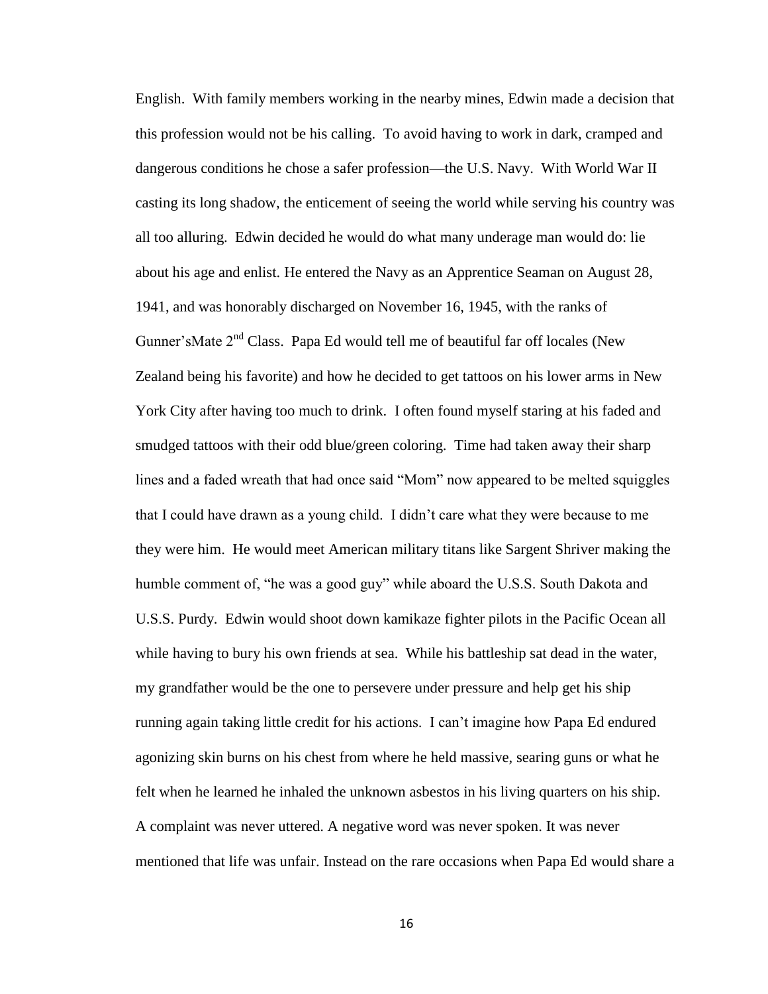English. With family members working in the nearby mines, Edwin made a decision that this profession would not be his calling. To avoid having to work in dark, cramped and dangerous conditions he chose a safer profession—the U.S. Navy. With World War II casting its long shadow, the enticement of seeing the world while serving his country was all too alluring. Edwin decided he would do what many underage man would do: lie about his age and enlist. He entered the Navy as an Apprentice Seaman on August 28, 1941, and was honorably discharged on November 16, 1945, with the ranks of Gunner'sMate 2<sup>nd</sup> Class. Papa Ed would tell me of beautiful far off locales (New Zealand being his favorite) and how he decided to get tattoos on his lower arms in New York City after having too much to drink. I often found myself staring at his faded and smudged tattoos with their odd blue/green coloring. Time had taken away their sharp lines and a faded wreath that had once said "Mom" now appeared to be melted squiggles that I could have drawn as a young child. I didn't care what they were because to me they were him. He would meet American military titans like Sargent Shriver making the humble comment of, "he was a good guy" while aboard the U.S.S. South Dakota and U.S.S. Purdy. Edwin would shoot down kamikaze fighter pilots in the Pacific Ocean all while having to bury his own friends at sea. While his battleship sat dead in the water, my grandfather would be the one to persevere under pressure and help get his ship running again taking little credit for his actions. I can't imagine how Papa Ed endured agonizing skin burns on his chest from where he held massive, searing guns or what he felt when he learned he inhaled the unknown asbestos in his living quarters on his ship. A complaint was never uttered. A negative word was never spoken. It was never mentioned that life was unfair. Instead on the rare occasions when Papa Ed would share a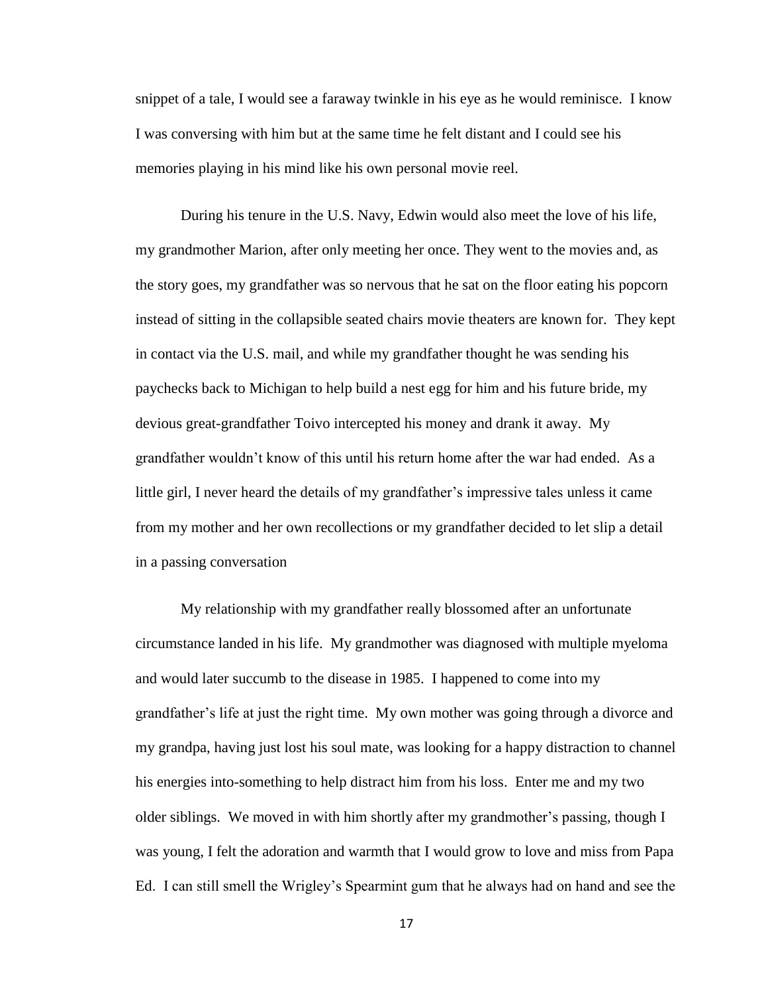snippet of a tale, I would see a faraway twinkle in his eye as he would reminisce. I know I was conversing with him but at the same time he felt distant and I could see his memories playing in his mind like his own personal movie reel.

During his tenure in the U.S. Navy, Edwin would also meet the love of his life, my grandmother Marion, after only meeting her once. They went to the movies and, as the story goes, my grandfather was so nervous that he sat on the floor eating his popcorn instead of sitting in the collapsible seated chairs movie theaters are known for. They kept in contact via the U.S. mail, and while my grandfather thought he was sending his paychecks back to Michigan to help build a nest egg for him and his future bride, my devious great-grandfather Toivo intercepted his money and drank it away. My grandfather wouldn't know of this until his return home after the war had ended. As a little girl, I never heard the details of my grandfather's impressive tales unless it came from my mother and her own recollections or my grandfather decided to let slip a detail in a passing conversation

My relationship with my grandfather really blossomed after an unfortunate circumstance landed in his life. My grandmother was diagnosed with multiple myeloma and would later succumb to the disease in 1985. I happened to come into my grandfather's life at just the right time. My own mother was going through a divorce and my grandpa, having just lost his soul mate, was looking for a happy distraction to channel his energies into-something to help distract him from his loss. Enter me and my two older siblings. We moved in with him shortly after my grandmother's passing, though I was young, I felt the adoration and warmth that I would grow to love and miss from Papa Ed. I can still smell the Wrigley's Spearmint gum that he always had on hand and see the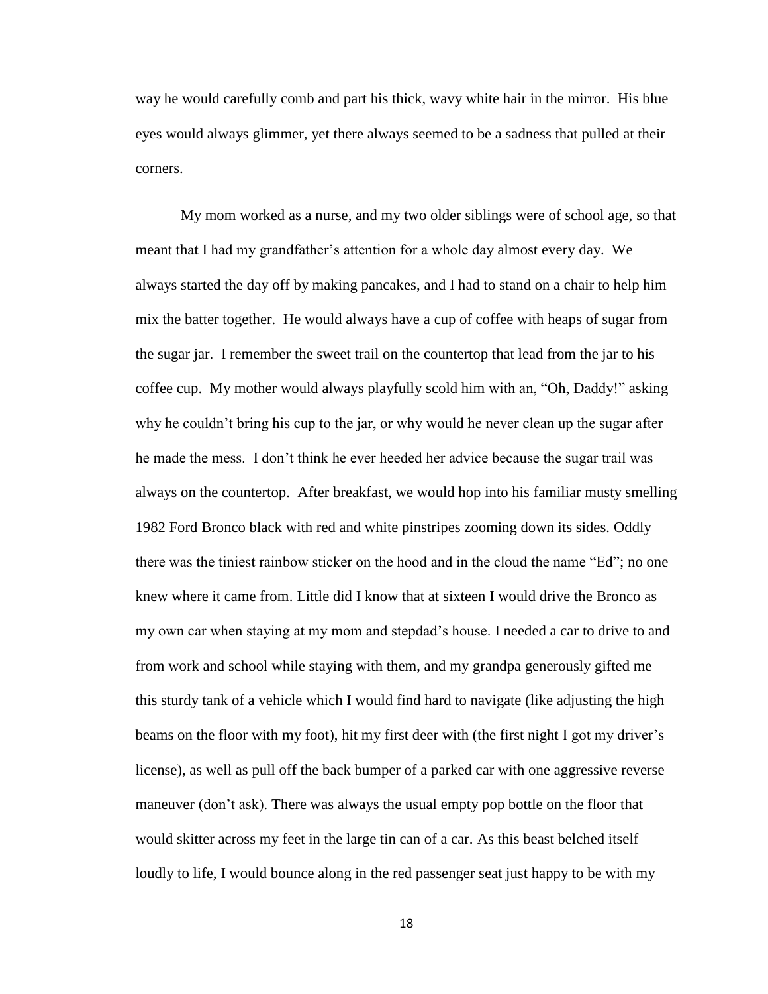way he would carefully comb and part his thick, wavy white hair in the mirror. His blue eyes would always glimmer, yet there always seemed to be a sadness that pulled at their corners.

My mom worked as a nurse, and my two older siblings were of school age, so that meant that I had my grandfather's attention for a whole day almost every day. We always started the day off by making pancakes, and I had to stand on a chair to help him mix the batter together. He would always have a cup of coffee with heaps of sugar from the sugar jar. I remember the sweet trail on the countertop that lead from the jar to his coffee cup. My mother would always playfully scold him with an, "Oh, Daddy!" asking why he couldn't bring his cup to the jar, or why would he never clean up the sugar after he made the mess. I don't think he ever heeded her advice because the sugar trail was always on the countertop. After breakfast, we would hop into his familiar musty smelling 1982 Ford Bronco black with red and white pinstripes zooming down its sides. Oddly there was the tiniest rainbow sticker on the hood and in the cloud the name "Ed"; no one knew where it came from. Little did I know that at sixteen I would drive the Bronco as my own car when staying at my mom and stepdad's house. I needed a car to drive to and from work and school while staying with them, and my grandpa generously gifted me this sturdy tank of a vehicle which I would find hard to navigate (like adjusting the high beams on the floor with my foot), hit my first deer with (the first night I got my driver's license), as well as pull off the back bumper of a parked car with one aggressive reverse maneuver (don't ask). There was always the usual empty pop bottle on the floor that would skitter across my feet in the large tin can of a car. As this beast belched itself loudly to life, I would bounce along in the red passenger seat just happy to be with my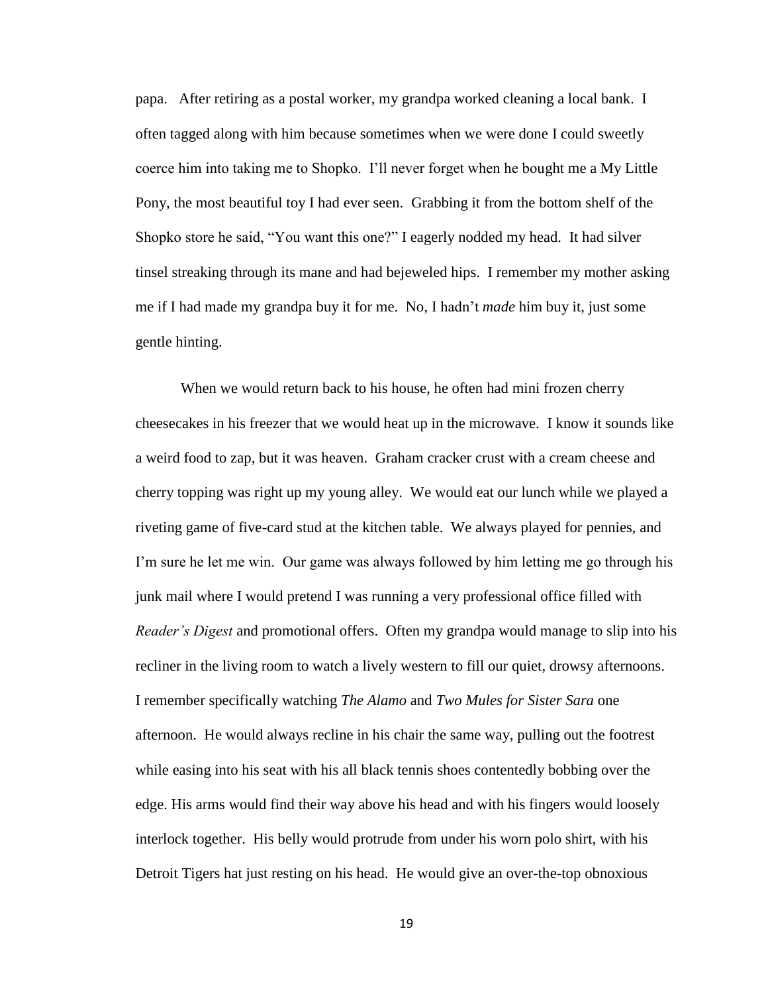papa. After retiring as a postal worker, my grandpa worked cleaning a local bank. I often tagged along with him because sometimes when we were done I could sweetly coerce him into taking me to Shopko. I'll never forget when he bought me a My Little Pony, the most beautiful toy I had ever seen. Grabbing it from the bottom shelf of the Shopko store he said, "You want this one?" I eagerly nodded my head. It had silver tinsel streaking through its mane and had bejeweled hips. I remember my mother asking me if I had made my grandpa buy it for me. No, I hadn't *made* him buy it, just some gentle hinting.

When we would return back to his house, he often had mini frozen cherry cheesecakes in his freezer that we would heat up in the microwave. I know it sounds like a weird food to zap, but it was heaven. Graham cracker crust with a cream cheese and cherry topping was right up my young alley. We would eat our lunch while we played a riveting game of five-card stud at the kitchen table. We always played for pennies, and I'm sure he let me win. Our game was always followed by him letting me go through his junk mail where I would pretend I was running a very professional office filled with *Reader's Digest* and promotional offers. Often my grandpa would manage to slip into his recliner in the living room to watch a lively western to fill our quiet, drowsy afternoons. I remember specifically watching *The Alamo* and *Two Mules for Sister Sara* one afternoon. He would always recline in his chair the same way, pulling out the footrest while easing into his seat with his all black tennis shoes contentedly bobbing over the edge. His arms would find their way above his head and with his fingers would loosely interlock together. His belly would protrude from under his worn polo shirt, with his Detroit Tigers hat just resting on his head. He would give an over-the-top obnoxious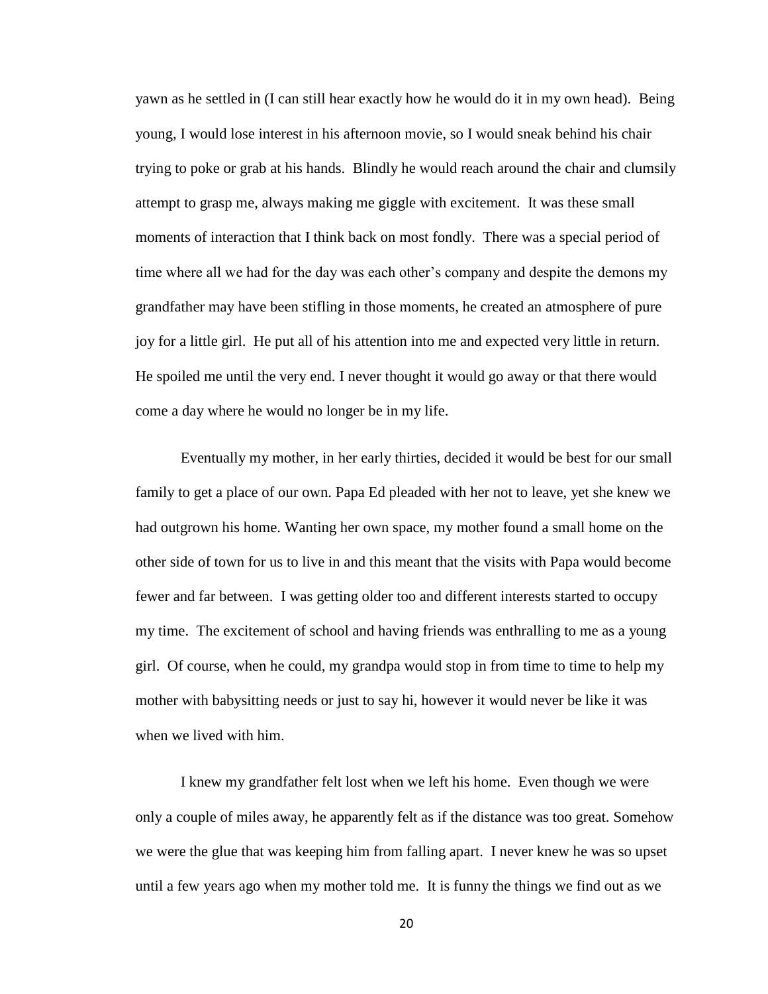yawn as he settled in (I can still hear exactly how he would do it in my own head). Being young, I would lose interest in his afternoon movie, so I would sneak behind his chair trying to poke or grab at his hands. Blindly he would reach around the chair and clumsily attempt to grasp me, always making me giggle with excitement. It was these small moments of interaction that I think back on most fondly. There was a special period of time where all we had for the day was each other's company and despite the demons my grandfather may have been stifling in those moments, he created an atmosphere of pure joy for a little girl. He put all of his attention into me and expected very little in return. He spoiled me until the very end. I never thought it would go away or that there would come a day where he would no longer be in my life.

Eventually my mother, in her early thirties, decided it would be best for our small family to get a place of our own. Papa Ed pleaded with her not to leave, yet she knew we had outgrown his home. Wanting her own space, my mother found a small home on the other side of town for us to live in and this meant that the visits with Papa would become fewer and far between. I was getting older too and different interests started to occupy my time. The excitement of school and having friends was enthralling to me as a young girl. Of course, when he could, my grandpa would stop in from time to time to help my mother with babysitting needs or just to say hi, however it would never be like it was when we lived with him.

I knew my grandfather felt lost when we left his home. Even though we were only a couple of miles away, he apparently felt as if the distance was too great. Somehow we were the glue that was keeping him from falling apart. I never knew he was so upset until a few years ago when my mother told me. It is funny the things we find out as we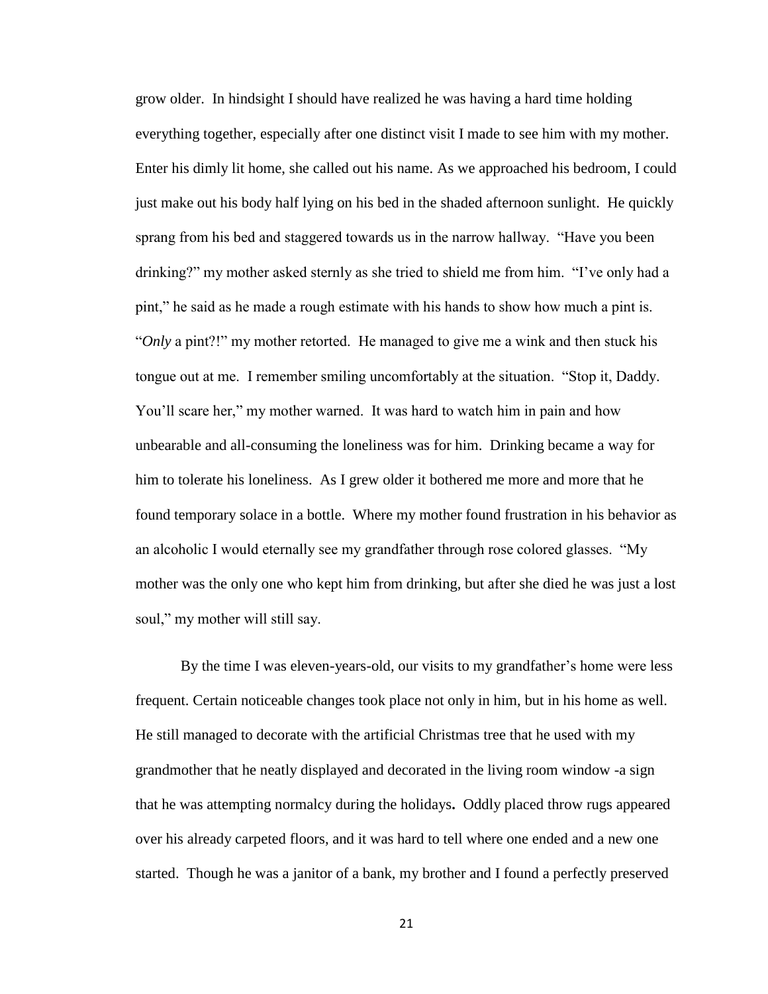grow older. In hindsight I should have realized he was having a hard time holding everything together, especially after one distinct visit I made to see him with my mother. Enter his dimly lit home, she called out his name. As we approached his bedroom, I could just make out his body half lying on his bed in the shaded afternoon sunlight. He quickly sprang from his bed and staggered towards us in the narrow hallway. "Have you been drinking?" my mother asked sternly as she tried to shield me from him. "I've only had a pint," he said as he made a rough estimate with his hands to show how much a pint is. "*Only* a pint?!" my mother retorted. He managed to give me a wink and then stuck his tongue out at me. I remember smiling uncomfortably at the situation. "Stop it, Daddy. You'll scare her," my mother warned. It was hard to watch him in pain and how unbearable and all-consuming the loneliness was for him. Drinking became a way for him to tolerate his loneliness. As I grew older it bothered me more and more that he found temporary solace in a bottle. Where my mother found frustration in his behavior as an alcoholic I would eternally see my grandfather through rose colored glasses. "My mother was the only one who kept him from drinking, but after she died he was just a lost soul," my mother will still say.

By the time I was eleven-years-old, our visits to my grandfather's home were less frequent. Certain noticeable changes took place not only in him, but in his home as well. He still managed to decorate with the artificial Christmas tree that he used with my grandmother that he neatly displayed and decorated in the living room window -a sign that he was attempting normalcy during the holidays**.** Oddly placed throw rugs appeared over his already carpeted floors, and it was hard to tell where one ended and a new one started. Though he was a janitor of a bank, my brother and I found a perfectly preserved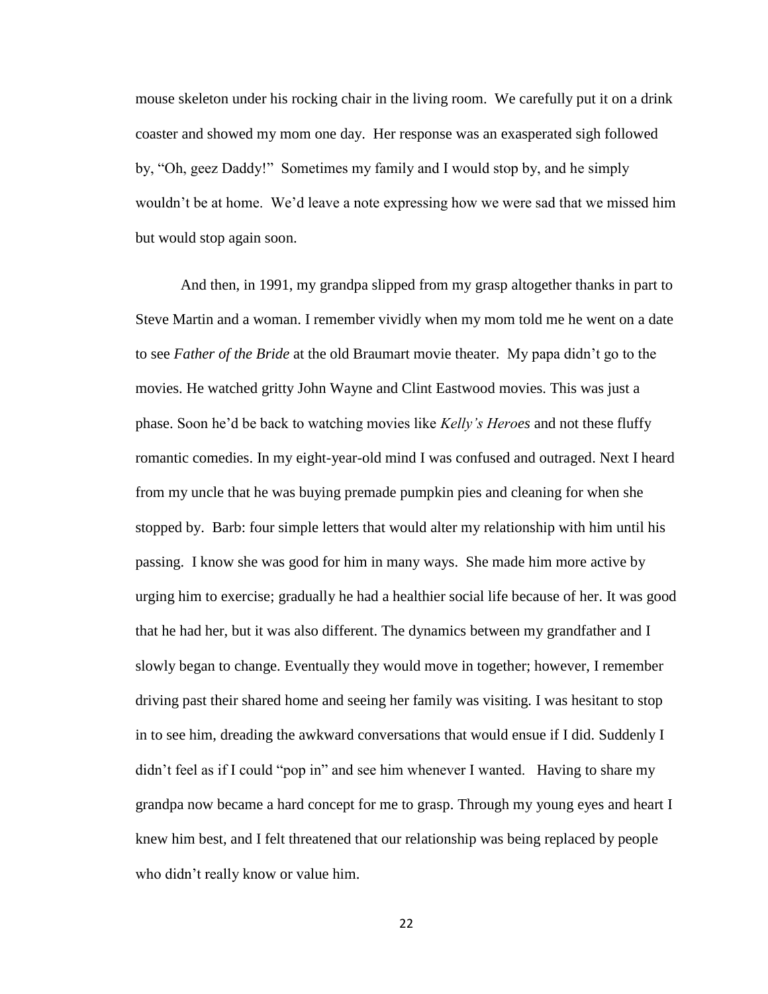mouse skeleton under his rocking chair in the living room. We carefully put it on a drink coaster and showed my mom one day. Her response was an exasperated sigh followed by, "Oh, geez Daddy!" Sometimes my family and I would stop by, and he simply wouldn't be at home. We'd leave a note expressing how we were sad that we missed him but would stop again soon.

And then, in 1991, my grandpa slipped from my grasp altogether thanks in part to Steve Martin and a woman. I remember vividly when my mom told me he went on a date to see *Father of the Bride* at the old Braumart movie theater. My papa didn't go to the movies. He watched gritty John Wayne and Clint Eastwood movies. This was just a phase. Soon he'd be back to watching movies like *Kelly's Heroes* and not these fluffy romantic comedies. In my eight-year-old mind I was confused and outraged. Next I heard from my uncle that he was buying premade pumpkin pies and cleaning for when she stopped by. Barb: four simple letters that would alter my relationship with him until his passing. I know she was good for him in many ways. She made him more active by urging him to exercise; gradually he had a healthier social life because of her. It was good that he had her, but it was also different. The dynamics between my grandfather and I slowly began to change. Eventually they would move in together; however, I remember driving past their shared home and seeing her family was visiting. I was hesitant to stop in to see him, dreading the awkward conversations that would ensue if I did. Suddenly I didn't feel as if I could "pop in" and see him whenever I wanted. Having to share my grandpa now became a hard concept for me to grasp. Through my young eyes and heart I knew him best, and I felt threatened that our relationship was being replaced by people who didn't really know or value him.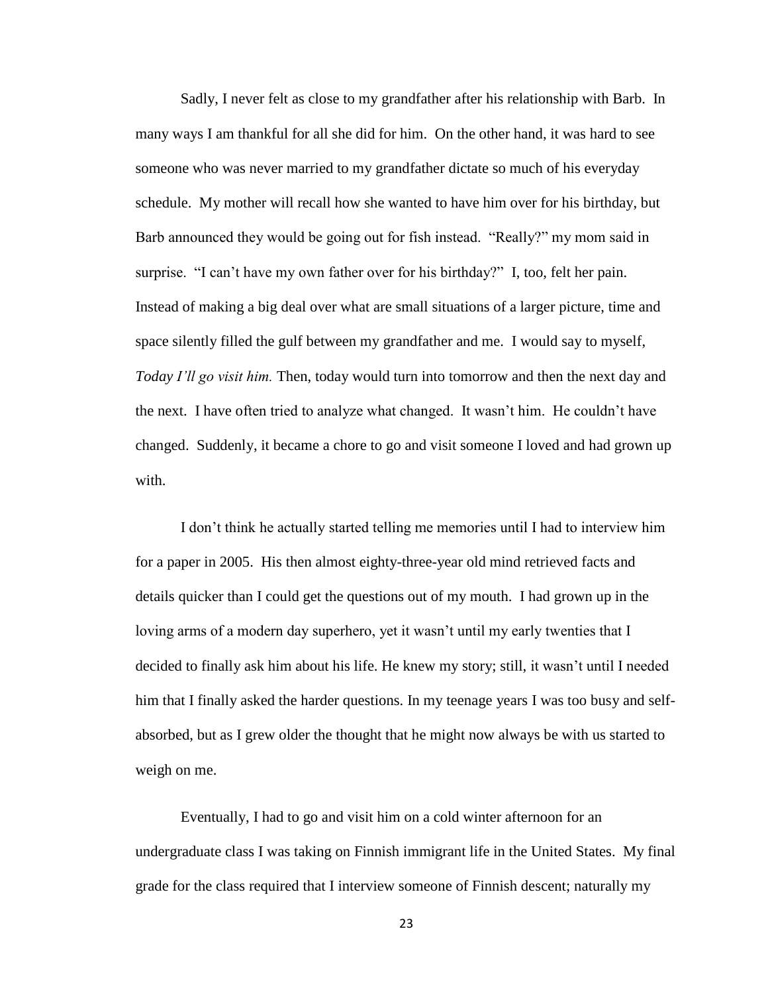Sadly, I never felt as close to my grandfather after his relationship with Barb. In many ways I am thankful for all she did for him. On the other hand, it was hard to see someone who was never married to my grandfather dictate so much of his everyday schedule. My mother will recall how she wanted to have him over for his birthday, but Barb announced they would be going out for fish instead. "Really?" my mom said in surprise. "I can't have my own father over for his birthday?" I, too, felt her pain. Instead of making a big deal over what are small situations of a larger picture, time and space silently filled the gulf between my grandfather and me. I would say to myself, *Today I'll go visit him.* Then, today would turn into tomorrow and then the next day and the next. I have often tried to analyze what changed. It wasn't him. He couldn't have changed. Suddenly, it became a chore to go and visit someone I loved and had grown up with.

I don't think he actually started telling me memories until I had to interview him for a paper in 2005. His then almost eighty-three-year old mind retrieved facts and details quicker than I could get the questions out of my mouth. I had grown up in the loving arms of a modern day superhero, yet it wasn't until my early twenties that I decided to finally ask him about his life. He knew my story; still, it wasn't until I needed him that I finally asked the harder questions. In my teenage years I was too busy and selfabsorbed, but as I grew older the thought that he might now always be with us started to weigh on me.

Eventually, I had to go and visit him on a cold winter afternoon for an undergraduate class I was taking on Finnish immigrant life in the United States. My final grade for the class required that I interview someone of Finnish descent; naturally my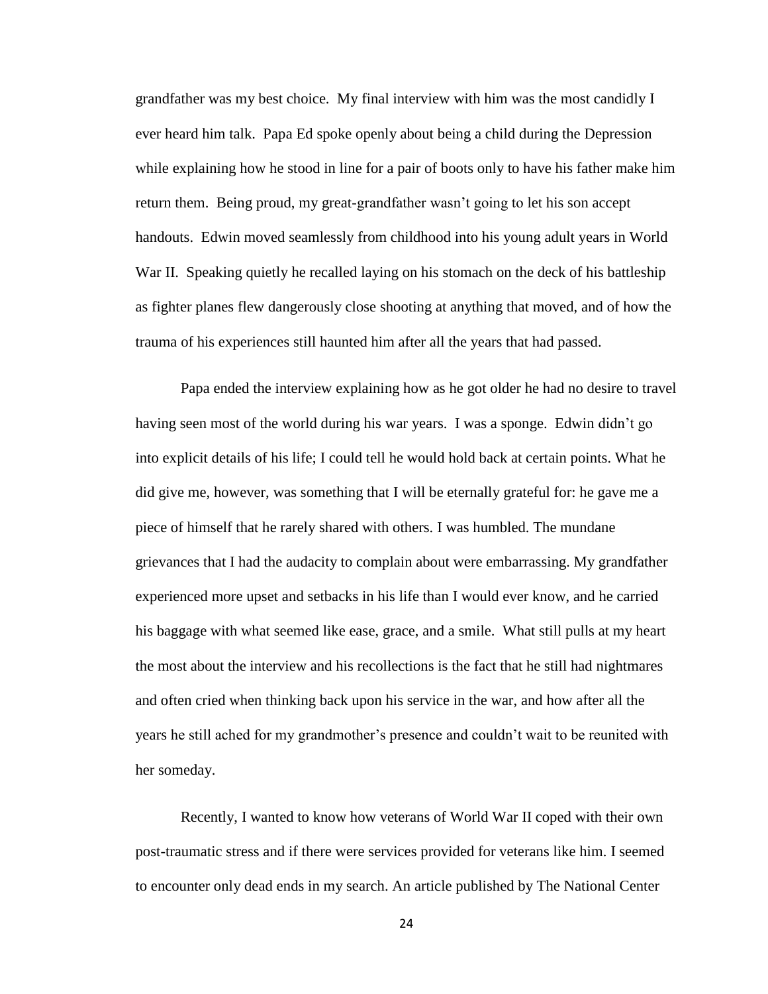grandfather was my best choice. My final interview with him was the most candidly I ever heard him talk. Papa Ed spoke openly about being a child during the Depression while explaining how he stood in line for a pair of boots only to have his father make him return them. Being proud, my great-grandfather wasn't going to let his son accept handouts. Edwin moved seamlessly from childhood into his young adult years in World War II. Speaking quietly he recalled laying on his stomach on the deck of his battleship as fighter planes flew dangerously close shooting at anything that moved, and of how the trauma of his experiences still haunted him after all the years that had passed.

Papa ended the interview explaining how as he got older he had no desire to travel having seen most of the world during his war years. I was a sponge. Edwin didn't go into explicit details of his life; I could tell he would hold back at certain points. What he did give me, however, was something that I will be eternally grateful for: he gave me a piece of himself that he rarely shared with others. I was humbled. The mundane grievances that I had the audacity to complain about were embarrassing. My grandfather experienced more upset and setbacks in his life than I would ever know, and he carried his baggage with what seemed like ease, grace, and a smile. What still pulls at my heart the most about the interview and his recollections is the fact that he still had nightmares and often cried when thinking back upon his service in the war, and how after all the years he still ached for my grandmother's presence and couldn't wait to be reunited with her someday.

Recently, I wanted to know how veterans of World War II coped with their own post-traumatic stress and if there were services provided for veterans like him. I seemed to encounter only dead ends in my search. An article published by The National Center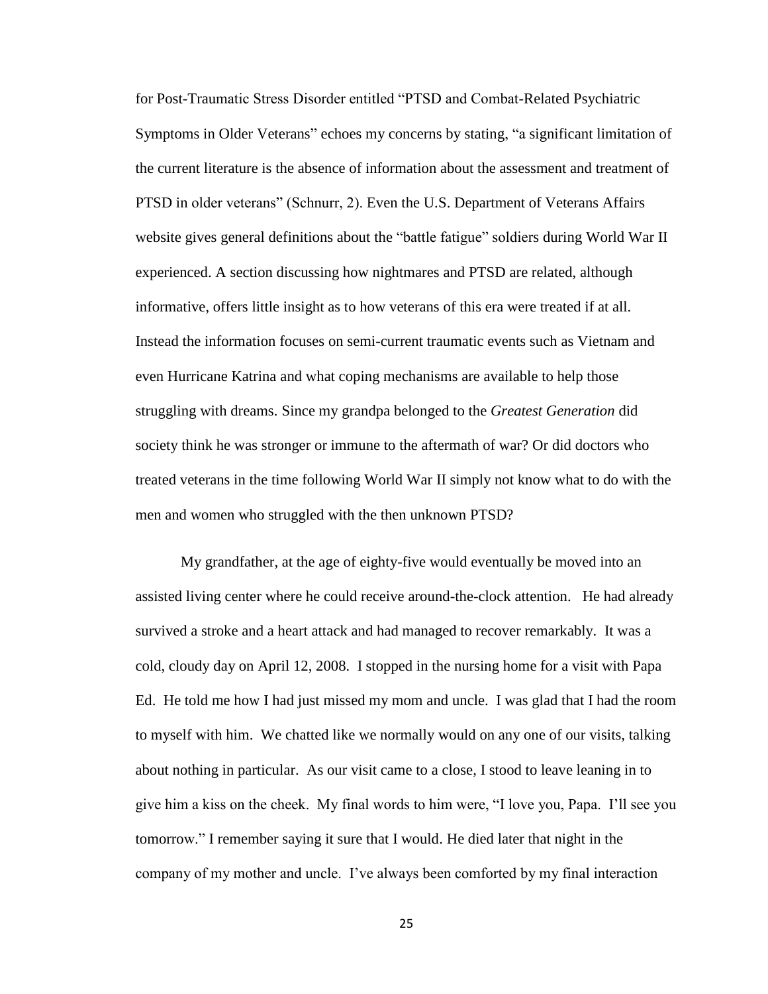for Post-Traumatic Stress Disorder entitled "PTSD and Combat-Related Psychiatric Symptoms in Older Veterans" echoes my concerns by stating, "a significant limitation of the current literature is the absence of information about the assessment and treatment of PTSD in older veterans" (Schnurr, 2). Even the U.S. Department of Veterans Affairs website gives general definitions about the "battle fatigue" soldiers during World War II experienced. A section discussing how nightmares and PTSD are related, although informative, offers little insight as to how veterans of this era were treated if at all. Instead the information focuses on semi-current traumatic events such as Vietnam and even Hurricane Katrina and what coping mechanisms are available to help those struggling with dreams. Since my grandpa belonged to the *Greatest Generation* did society think he was stronger or immune to the aftermath of war? Or did doctors who treated veterans in the time following World War II simply not know what to do with the men and women who struggled with the then unknown PTSD?

My grandfather, at the age of eighty-five would eventually be moved into an assisted living center where he could receive around-the-clock attention. He had already survived a stroke and a heart attack and had managed to recover remarkably. It was a cold, cloudy day on April 12, 2008. I stopped in the nursing home for a visit with Papa Ed. He told me how I had just missed my mom and uncle. I was glad that I had the room to myself with him. We chatted like we normally would on any one of our visits, talking about nothing in particular. As our visit came to a close, I stood to leave leaning in to give him a kiss on the cheek. My final words to him were, "I love you, Papa. I'll see you tomorrow." I remember saying it sure that I would. He died later that night in the company of my mother and uncle. I've always been comforted by my final interaction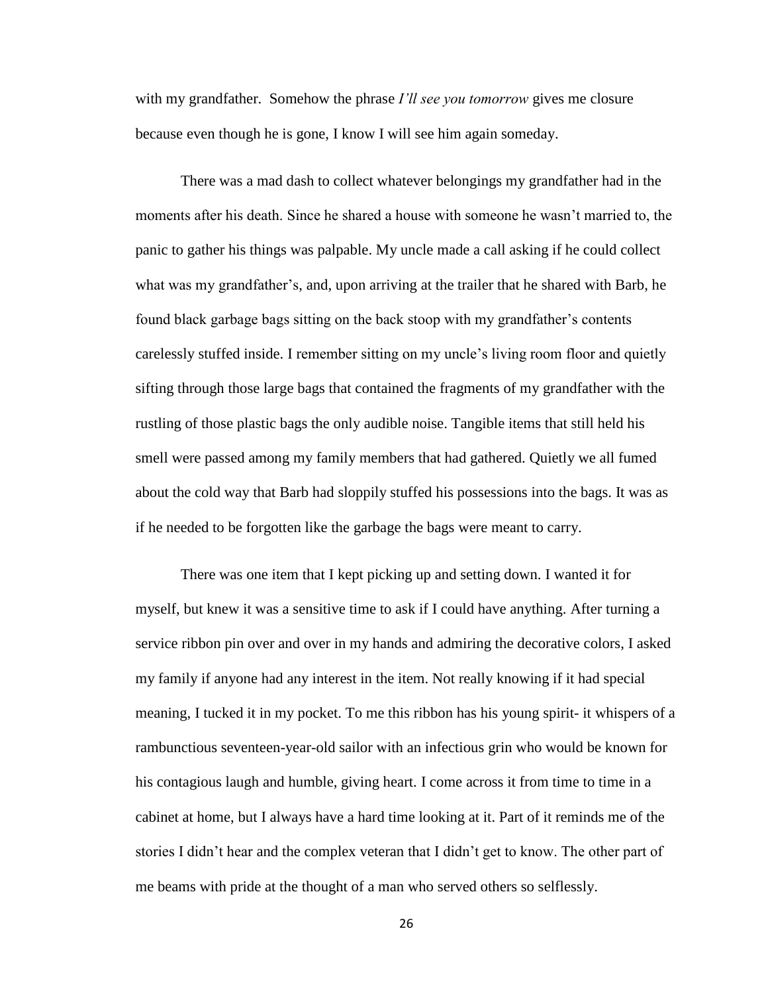with my grandfather. Somehow the phrase *I'll see you tomorrow* gives me closure because even though he is gone, I know I will see him again someday.

There was a mad dash to collect whatever belongings my grandfather had in the moments after his death. Since he shared a house with someone he wasn't married to, the panic to gather his things was palpable. My uncle made a call asking if he could collect what was my grandfather's, and, upon arriving at the trailer that he shared with Barb, he found black garbage bags sitting on the back stoop with my grandfather's contents carelessly stuffed inside. I remember sitting on my uncle's living room floor and quietly sifting through those large bags that contained the fragments of my grandfather with the rustling of those plastic bags the only audible noise. Tangible items that still held his smell were passed among my family members that had gathered. Quietly we all fumed about the cold way that Barb had sloppily stuffed his possessions into the bags. It was as if he needed to be forgotten like the garbage the bags were meant to carry.

There was one item that I kept picking up and setting down. I wanted it for myself, but knew it was a sensitive time to ask if I could have anything. After turning a service ribbon pin over and over in my hands and admiring the decorative colors, I asked my family if anyone had any interest in the item. Not really knowing if it had special meaning, I tucked it in my pocket. To me this ribbon has his young spirit- it whispers of a rambunctious seventeen-year-old sailor with an infectious grin who would be known for his contagious laugh and humble, giving heart. I come across it from time to time in a cabinet at home, but I always have a hard time looking at it. Part of it reminds me of the stories I didn't hear and the complex veteran that I didn't get to know. The other part of me beams with pride at the thought of a man who served others so selflessly.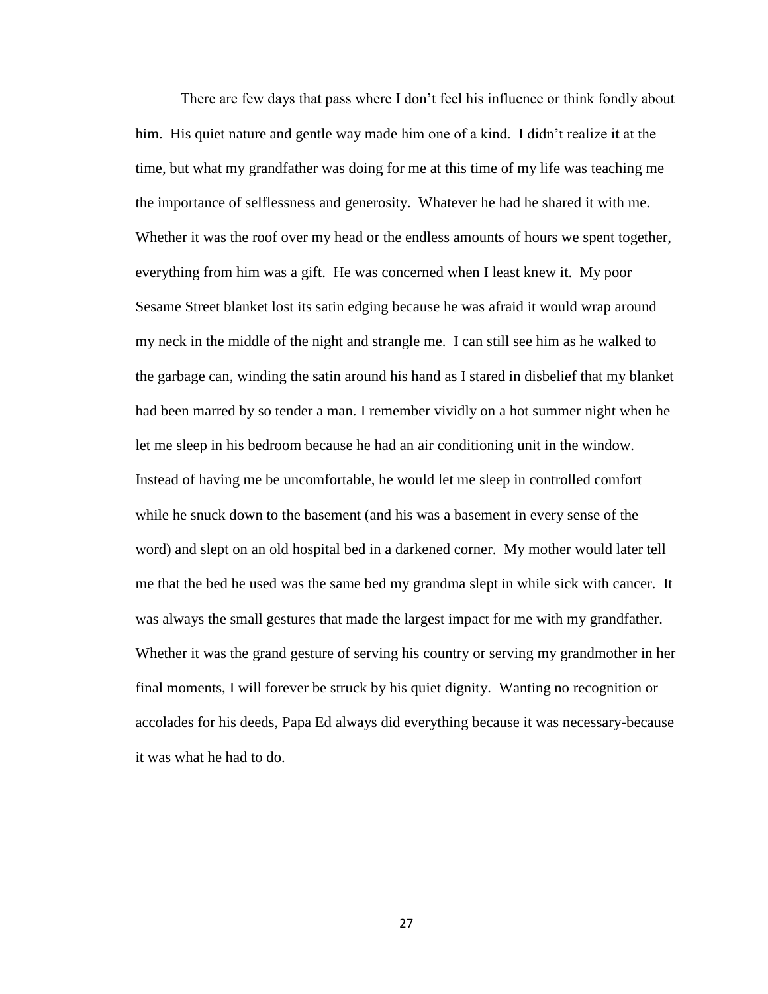There are few days that pass where I don't feel his influence or think fondly about him. His quiet nature and gentle way made him one of a kind. I didn't realize it at the time, but what my grandfather was doing for me at this time of my life was teaching me the importance of selflessness and generosity. Whatever he had he shared it with me. Whether it was the roof over my head or the endless amounts of hours we spent together, everything from him was a gift. He was concerned when I least knew it. My poor Sesame Street blanket lost its satin edging because he was afraid it would wrap around my neck in the middle of the night and strangle me. I can still see him as he walked to the garbage can, winding the satin around his hand as I stared in disbelief that my blanket had been marred by so tender a man. I remember vividly on a hot summer night when he let me sleep in his bedroom because he had an air conditioning unit in the window. Instead of having me be uncomfortable, he would let me sleep in controlled comfort while he snuck down to the basement (and his was a basement in every sense of the word) and slept on an old hospital bed in a darkened corner. My mother would later tell me that the bed he used was the same bed my grandma slept in while sick with cancer. It was always the small gestures that made the largest impact for me with my grandfather. Whether it was the grand gesture of serving his country or serving my grandmother in her final moments, I will forever be struck by his quiet dignity. Wanting no recognition or accolades for his deeds, Papa Ed always did everything because it was necessary-because it was what he had to do.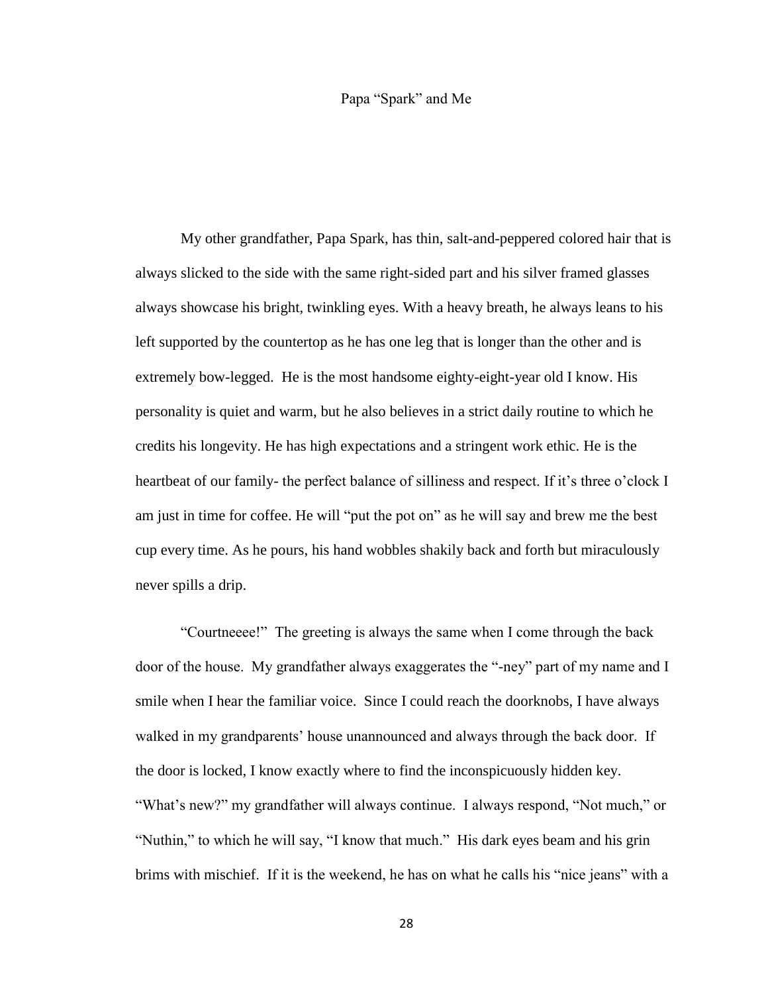#### Papa "Spark" and Me

<span id="page-35-0"></span>My other grandfather, Papa Spark, has thin, salt-and-peppered colored hair that is always slicked to the side with the same right-sided part and his silver framed glasses always showcase his bright, twinkling eyes. With a heavy breath, he always leans to his left supported by the countertop as he has one leg that is longer than the other and is extremely bow-legged. He is the most handsome eighty-eight-year old I know. His personality is quiet and warm, but he also believes in a strict daily routine to which he credits his longevity. He has high expectations and a stringent work ethic. He is the heartbeat of our family- the perfect balance of silliness and respect. If it's three o'clock I am just in time for coffee. He will "put the pot on" as he will say and brew me the best cup every time. As he pours, his hand wobbles shakily back and forth but miraculously never spills a drip.

"Courtneeee!" The greeting is always the same when I come through the back door of the house. My grandfather always exaggerates the "-ney" part of my name and I smile when I hear the familiar voice. Since I could reach the doorknobs, I have always walked in my grandparents' house unannounced and always through the back door. If the door is locked, I know exactly where to find the inconspicuously hidden key. "What's new?" my grandfather will always continue. I always respond, "Not much," or "Nuthin," to which he will say, "I know that much." His dark eyes beam and his grin brims with mischief. If it is the weekend, he has on what he calls his "nice jeans" with a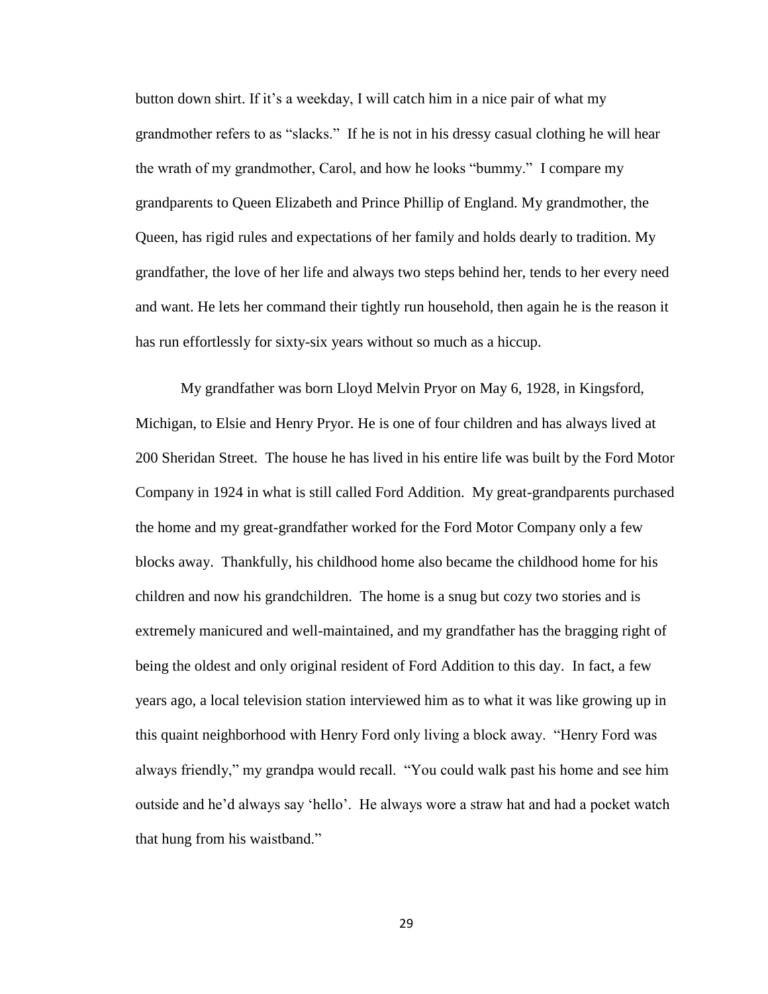button down shirt. If it's a weekday, I will catch him in a nice pair of what my grandmother refers to as "slacks." If he is not in his dressy casual clothing he will hear the wrath of my grandmother, Carol, and how he looks "bummy." I compare my grandparents to Queen Elizabeth and Prince Phillip of England. My grandmother, the Queen, has rigid rules and expectations of her family and holds dearly to tradition. My grandfather, the love of her life and always two steps behind her, tends to her every need and want. He lets her command their tightly run household, then again he is the reason it has run effortlessly for sixty-six years without so much as a hiccup.

My grandfather was born Lloyd Melvin Pryor on May 6, 1928, in Kingsford, Michigan, to Elsie and Henry Pryor. He is one of four children and has always lived at 200 Sheridan Street. The house he has lived in his entire life was built by the Ford Motor Company in 1924 in what is still called Ford Addition. My great-grandparents purchased the home and my great-grandfather worked for the Ford Motor Company only a few blocks away. Thankfully, his childhood home also became the childhood home for his children and now his grandchildren. The home is a snug but cozy two stories and is extremely manicured and well-maintained, and my grandfather has the bragging right of being the oldest and only original resident of Ford Addition to this day. In fact, a few years ago, a local television station interviewed him as to what it was like growing up in this quaint neighborhood with Henry Ford only living a block away. "Henry Ford was always friendly," my grandpa would recall. "You could walk past his home and see him outside and he'd always say 'hello'. He always wore a straw hat and had a pocket watch that hung from his waistband."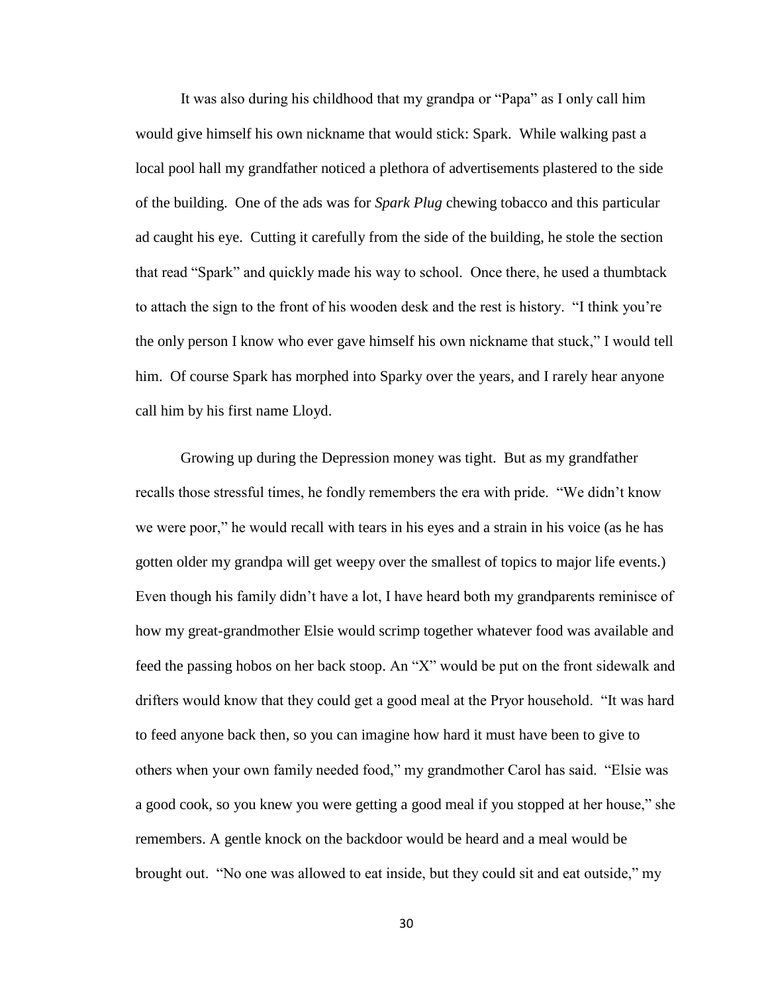It was also during his childhood that my grandpa or "Papa" as I only call him would give himself his own nickname that would stick: Spark. While walking past a local pool hall my grandfather noticed a plethora of advertisements plastered to the side of the building. One of the ads was for *Spark Plug* chewing tobacco and this particular ad caught his eye. Cutting it carefully from the side of the building, he stole the section that read "Spark" and quickly made his way to school. Once there, he used a thumbtack to attach the sign to the front of his wooden desk and the rest is history. "I think you're the only person I know who ever gave himself his own nickname that stuck," I would tell him. Of course Spark has morphed into Sparky over the years, and I rarely hear anyone call him by his first name Lloyd.

Growing up during the Depression money was tight. But as my grandfather recalls those stressful times, he fondly remembers the era with pride. "We didn't know we were poor," he would recall with tears in his eyes and a strain in his voice (as he has gotten older my grandpa will get weepy over the smallest of topics to major life events.) Even though his family didn't have a lot, I have heard both my grandparents reminisce of how my great-grandmother Elsie would scrimp together whatever food was available and feed the passing hobos on her back stoop. An "X" would be put on the front sidewalk and drifters would know that they could get a good meal at the Pryor household. "It was hard to feed anyone back then, so you can imagine how hard it must have been to give to others when your own family needed food," my grandmother Carol has said. "Elsie was a good cook, so you knew you were getting a good meal if you stopped at her house," she remembers. A gentle knock on the backdoor would be heard and a meal would be brought out. "No one was allowed to eat inside, but they could sit and eat outside," my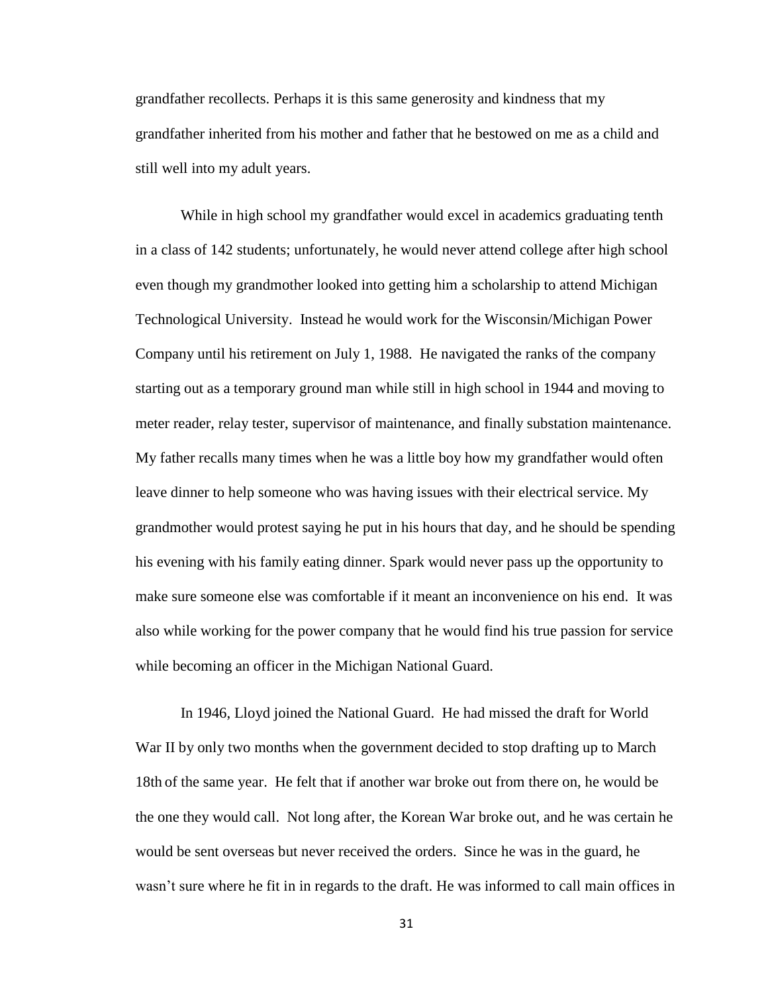grandfather recollects. Perhaps it is this same generosity and kindness that my grandfather inherited from his mother and father that he bestowed on me as a child and still well into my adult years.

While in high school my grandfather would excel in academics graduating tenth in a class of 142 students; unfortunately, he would never attend college after high school even though my grandmother looked into getting him a scholarship to attend Michigan Technological University. Instead he would work for the Wisconsin/Michigan Power Company until his retirement on July 1, 1988. He navigated the ranks of the company starting out as a temporary ground man while still in high school in 1944 and moving to meter reader, relay tester, supervisor of maintenance, and finally substation maintenance. My father recalls many times when he was a little boy how my grandfather would often leave dinner to help someone who was having issues with their electrical service. My grandmother would protest saying he put in his hours that day, and he should be spending his evening with his family eating dinner. Spark would never pass up the opportunity to make sure someone else was comfortable if it meant an inconvenience on his end. It was also while working for the power company that he would find his true passion for service while becoming an officer in the Michigan National Guard.

In 1946, Lloyd joined the National Guard. He had missed the draft for World War II by only two months when the government decided to stop drafting up to March 18th of the same year. He felt that if another war broke out from there on, he would be the one they would call. Not long after, the Korean War broke out, and he was certain he would be sent overseas but never received the orders. Since he was in the guard, he wasn't sure where he fit in in regards to the draft. He was informed to call main offices in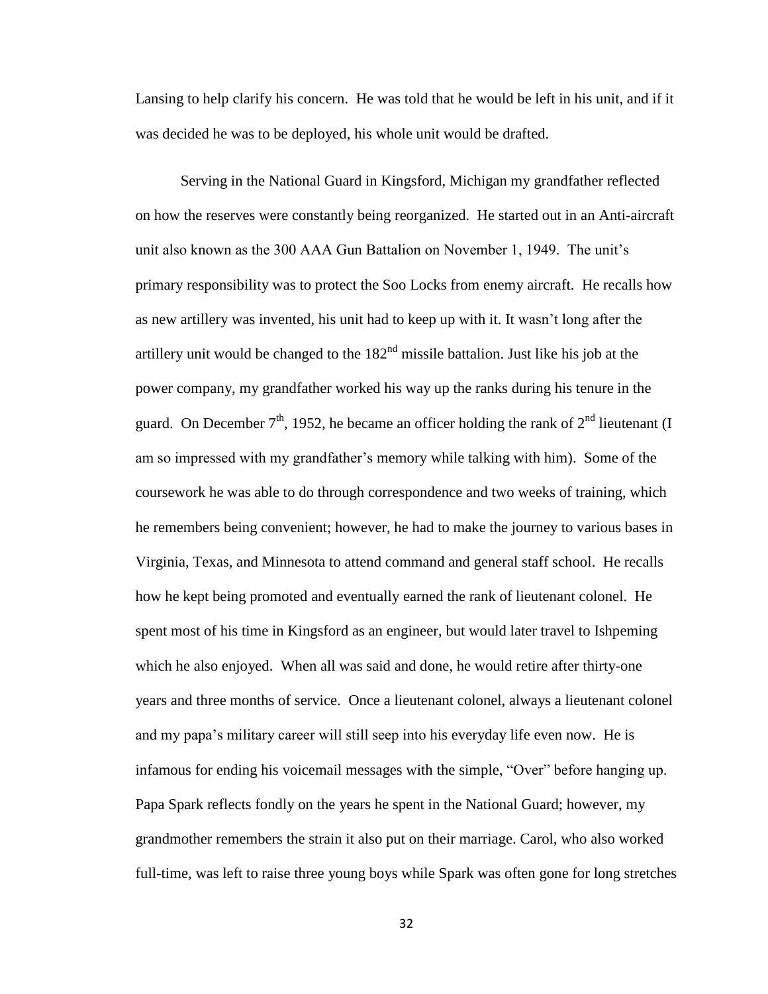Lansing to help clarify his concern. He was told that he would be left in his unit, and if it was decided he was to be deployed, his whole unit would be drafted.

Serving in the National Guard in Kingsford, Michigan my grandfather reflected on how the reserves were constantly being reorganized. He started out in an Anti-aircraft unit also known as the 300 AAA Gun Battalion on November 1, 1949. The unit's primary responsibility was to protect the Soo Locks from enemy aircraft. He recalls how as new artillery was invented, his unit had to keep up with it. It wasn't long after the artillery unit would be changed to the  $182<sup>nd</sup>$  missile battalion. Just like his job at the power company, my grandfather worked his way up the ranks during his tenure in the guard. On December  $7<sup>th</sup>$ , 1952, he became an officer holding the rank of  $2<sup>nd</sup>$  lieutenant (I am so impressed with my grandfather's memory while talking with him). Some of the coursework he was able to do through correspondence and two weeks of training, which he remembers being convenient; however, he had to make the journey to various bases in Virginia, Texas, and Minnesota to attend command and general staff school. He recalls how he kept being promoted and eventually earned the rank of lieutenant colonel. He spent most of his time in Kingsford as an engineer, but would later travel to Ishpeming which he also enjoyed. When all was said and done, he would retire after thirty-one years and three months of service. Once a lieutenant colonel, always a lieutenant colonel and my papa's military career will still seep into his everyday life even now. He is infamous for ending his voicemail messages with the simple, "Over" before hanging up. Papa Spark reflects fondly on the years he spent in the National Guard; however, my grandmother remembers the strain it also put on their marriage. Carol, who also worked full-time, was left to raise three young boys while Spark was often gone for long stretches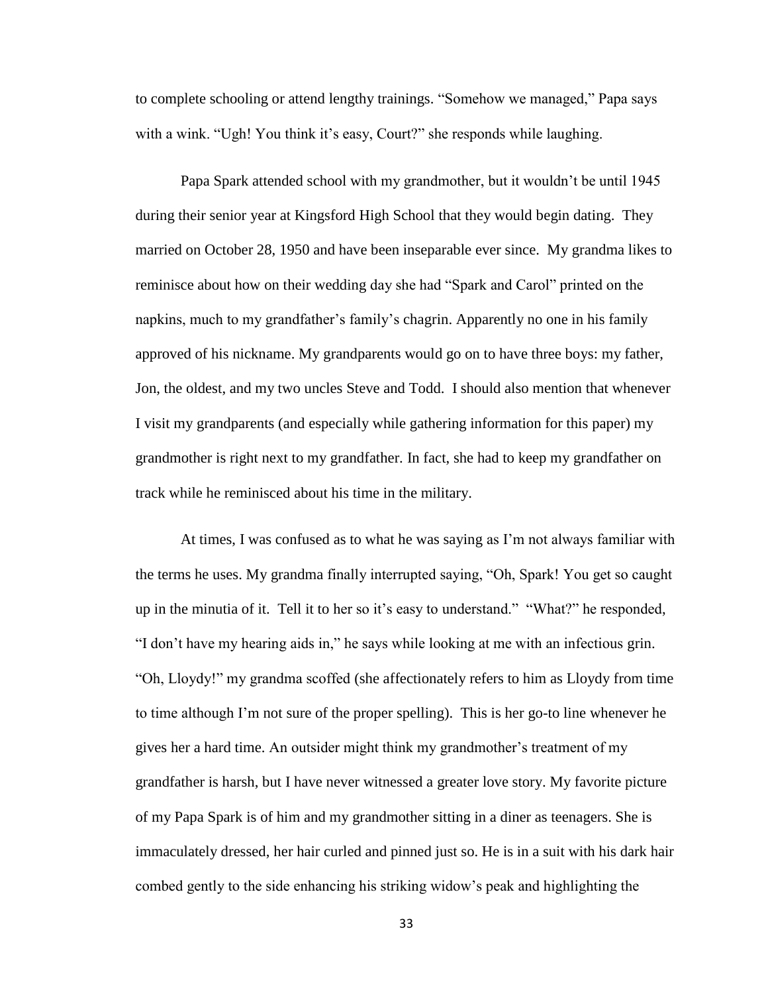to complete schooling or attend lengthy trainings. "Somehow we managed," Papa says with a wink. "Ugh! You think it's easy, Court?" she responds while laughing.

Papa Spark attended school with my grandmother, but it wouldn't be until 1945 during their senior year at Kingsford High School that they would begin dating. They married on October 28, 1950 and have been inseparable ever since. My grandma likes to reminisce about how on their wedding day she had "Spark and Carol" printed on the napkins, much to my grandfather's family's chagrin. Apparently no one in his family approved of his nickname. My grandparents would go on to have three boys: my father, Jon, the oldest, and my two uncles Steve and Todd. I should also mention that whenever I visit my grandparents (and especially while gathering information for this paper) my grandmother is right next to my grandfather. In fact, she had to keep my grandfather on track while he reminisced about his time in the military.

At times, I was confused as to what he was saying as I'm not always familiar with the terms he uses. My grandma finally interrupted saying, "Oh, Spark! You get so caught up in the minutia of it. Tell it to her so it's easy to understand." "What?" he responded, "I don't have my hearing aids in," he says while looking at me with an infectious grin. "Oh, Lloydy!" my grandma scoffed (she affectionately refers to him as Lloydy from time to time although I'm not sure of the proper spelling). This is her go-to line whenever he gives her a hard time. An outsider might think my grandmother's treatment of my grandfather is harsh, but I have never witnessed a greater love story. My favorite picture of my Papa Spark is of him and my grandmother sitting in a diner as teenagers. She is immaculately dressed, her hair curled and pinned just so. He is in a suit with his dark hair combed gently to the side enhancing his striking widow's peak and highlighting the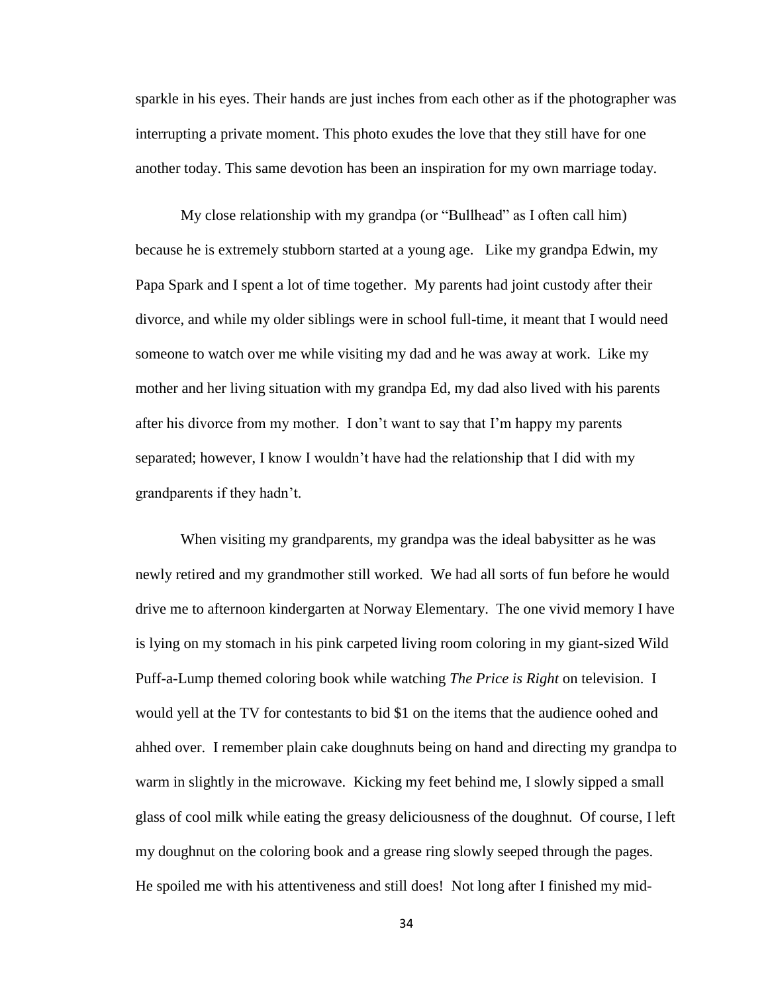sparkle in his eyes. Their hands are just inches from each other as if the photographer was interrupting a private moment. This photo exudes the love that they still have for one another today. This same devotion has been an inspiration for my own marriage today.

My close relationship with my grandpa (or "Bullhead" as I often call him) because he is extremely stubborn started at a young age. Like my grandpa Edwin, my Papa Spark and I spent a lot of time together. My parents had joint custody after their divorce, and while my older siblings were in school full-time, it meant that I would need someone to watch over me while visiting my dad and he was away at work. Like my mother and her living situation with my grandpa Ed, my dad also lived with his parents after his divorce from my mother. I don't want to say that I'm happy my parents separated; however, I know I wouldn't have had the relationship that I did with my grandparents if they hadn't.

When visiting my grandparents, my grandpa was the ideal babysitter as he was newly retired and my grandmother still worked. We had all sorts of fun before he would drive me to afternoon kindergarten at Norway Elementary. The one vivid memory I have is lying on my stomach in his pink carpeted living room coloring in my giant-sized Wild Puff-a-Lump themed coloring book while watching *The Price is Right* on television. I would yell at the TV for contestants to bid \$1 on the items that the audience oohed and ahhed over. I remember plain cake doughnuts being on hand and directing my grandpa to warm in slightly in the microwave. Kicking my feet behind me, I slowly sipped a small glass of cool milk while eating the greasy deliciousness of the doughnut. Of course, I left my doughnut on the coloring book and a grease ring slowly seeped through the pages. He spoiled me with his attentiveness and still does! Not long after I finished my mid-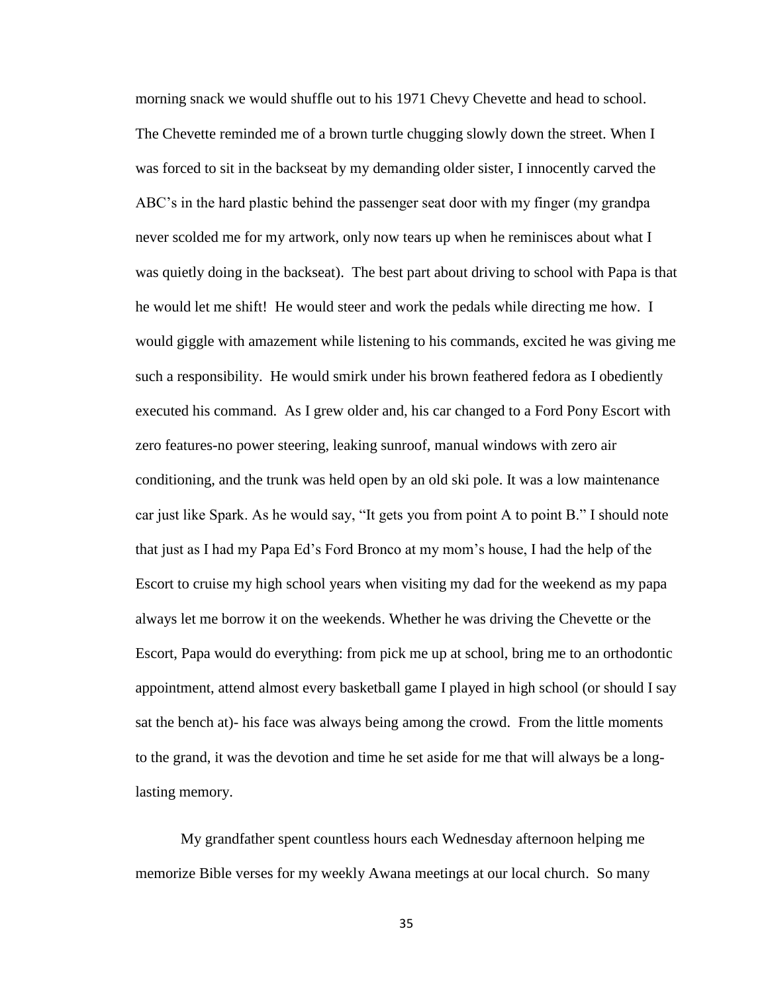morning snack we would shuffle out to his 1971 Chevy Chevette and head to school. The Chevette reminded me of a brown turtle chugging slowly down the street. When I was forced to sit in the backseat by my demanding older sister, I innocently carved the ABC's in the hard plastic behind the passenger seat door with my finger (my grandpa never scolded me for my artwork, only now tears up when he reminisces about what I was quietly doing in the backseat). The best part about driving to school with Papa is that he would let me shift! He would steer and work the pedals while directing me how. I would giggle with amazement while listening to his commands, excited he was giving me such a responsibility. He would smirk under his brown feathered fedora as I obediently executed his command. As I grew older and, his car changed to a Ford Pony Escort with zero features-no power steering, leaking sunroof, manual windows with zero air conditioning, and the trunk was held open by an old ski pole. It was a low maintenance car just like Spark. As he would say, "It gets you from point A to point B." I should note that just as I had my Papa Ed's Ford Bronco at my mom's house, I had the help of the Escort to cruise my high school years when visiting my dad for the weekend as my papa always let me borrow it on the weekends. Whether he was driving the Chevette or the Escort, Papa would do everything: from pick me up at school, bring me to an orthodontic appointment, attend almost every basketball game I played in high school (or should I say sat the bench at)- his face was always being among the crowd. From the little moments to the grand, it was the devotion and time he set aside for me that will always be a longlasting memory.

My grandfather spent countless hours each Wednesday afternoon helping me memorize Bible verses for my weekly Awana meetings at our local church. So many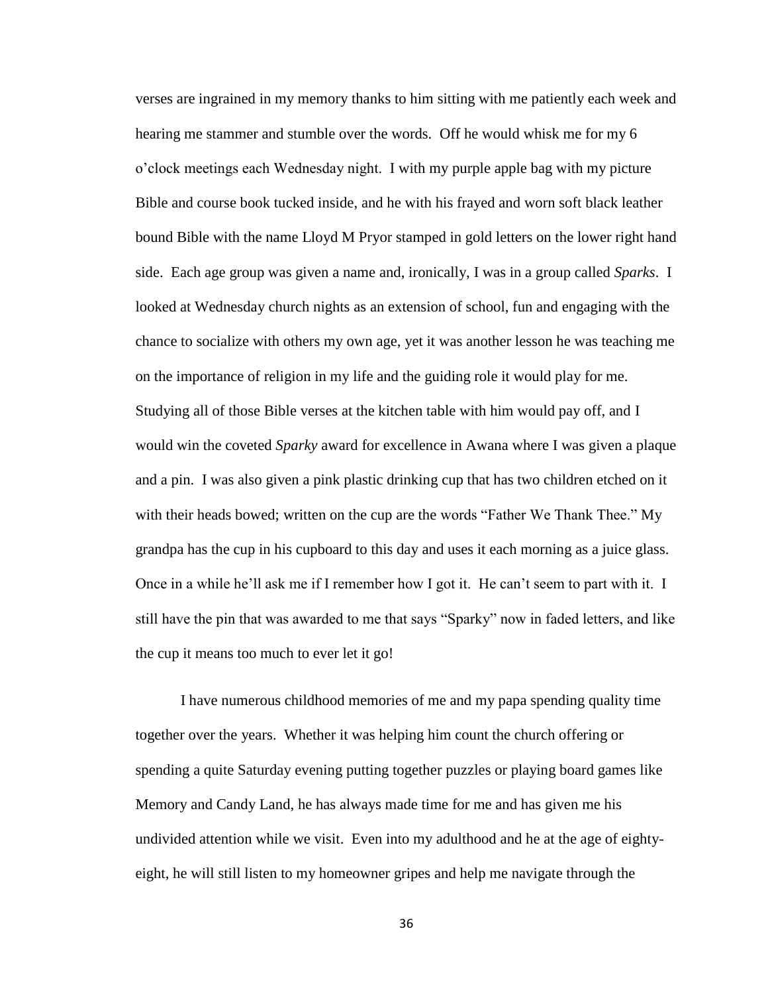verses are ingrained in my memory thanks to him sitting with me patiently each week and hearing me stammer and stumble over the words. Off he would whisk me for my 6 o'clock meetings each Wednesday night. I with my purple apple bag with my picture Bible and course book tucked inside, and he with his frayed and worn soft black leather bound Bible with the name Lloyd M Pryor stamped in gold letters on the lower right hand side. Each age group was given a name and, ironically, I was in a group called *Sparks*. I looked at Wednesday church nights as an extension of school, fun and engaging with the chance to socialize with others my own age, yet it was another lesson he was teaching me on the importance of religion in my life and the guiding role it would play for me. Studying all of those Bible verses at the kitchen table with him would pay off, and I would win the coveted *Sparky* award for excellence in Awana where I was given a plaque and a pin. I was also given a pink plastic drinking cup that has two children etched on it with their heads bowed; written on the cup are the words "Father We Thank Thee." My grandpa has the cup in his cupboard to this day and uses it each morning as a juice glass. Once in a while he'll ask me if I remember how I got it. He can't seem to part with it. I still have the pin that was awarded to me that says "Sparky" now in faded letters, and like the cup it means too much to ever let it go!

I have numerous childhood memories of me and my papa spending quality time together over the years. Whether it was helping him count the church offering or spending a quite Saturday evening putting together puzzles or playing board games like Memory and Candy Land, he has always made time for me and has given me his undivided attention while we visit. Even into my adulthood and he at the age of eightyeight, he will still listen to my homeowner gripes and help me navigate through the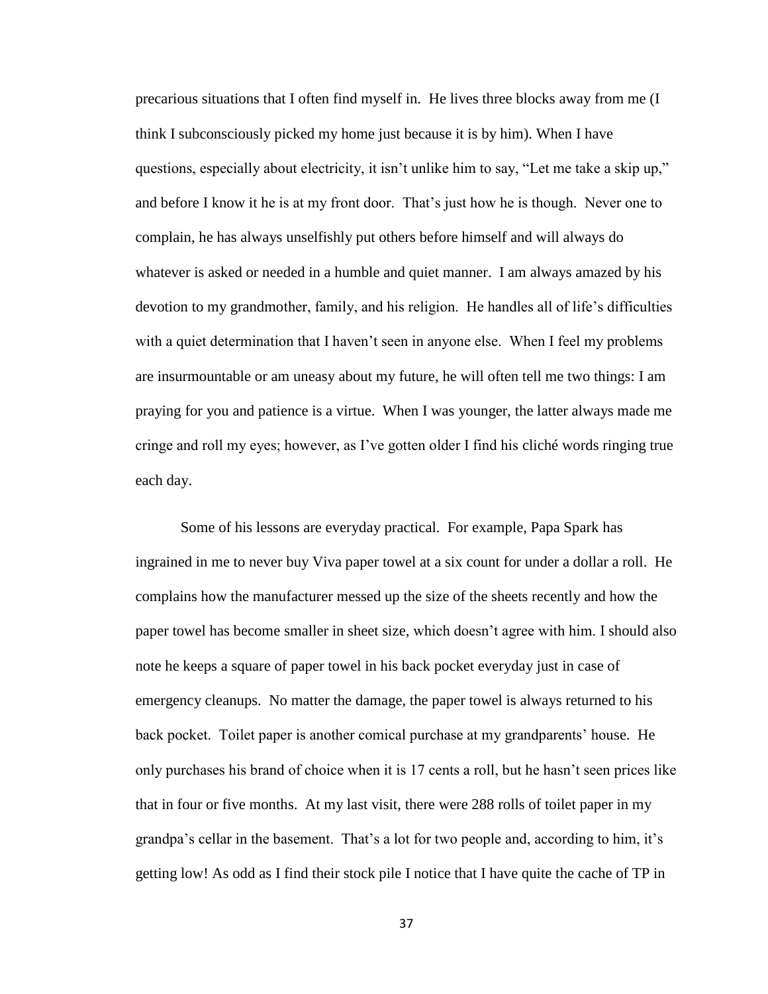precarious situations that I often find myself in. He lives three blocks away from me (I think I subconsciously picked my home just because it is by him). When I have questions, especially about electricity, it isn't unlike him to say, "Let me take a skip up," and before I know it he is at my front door. That's just how he is though. Never one to complain, he has always unselfishly put others before himself and will always do whatever is asked or needed in a humble and quiet manner. I am always amazed by his devotion to my grandmother, family, and his religion. He handles all of life's difficulties with a quiet determination that I haven't seen in anyone else. When I feel my problems are insurmountable or am uneasy about my future, he will often tell me two things: I am praying for you and patience is a virtue. When I was younger, the latter always made me cringe and roll my eyes; however, as I've gotten older I find his cliché words ringing true each day.

Some of his lessons are everyday practical. For example, Papa Spark has ingrained in me to never buy Viva paper towel at a six count for under a dollar a roll. He complains how the manufacturer messed up the size of the sheets recently and how the paper towel has become smaller in sheet size, which doesn't agree with him. I should also note he keeps a square of paper towel in his back pocket everyday just in case of emergency cleanups. No matter the damage, the paper towel is always returned to his back pocket. Toilet paper is another comical purchase at my grandparents' house. He only purchases his brand of choice when it is 17 cents a roll, but he hasn't seen prices like that in four or five months. At my last visit, there were 288 rolls of toilet paper in my grandpa's cellar in the basement. That's a lot for two people and, according to him, it's getting low! As odd as I find their stock pile I notice that I have quite the cache of TP in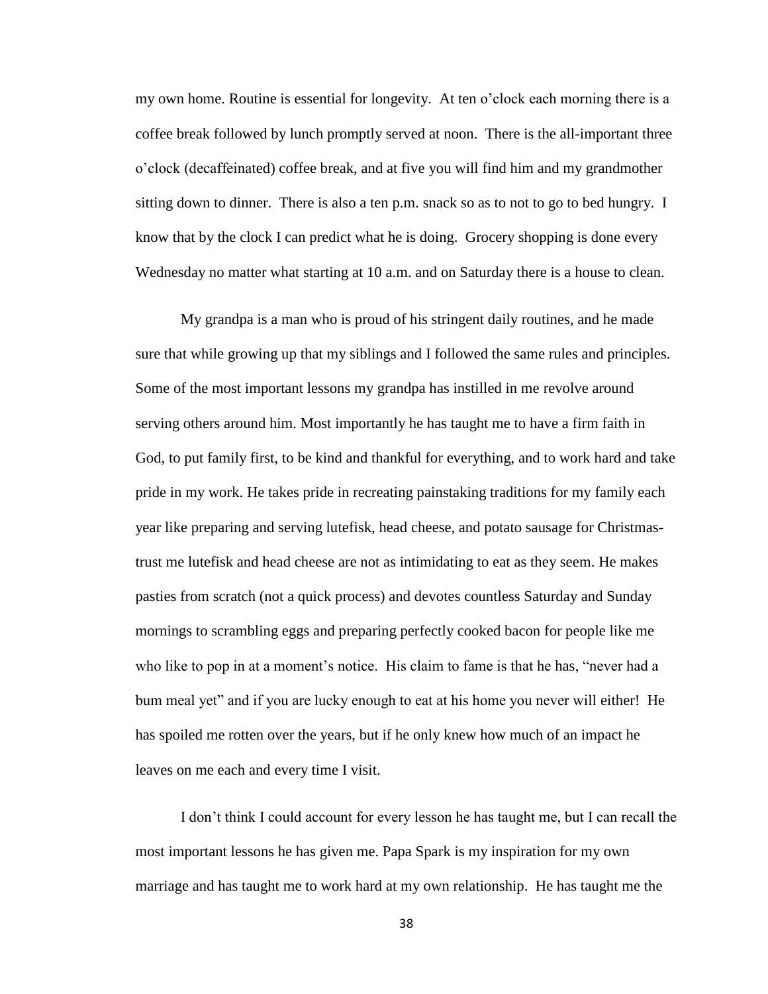my own home. Routine is essential for longevity. At ten o'clock each morning there is a coffee break followed by lunch promptly served at noon. There is the all-important three o'clock (decaffeinated) coffee break, and at five you will find him and my grandmother sitting down to dinner. There is also a ten p.m. snack so as to not to go to bed hungry. I know that by the clock I can predict what he is doing. Grocery shopping is done every Wednesday no matter what starting at 10 a.m. and on Saturday there is a house to clean.

My grandpa is a man who is proud of his stringent daily routines, and he made sure that while growing up that my siblings and I followed the same rules and principles. Some of the most important lessons my grandpa has instilled in me revolve around serving others around him. Most importantly he has taught me to have a firm faith in God, to put family first, to be kind and thankful for everything, and to work hard and take pride in my work. He takes pride in recreating painstaking traditions for my family each year like preparing and serving lutefisk, head cheese, and potato sausage for Christmastrust me lutefisk and head cheese are not as intimidating to eat as they seem. He makes pasties from scratch (not a quick process) and devotes countless Saturday and Sunday mornings to scrambling eggs and preparing perfectly cooked bacon for people like me who like to pop in at a moment's notice. His claim to fame is that he has, "never had a bum meal yet" and if you are lucky enough to eat at his home you never will either! He has spoiled me rotten over the years, but if he only knew how much of an impact he leaves on me each and every time I visit.

I don't think I could account for every lesson he has taught me, but I can recall the most important lessons he has given me. Papa Spark is my inspiration for my own marriage and has taught me to work hard at my own relationship. He has taught me the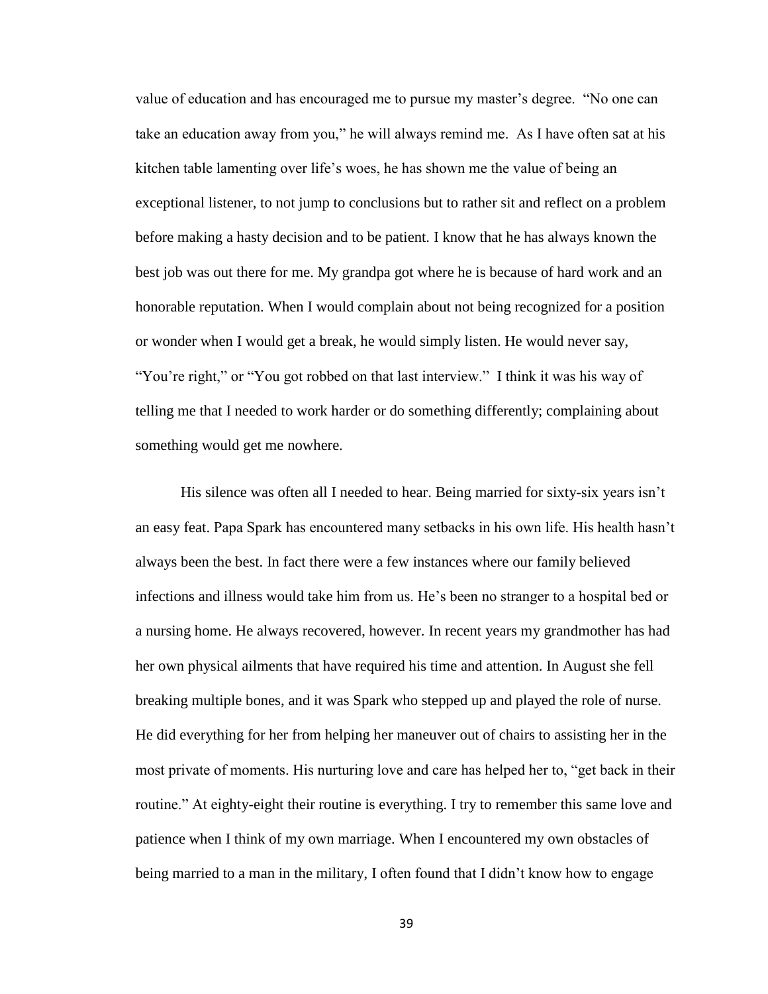value of education and has encouraged me to pursue my master's degree. "No one can take an education away from you," he will always remind me. As I have often sat at his kitchen table lamenting over life's woes, he has shown me the value of being an exceptional listener, to not jump to conclusions but to rather sit and reflect on a problem before making a hasty decision and to be patient. I know that he has always known the best job was out there for me. My grandpa got where he is because of hard work and an honorable reputation. When I would complain about not being recognized for a position or wonder when I would get a break, he would simply listen. He would never say, "You're right," or "You got robbed on that last interview." I think it was his way of telling me that I needed to work harder or do something differently; complaining about something would get me nowhere.

His silence was often all I needed to hear. Being married for sixty-six years isn't an easy feat. Papa Spark has encountered many setbacks in his own life. His health hasn't always been the best. In fact there were a few instances where our family believed infections and illness would take him from us. He's been no stranger to a hospital bed or a nursing home. He always recovered, however. In recent years my grandmother has had her own physical ailments that have required his time and attention. In August she fell breaking multiple bones, and it was Spark who stepped up and played the role of nurse. He did everything for her from helping her maneuver out of chairs to assisting her in the most private of moments. His nurturing love and care has helped her to, "get back in their routine." At eighty-eight their routine is everything. I try to remember this same love and patience when I think of my own marriage. When I encountered my own obstacles of being married to a man in the military, I often found that I didn't know how to engage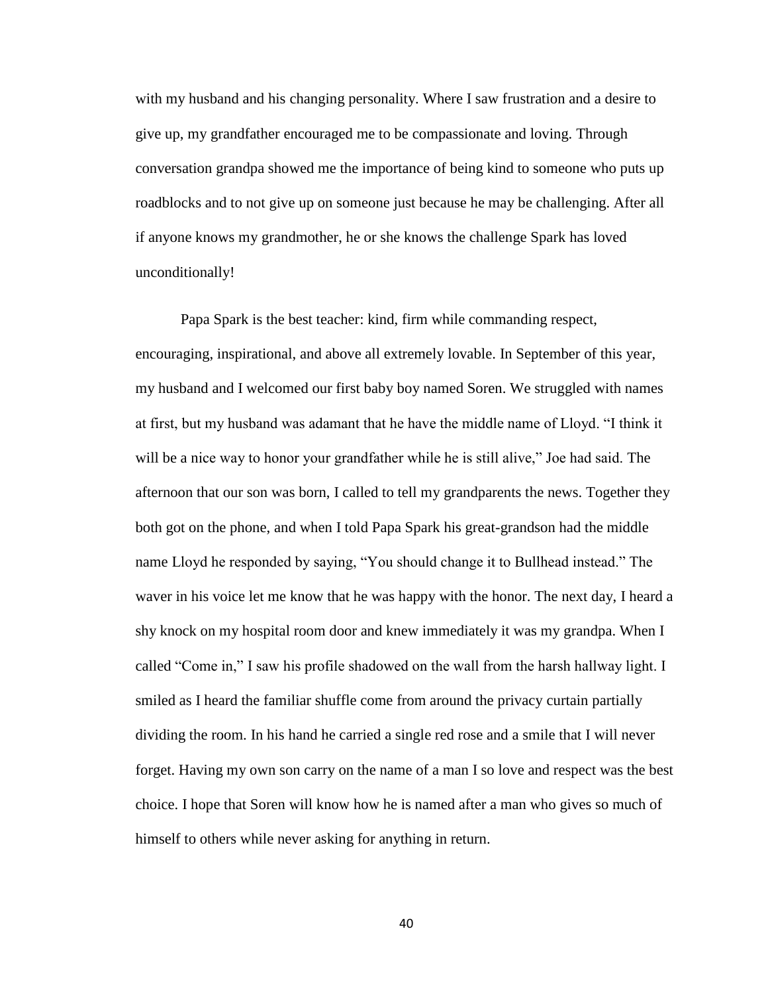with my husband and his changing personality. Where I saw frustration and a desire to give up, my grandfather encouraged me to be compassionate and loving. Through conversation grandpa showed me the importance of being kind to someone who puts up roadblocks and to not give up on someone just because he may be challenging. After all if anyone knows my grandmother, he or she knows the challenge Spark has loved unconditionally!

Papa Spark is the best teacher: kind, firm while commanding respect, encouraging, inspirational, and above all extremely lovable. In September of this year, my husband and I welcomed our first baby boy named Soren. We struggled with names at first, but my husband was adamant that he have the middle name of Lloyd. "I think it will be a nice way to honor your grandfather while he is still alive," Joe had said. The afternoon that our son was born, I called to tell my grandparents the news. Together they both got on the phone, and when I told Papa Spark his great-grandson had the middle name Lloyd he responded by saying, "You should change it to Bullhead instead." The waver in his voice let me know that he was happy with the honor. The next day, I heard a shy knock on my hospital room door and knew immediately it was my grandpa. When I called "Come in," I saw his profile shadowed on the wall from the harsh hallway light. I smiled as I heard the familiar shuffle come from around the privacy curtain partially dividing the room. In his hand he carried a single red rose and a smile that I will never forget. Having my own son carry on the name of a man I so love and respect was the best choice. I hope that Soren will know how he is named after a man who gives so much of himself to others while never asking for anything in return.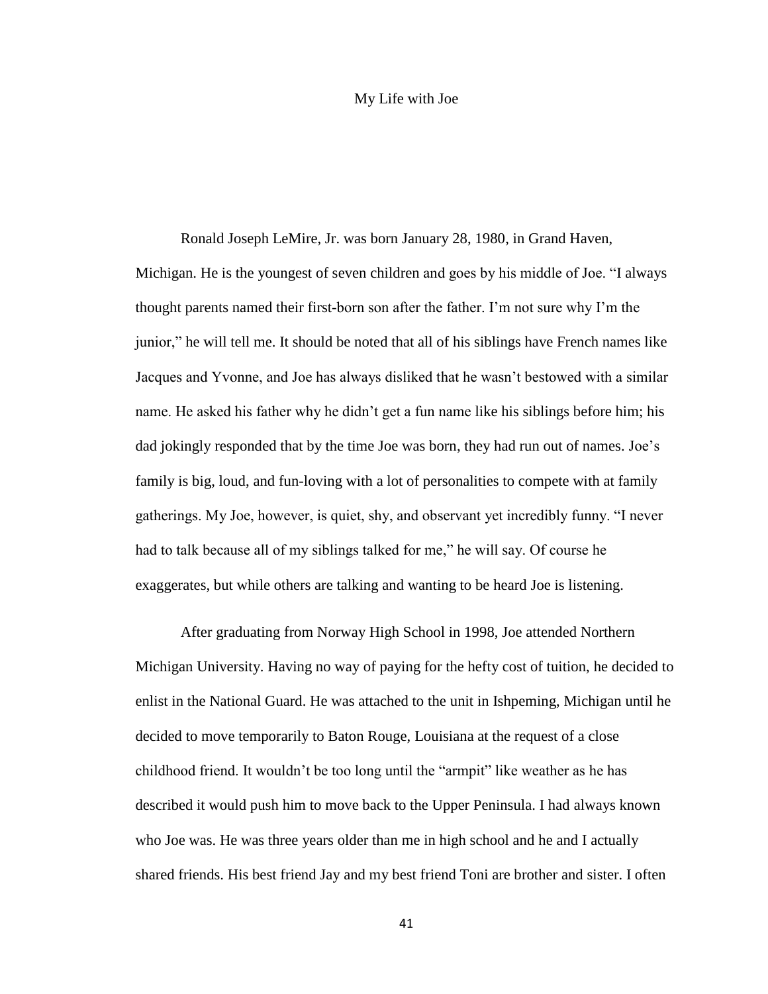#### My Life with Joe

<span id="page-48-0"></span>Ronald Joseph LeMire, Jr. was born January 28, 1980, in Grand Haven, Michigan. He is the youngest of seven children and goes by his middle of Joe. "I always thought parents named their first-born son after the father. I'm not sure why I'm the junior," he will tell me. It should be noted that all of his siblings have French names like Jacques and Yvonne, and Joe has always disliked that he wasn't bestowed with a similar name. He asked his father why he didn't get a fun name like his siblings before him; his dad jokingly responded that by the time Joe was born, they had run out of names. Joe's family is big, loud, and fun-loving with a lot of personalities to compete with at family gatherings. My Joe, however, is quiet, shy, and observant yet incredibly funny. "I never had to talk because all of my siblings talked for me," he will say. Of course he exaggerates, but while others are talking and wanting to be heard Joe is listening.

After graduating from Norway High School in 1998, Joe attended Northern Michigan University. Having no way of paying for the hefty cost of tuition, he decided to enlist in the National Guard. He was attached to the unit in Ishpeming, Michigan until he decided to move temporarily to Baton Rouge, Louisiana at the request of a close childhood friend. It wouldn't be too long until the "armpit" like weather as he has described it would push him to move back to the Upper Peninsula. I had always known who Joe was. He was three years older than me in high school and he and I actually shared friends. His best friend Jay and my best friend Toni are brother and sister. I often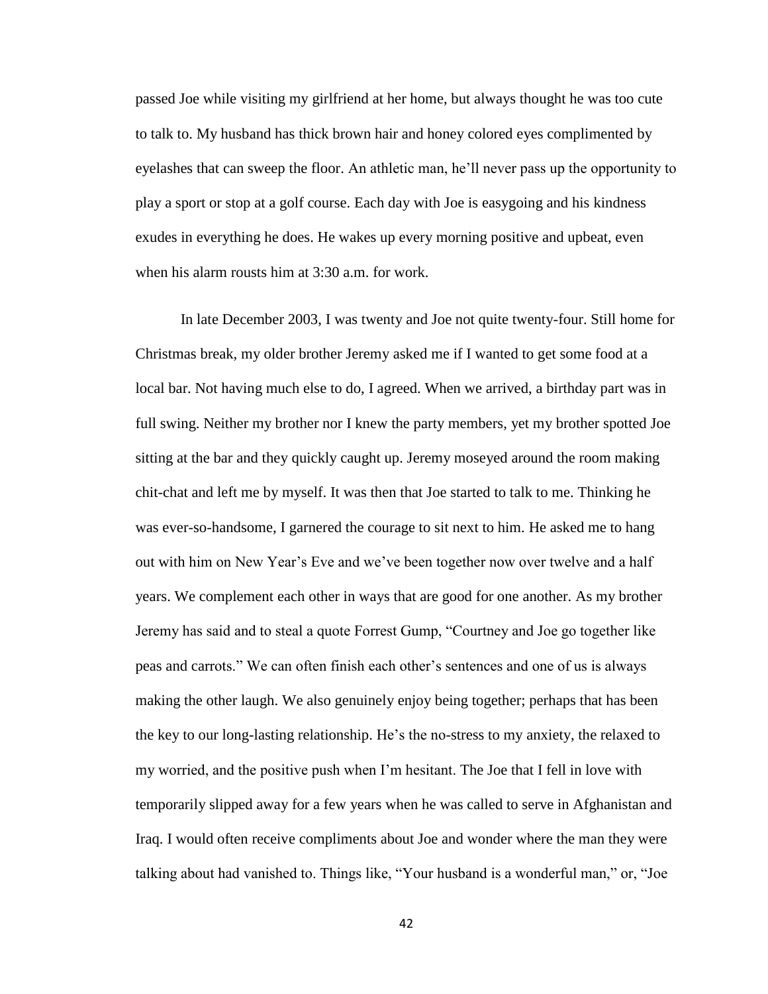passed Joe while visiting my girlfriend at her home, but always thought he was too cute to talk to. My husband has thick brown hair and honey colored eyes complimented by eyelashes that can sweep the floor. An athletic man, he'll never pass up the opportunity to play a sport or stop at a golf course. Each day with Joe is easygoing and his kindness exudes in everything he does. He wakes up every morning positive and upbeat, even when his alarm rousts him at 3:30 a.m. for work.

In late December 2003, I was twenty and Joe not quite twenty-four. Still home for Christmas break, my older brother Jeremy asked me if I wanted to get some food at a local bar. Not having much else to do, I agreed. When we arrived, a birthday part was in full swing. Neither my brother nor I knew the party members, yet my brother spotted Joe sitting at the bar and they quickly caught up. Jeremy moseyed around the room making chit-chat and left me by myself. It was then that Joe started to talk to me. Thinking he was ever-so-handsome, I garnered the courage to sit next to him. He asked me to hang out with him on New Year's Eve and we've been together now over twelve and a half years. We complement each other in ways that are good for one another. As my brother Jeremy has said and to steal a quote Forrest Gump, "Courtney and Joe go together like peas and carrots." We can often finish each other's sentences and one of us is always making the other laugh. We also genuinely enjoy being together; perhaps that has been the key to our long-lasting relationship. He's the no-stress to my anxiety, the relaxed to my worried, and the positive push when I'm hesitant. The Joe that I fell in love with temporarily slipped away for a few years when he was called to serve in Afghanistan and Iraq. I would often receive compliments about Joe and wonder where the man they were talking about had vanished to. Things like, "Your husband is a wonderful man," or, "Joe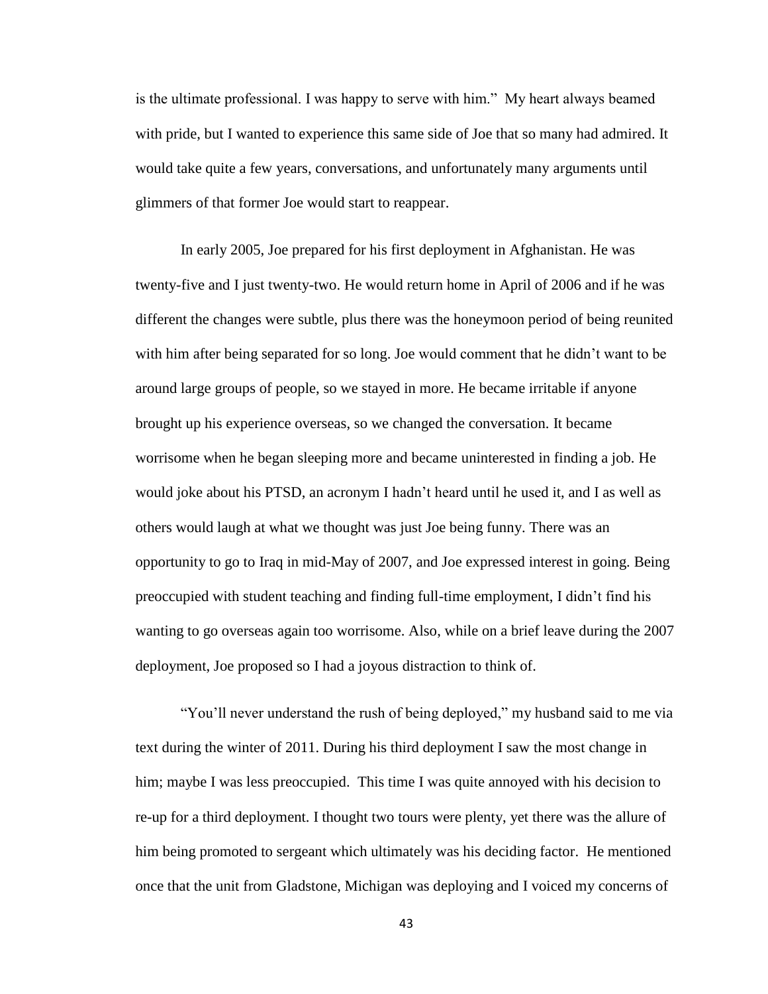is the ultimate professional. I was happy to serve with him." My heart always beamed with pride, but I wanted to experience this same side of Joe that so many had admired. It would take quite a few years, conversations, and unfortunately many arguments until glimmers of that former Joe would start to reappear.

In early 2005, Joe prepared for his first deployment in Afghanistan. He was twenty-five and I just twenty-two. He would return home in April of 2006 and if he was different the changes were subtle, plus there was the honeymoon period of being reunited with him after being separated for so long. Joe would comment that he didn't want to be around large groups of people, so we stayed in more. He became irritable if anyone brought up his experience overseas, so we changed the conversation. It became worrisome when he began sleeping more and became uninterested in finding a job. He would joke about his PTSD, an acronym I hadn't heard until he used it, and I as well as others would laugh at what we thought was just Joe being funny. There was an opportunity to go to Iraq in mid-May of 2007, and Joe expressed interest in going. Being preoccupied with student teaching and finding full-time employment, I didn't find his wanting to go overseas again too worrisome. Also, while on a brief leave during the 2007 deployment, Joe proposed so I had a joyous distraction to think of.

"You'll never understand the rush of being deployed," my husband said to me via text during the winter of 2011. During his third deployment I saw the most change in him; maybe I was less preoccupied. This time I was quite annoyed with his decision to re-up for a third deployment. I thought two tours were plenty, yet there was the allure of him being promoted to sergeant which ultimately was his deciding factor. He mentioned once that the unit from Gladstone, Michigan was deploying and I voiced my concerns of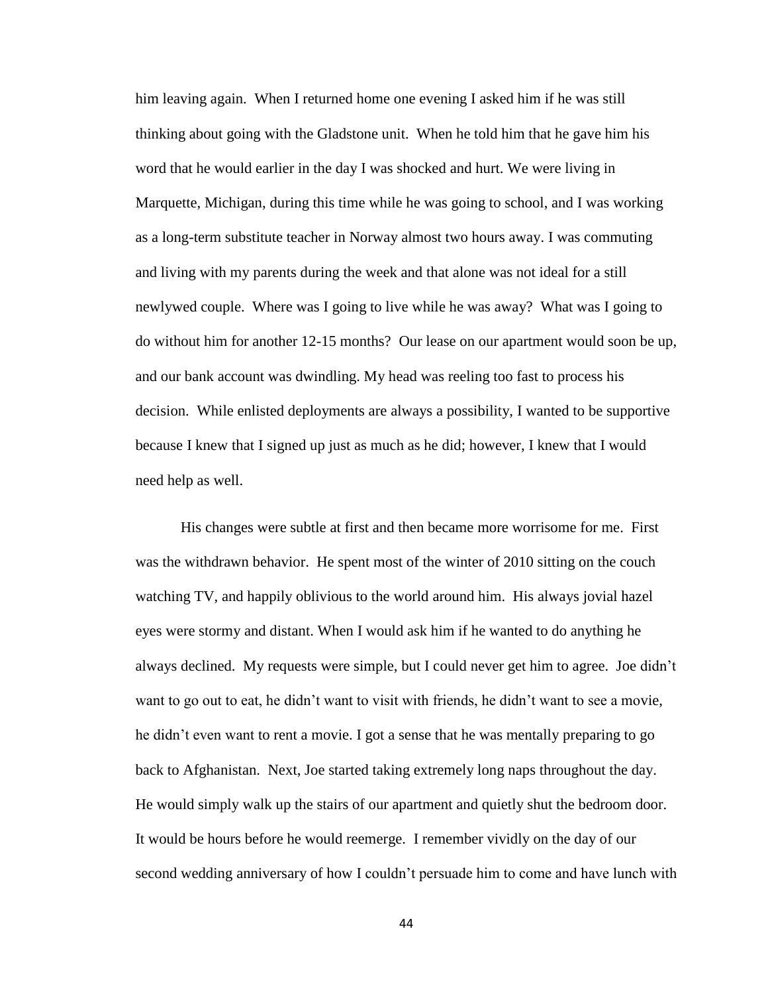him leaving again. When I returned home one evening I asked him if he was still thinking about going with the Gladstone unit. When he told him that he gave him his word that he would earlier in the day I was shocked and hurt. We were living in Marquette, Michigan, during this time while he was going to school, and I was working as a long-term substitute teacher in Norway almost two hours away. I was commuting and living with my parents during the week and that alone was not ideal for a still newlywed couple. Where was I going to live while he was away? What was I going to do without him for another 12-15 months? Our lease on our apartment would soon be up, and our bank account was dwindling. My head was reeling too fast to process his decision. While enlisted deployments are always a possibility, I wanted to be supportive because I knew that I signed up just as much as he did; however, I knew that I would need help as well.

His changes were subtle at first and then became more worrisome for me. First was the withdrawn behavior. He spent most of the winter of 2010 sitting on the couch watching TV, and happily oblivious to the world around him. His always jovial hazel eyes were stormy and distant. When I would ask him if he wanted to do anything he always declined. My requests were simple, but I could never get him to agree. Joe didn't want to go out to eat, he didn't want to visit with friends, he didn't want to see a movie, he didn't even want to rent a movie. I got a sense that he was mentally preparing to go back to Afghanistan. Next, Joe started taking extremely long naps throughout the day. He would simply walk up the stairs of our apartment and quietly shut the bedroom door. It would be hours before he would reemerge. I remember vividly on the day of our second wedding anniversary of how I couldn't persuade him to come and have lunch with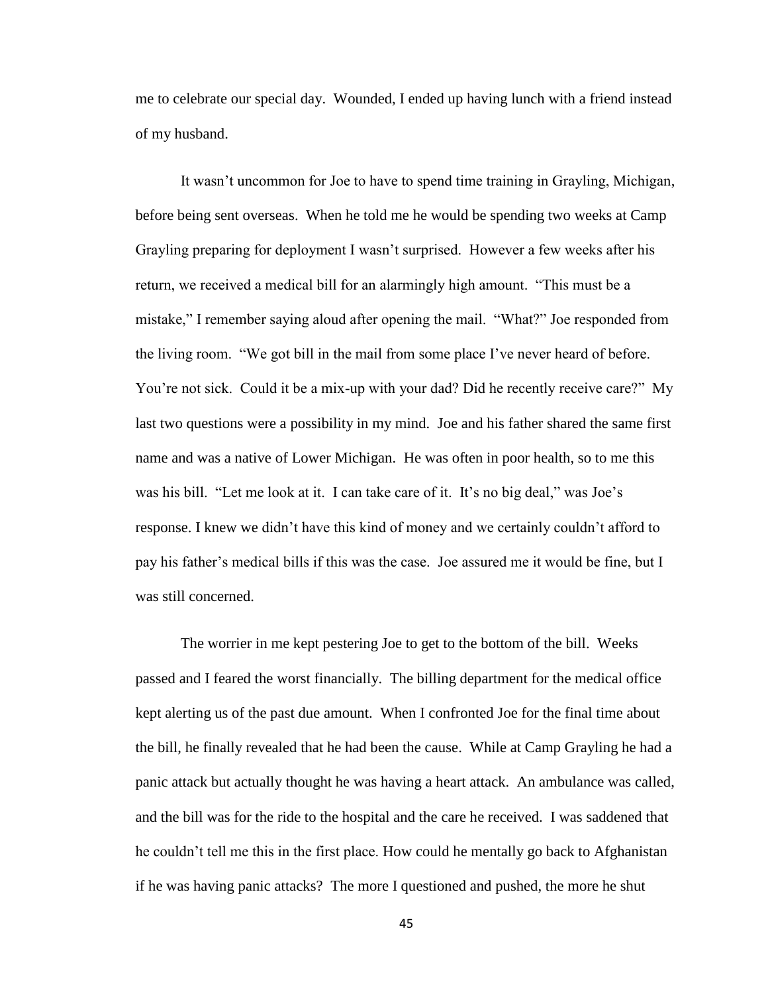me to celebrate our special day. Wounded, I ended up having lunch with a friend instead of my husband.

It wasn't uncommon for Joe to have to spend time training in Grayling, Michigan, before being sent overseas. When he told me he would be spending two weeks at Camp Grayling preparing for deployment I wasn't surprised. However a few weeks after his return, we received a medical bill for an alarmingly high amount. "This must be a mistake," I remember saying aloud after opening the mail. "What?" Joe responded from the living room. "We got bill in the mail from some place I've never heard of before. You're not sick. Could it be a mix-up with your dad? Did he recently receive care?" My last two questions were a possibility in my mind. Joe and his father shared the same first name and was a native of Lower Michigan. He was often in poor health, so to me this was his bill. "Let me look at it. I can take care of it. It's no big deal," was Joe's response. I knew we didn't have this kind of money and we certainly couldn't afford to pay his father's medical bills if this was the case. Joe assured me it would be fine, but I was still concerned.

The worrier in me kept pestering Joe to get to the bottom of the bill. Weeks passed and I feared the worst financially. The billing department for the medical office kept alerting us of the past due amount. When I confronted Joe for the final time about the bill, he finally revealed that he had been the cause. While at Camp Grayling he had a panic attack but actually thought he was having a heart attack. An ambulance was called, and the bill was for the ride to the hospital and the care he received. I was saddened that he couldn't tell me this in the first place. How could he mentally go back to Afghanistan if he was having panic attacks? The more I questioned and pushed, the more he shut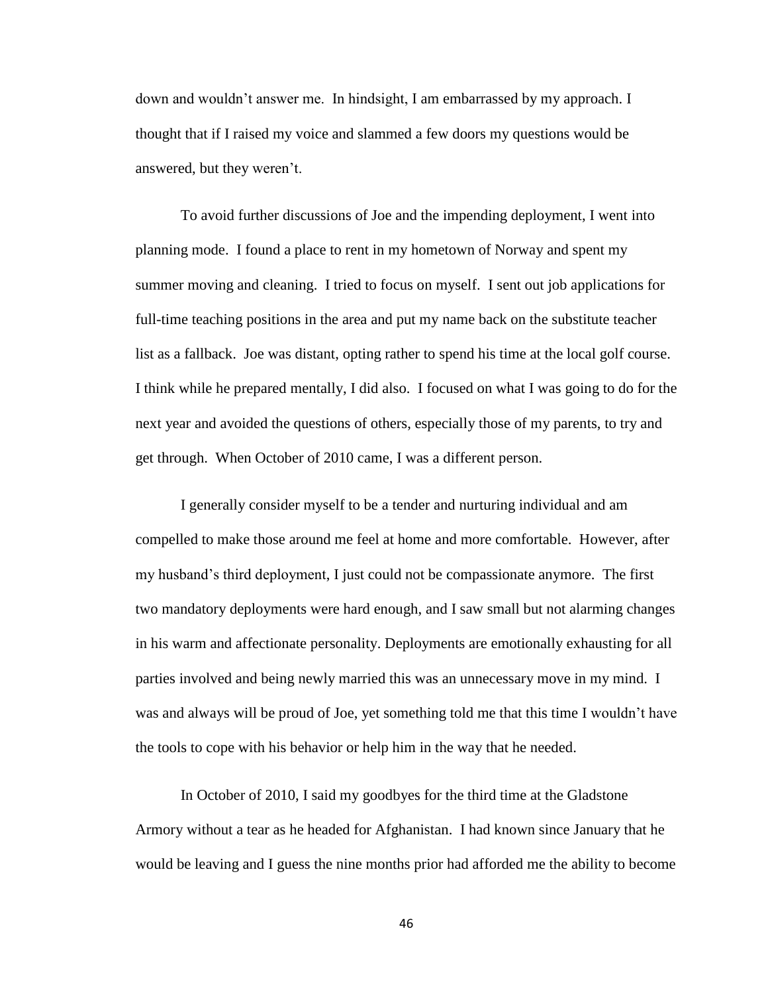down and wouldn't answer me. In hindsight, I am embarrassed by my approach. I thought that if I raised my voice and slammed a few doors my questions would be answered, but they weren't.

To avoid further discussions of Joe and the impending deployment, I went into planning mode. I found a place to rent in my hometown of Norway and spent my summer moving and cleaning. I tried to focus on myself. I sent out job applications for full-time teaching positions in the area and put my name back on the substitute teacher list as a fallback. Joe was distant, opting rather to spend his time at the local golf course. I think while he prepared mentally, I did also. I focused on what I was going to do for the next year and avoided the questions of others, especially those of my parents, to try and get through. When October of 2010 came, I was a different person.

I generally consider myself to be a tender and nurturing individual and am compelled to make those around me feel at home and more comfortable. However, after my husband's third deployment, I just could not be compassionate anymore. The first two mandatory deployments were hard enough, and I saw small but not alarming changes in his warm and affectionate personality. Deployments are emotionally exhausting for all parties involved and being newly married this was an unnecessary move in my mind. I was and always will be proud of Joe, yet something told me that this time I wouldn't have the tools to cope with his behavior or help him in the way that he needed.

In October of 2010, I said my goodbyes for the third time at the Gladstone Armory without a tear as he headed for Afghanistan. I had known since January that he would be leaving and I guess the nine months prior had afforded me the ability to become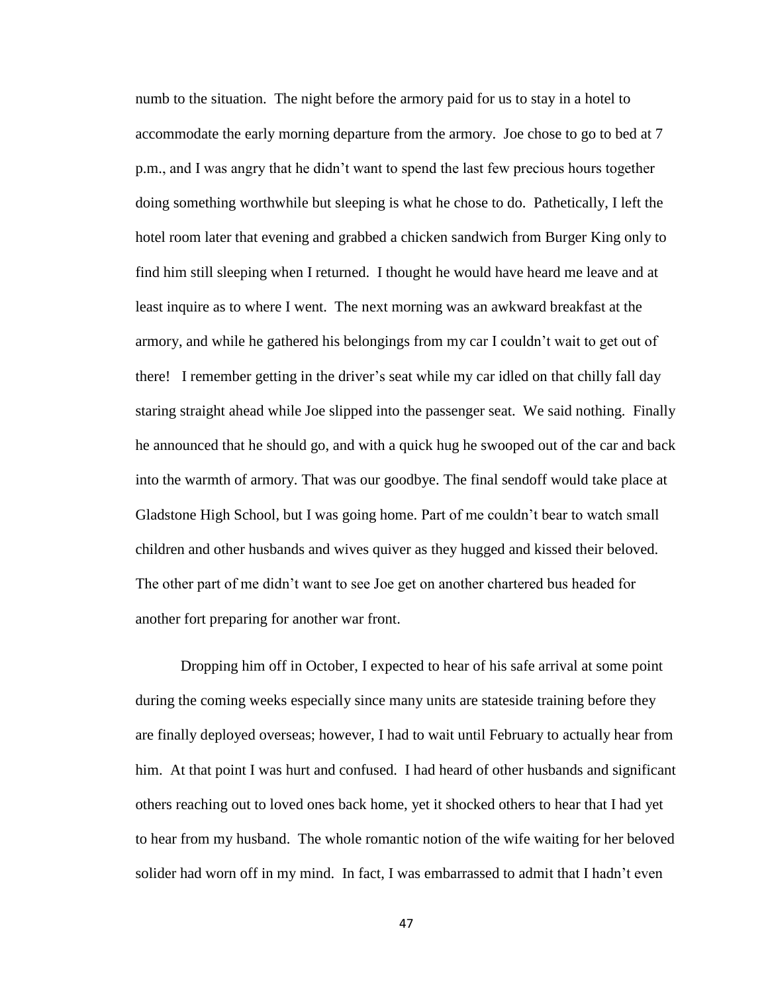numb to the situation. The night before the armory paid for us to stay in a hotel to accommodate the early morning departure from the armory. Joe chose to go to bed at 7 p.m., and I was angry that he didn't want to spend the last few precious hours together doing something worthwhile but sleeping is what he chose to do. Pathetically, I left the hotel room later that evening and grabbed a chicken sandwich from Burger King only to find him still sleeping when I returned. I thought he would have heard me leave and at least inquire as to where I went. The next morning was an awkward breakfast at the armory, and while he gathered his belongings from my car I couldn't wait to get out of there! I remember getting in the driver's seat while my car idled on that chilly fall day staring straight ahead while Joe slipped into the passenger seat. We said nothing. Finally he announced that he should go, and with a quick hug he swooped out of the car and back into the warmth of armory. That was our goodbye. The final sendoff would take place at Gladstone High School, but I was going home. Part of me couldn't bear to watch small children and other husbands and wives quiver as they hugged and kissed their beloved. The other part of me didn't want to see Joe get on another chartered bus headed for another fort preparing for another war front.

Dropping him off in October, I expected to hear of his safe arrival at some point during the coming weeks especially since many units are stateside training before they are finally deployed overseas; however, I had to wait until February to actually hear from him. At that point I was hurt and confused. I had heard of other husbands and significant others reaching out to loved ones back home, yet it shocked others to hear that I had yet to hear from my husband. The whole romantic notion of the wife waiting for her beloved solider had worn off in my mind. In fact, I was embarrassed to admit that I hadn't even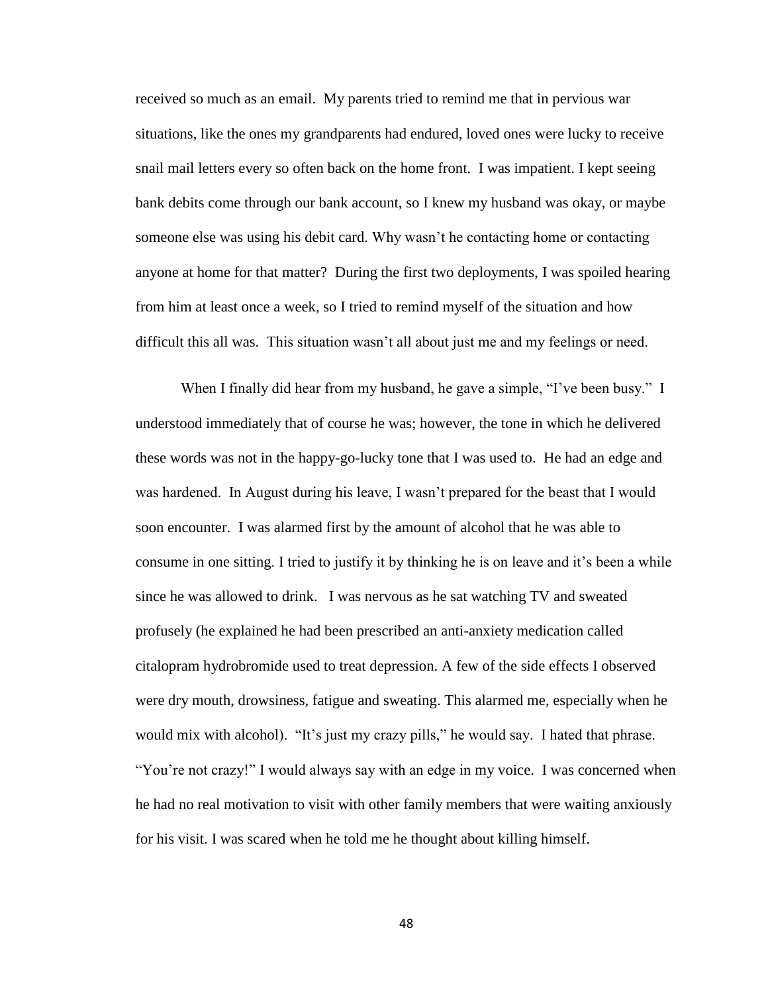received so much as an email. My parents tried to remind me that in pervious war situations, like the ones my grandparents had endured, loved ones were lucky to receive snail mail letters every so often back on the home front. I was impatient. I kept seeing bank debits come through our bank account, so I knew my husband was okay, or maybe someone else was using his debit card. Why wasn't he contacting home or contacting anyone at home for that matter? During the first two deployments, I was spoiled hearing from him at least once a week, so I tried to remind myself of the situation and how difficult this all was. This situation wasn't all about just me and my feelings or need.

When I finally did hear from my husband, he gave a simple, "I've been busy." I understood immediately that of course he was; however, the tone in which he delivered these words was not in the happy-go-lucky tone that I was used to. He had an edge and was hardened. In August during his leave, I wasn't prepared for the beast that I would soon encounter. I was alarmed first by the amount of alcohol that he was able to consume in one sitting. I tried to justify it by thinking he is on leave and it's been a while since he was allowed to drink. I was nervous as he sat watching TV and sweated profusely (he explained he had been prescribed an anti-anxiety medication called citalopram hydrobromide used to treat depression. A few of the side effects I observed were dry mouth, drowsiness, fatigue and sweating. This alarmed me, especially when he would mix with alcohol). "It's just my crazy pills," he would say. I hated that phrase. "You're not crazy!" I would always say with an edge in my voice. I was concerned when he had no real motivation to visit with other family members that were waiting anxiously for his visit. I was scared when he told me he thought about killing himself.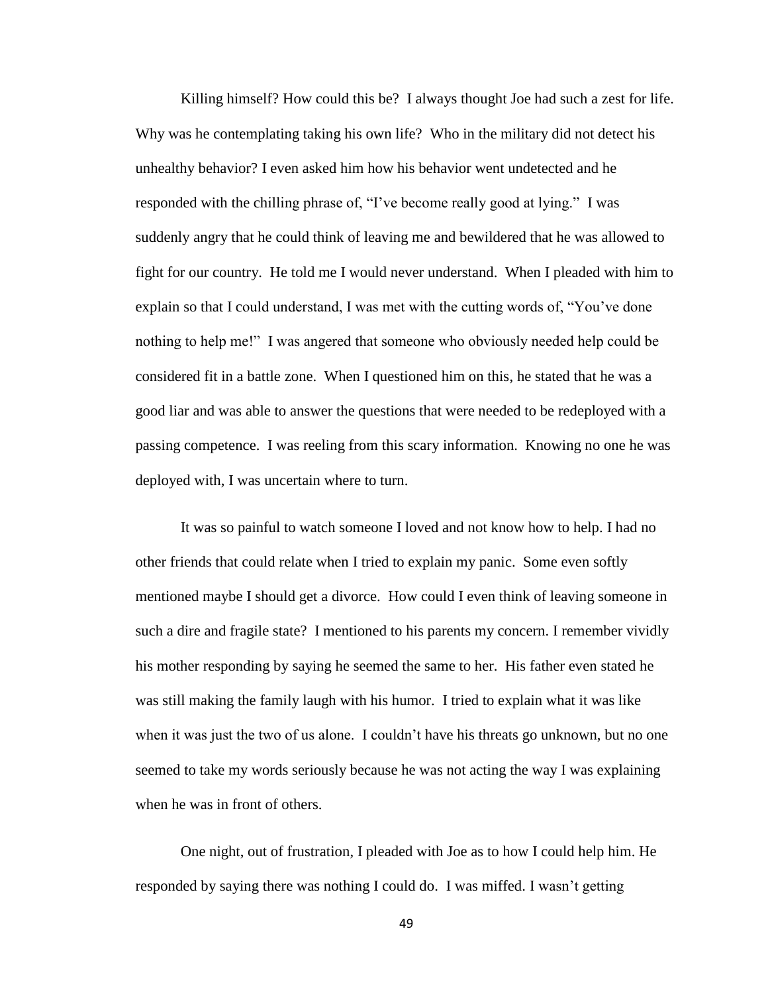Killing himself? How could this be? I always thought Joe had such a zest for life. Why was he contemplating taking his own life? Who in the military did not detect his unhealthy behavior? I even asked him how his behavior went undetected and he responded with the chilling phrase of, "I've become really good at lying." I was suddenly angry that he could think of leaving me and bewildered that he was allowed to fight for our country. He told me I would never understand. When I pleaded with him to explain so that I could understand, I was met with the cutting words of, "You've done nothing to help me!" I was angered that someone who obviously needed help could be considered fit in a battle zone. When I questioned him on this, he stated that he was a good liar and was able to answer the questions that were needed to be redeployed with a passing competence. I was reeling from this scary information. Knowing no one he was deployed with, I was uncertain where to turn.

It was so painful to watch someone I loved and not know how to help. I had no other friends that could relate when I tried to explain my panic. Some even softly mentioned maybe I should get a divorce. How could I even think of leaving someone in such a dire and fragile state? I mentioned to his parents my concern. I remember vividly his mother responding by saying he seemed the same to her. His father even stated he was still making the family laugh with his humor. I tried to explain what it was like when it was just the two of us alone. I couldn't have his threats go unknown, but no one seemed to take my words seriously because he was not acting the way I was explaining when he was in front of others.

One night, out of frustration, I pleaded with Joe as to how I could help him. He responded by saying there was nothing I could do. I was miffed. I wasn't getting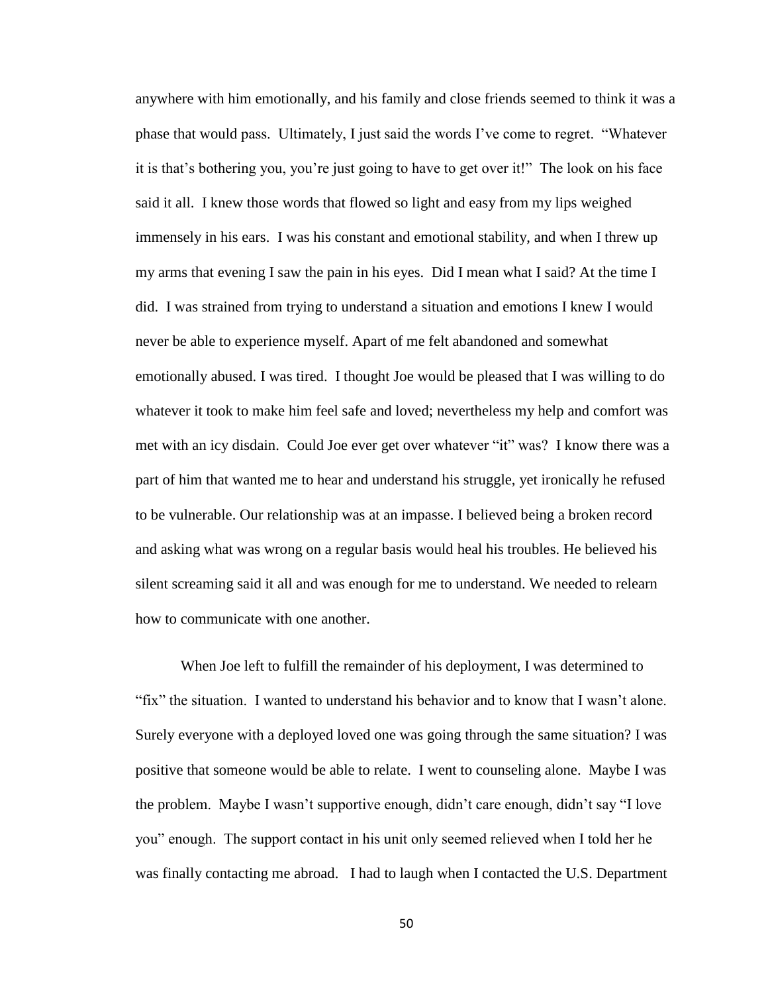anywhere with him emotionally, and his family and close friends seemed to think it was a phase that would pass. Ultimately, I just said the words I've come to regret. "Whatever it is that's bothering you, you're just going to have to get over it!" The look on his face said it all. I knew those words that flowed so light and easy from my lips weighed immensely in his ears. I was his constant and emotional stability, and when I threw up my arms that evening I saw the pain in his eyes. Did I mean what I said? At the time I did. I was strained from trying to understand a situation and emotions I knew I would never be able to experience myself. Apart of me felt abandoned and somewhat emotionally abused. I was tired. I thought Joe would be pleased that I was willing to do whatever it took to make him feel safe and loved; nevertheless my help and comfort was met with an icy disdain. Could Joe ever get over whatever "it" was? I know there was a part of him that wanted me to hear and understand his struggle, yet ironically he refused to be vulnerable. Our relationship was at an impasse. I believed being a broken record and asking what was wrong on a regular basis would heal his troubles. He believed his silent screaming said it all and was enough for me to understand. We needed to relearn how to communicate with one another.

When Joe left to fulfill the remainder of his deployment, I was determined to "fix" the situation. I wanted to understand his behavior and to know that I wasn't alone. Surely everyone with a deployed loved one was going through the same situation? I was positive that someone would be able to relate. I went to counseling alone. Maybe I was the problem. Maybe I wasn't supportive enough, didn't care enough, didn't say "I love you" enough. The support contact in his unit only seemed relieved when I told her he was finally contacting me abroad. I had to laugh when I contacted the U.S. Department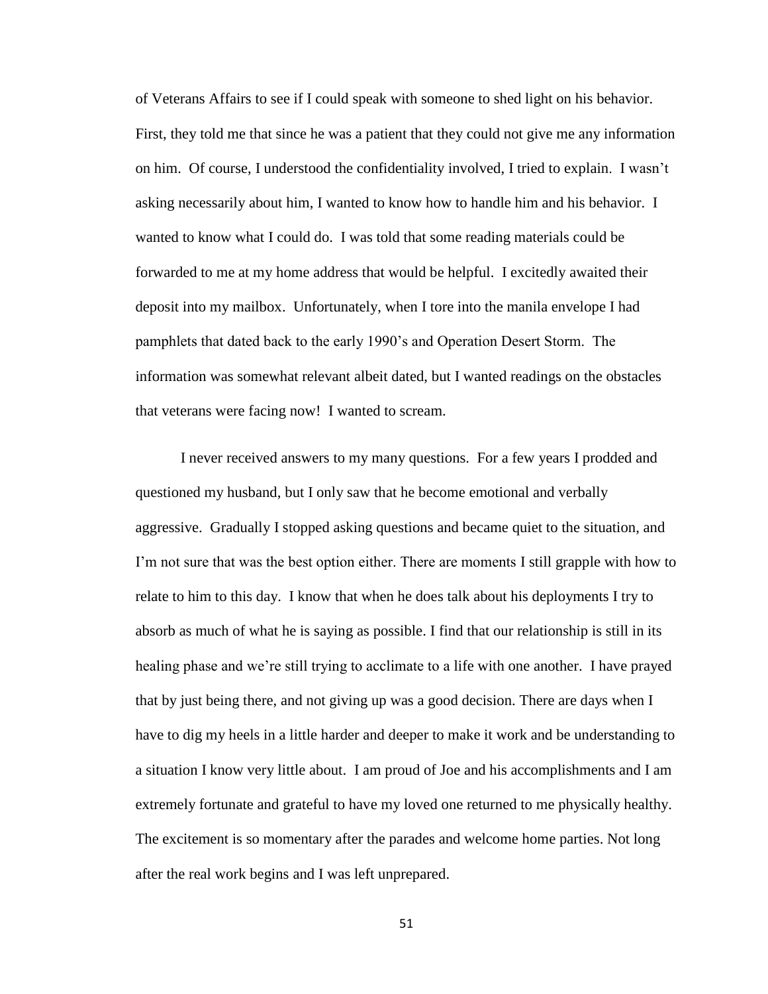of Veterans Affairs to see if I could speak with someone to shed light on his behavior. First, they told me that since he was a patient that they could not give me any information on him. Of course, I understood the confidentiality involved, I tried to explain. I wasn't asking necessarily about him, I wanted to know how to handle him and his behavior. I wanted to know what I could do. I was told that some reading materials could be forwarded to me at my home address that would be helpful. I excitedly awaited their deposit into my mailbox. Unfortunately, when I tore into the manila envelope I had pamphlets that dated back to the early 1990's and Operation Desert Storm. The information was somewhat relevant albeit dated, but I wanted readings on the obstacles that veterans were facing now! I wanted to scream.

I never received answers to my many questions. For a few years I prodded and questioned my husband, but I only saw that he become emotional and verbally aggressive. Gradually I stopped asking questions and became quiet to the situation, and I'm not sure that was the best option either. There are moments I still grapple with how to relate to him to this day. I know that when he does talk about his deployments I try to absorb as much of what he is saying as possible. I find that our relationship is still in its healing phase and we're still trying to acclimate to a life with one another. I have prayed that by just being there, and not giving up was a good decision. There are days when I have to dig my heels in a little harder and deeper to make it work and be understanding to a situation I know very little about. I am proud of Joe and his accomplishments and I am extremely fortunate and grateful to have my loved one returned to me physically healthy. The excitement is so momentary after the parades and welcome home parties. Not long after the real work begins and I was left unprepared.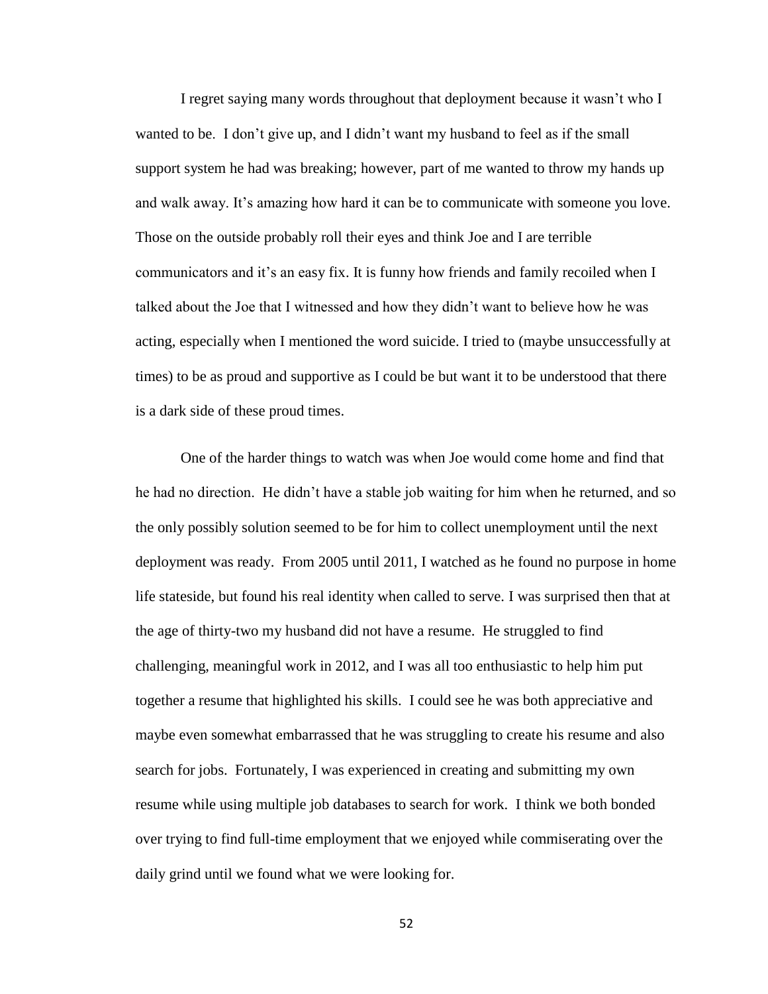I regret saying many words throughout that deployment because it wasn't who I wanted to be. I don't give up, and I didn't want my husband to feel as if the small support system he had was breaking; however, part of me wanted to throw my hands up and walk away. It's amazing how hard it can be to communicate with someone you love. Those on the outside probably roll their eyes and think Joe and I are terrible communicators and it's an easy fix. It is funny how friends and family recoiled when I talked about the Joe that I witnessed and how they didn't want to believe how he was acting, especially when I mentioned the word suicide. I tried to (maybe unsuccessfully at times) to be as proud and supportive as I could be but want it to be understood that there is a dark side of these proud times.

One of the harder things to watch was when Joe would come home and find that he had no direction. He didn't have a stable job waiting for him when he returned, and so the only possibly solution seemed to be for him to collect unemployment until the next deployment was ready. From 2005 until 2011, I watched as he found no purpose in home life stateside, but found his real identity when called to serve. I was surprised then that at the age of thirty-two my husband did not have a resume. He struggled to find challenging, meaningful work in 2012, and I was all too enthusiastic to help him put together a resume that highlighted his skills. I could see he was both appreciative and maybe even somewhat embarrassed that he was struggling to create his resume and also search for jobs. Fortunately, I was experienced in creating and submitting my own resume while using multiple job databases to search for work. I think we both bonded over trying to find full-time employment that we enjoyed while commiserating over the daily grind until we found what we were looking for.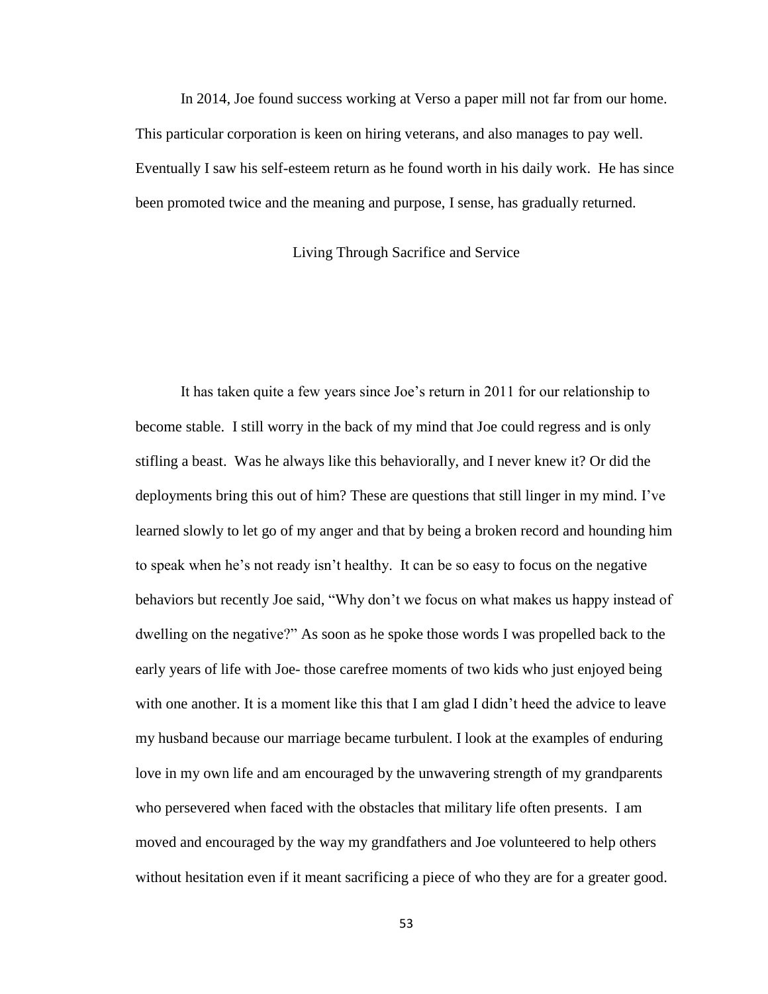In 2014, Joe found success working at Verso a paper mill not far from our home. This particular corporation is keen on hiring veterans, and also manages to pay well. Eventually I saw his self-esteem return as he found worth in his daily work. He has since been promoted twice and the meaning and purpose, I sense, has gradually returned.

#### Living Through Sacrifice and Service

<span id="page-60-0"></span>It has taken quite a few years since Joe's return in 2011 for our relationship to become stable. I still worry in the back of my mind that Joe could regress and is only stifling a beast. Was he always like this behaviorally, and I never knew it? Or did the deployments bring this out of him? These are questions that still linger in my mind. I've learned slowly to let go of my anger and that by being a broken record and hounding him to speak when he's not ready isn't healthy. It can be so easy to focus on the negative behaviors but recently Joe said, "Why don't we focus on what makes us happy instead of dwelling on the negative?" As soon as he spoke those words I was propelled back to the early years of life with Joe- those carefree moments of two kids who just enjoyed being with one another. It is a moment like this that I am glad I didn't heed the advice to leave my husband because our marriage became turbulent. I look at the examples of enduring love in my own life and am encouraged by the unwavering strength of my grandparents who persevered when faced with the obstacles that military life often presents. I am moved and encouraged by the way my grandfathers and Joe volunteered to help others without hesitation even if it meant sacrificing a piece of who they are for a greater good.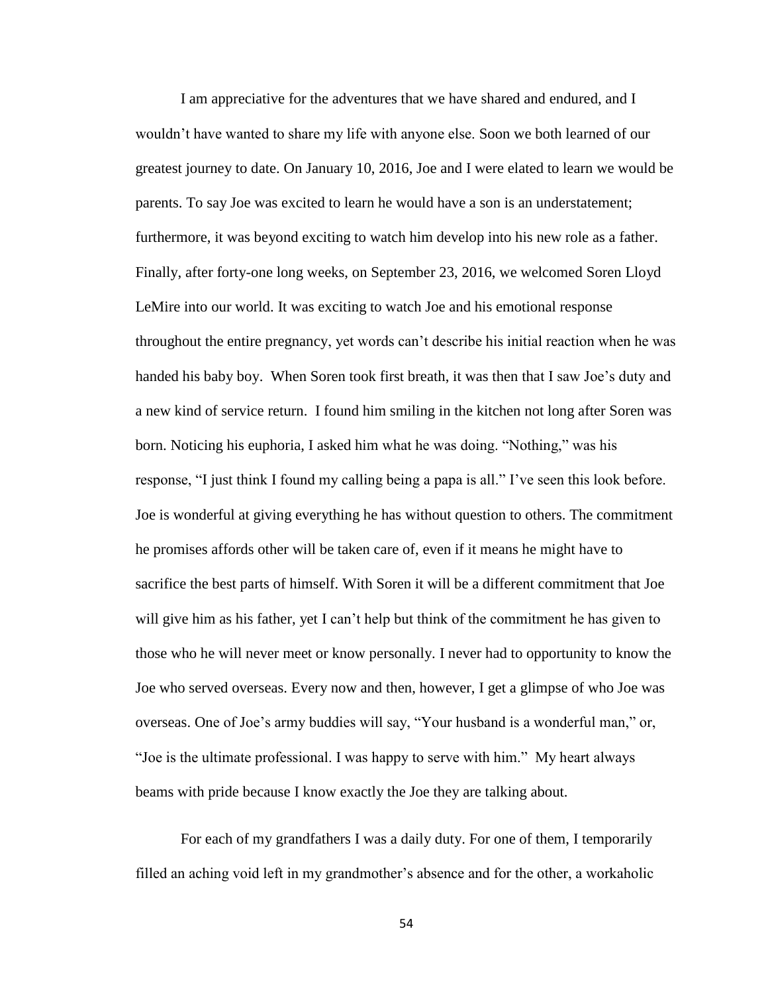I am appreciative for the adventures that we have shared and endured, and I wouldn't have wanted to share my life with anyone else. Soon we both learned of our greatest journey to date. On January 10, 2016, Joe and I were elated to learn we would be parents. To say Joe was excited to learn he would have a son is an understatement; furthermore, it was beyond exciting to watch him develop into his new role as a father. Finally, after forty-one long weeks, on September 23, 2016, we welcomed Soren Lloyd LeMire into our world. It was exciting to watch Joe and his emotional response throughout the entire pregnancy, yet words can't describe his initial reaction when he was handed his baby boy. When Soren took first breath, it was then that I saw Joe's duty and a new kind of service return. I found him smiling in the kitchen not long after Soren was born. Noticing his euphoria, I asked him what he was doing. "Nothing," was his response, "I just think I found my calling being a papa is all." I've seen this look before. Joe is wonderful at giving everything he has without question to others. The commitment he promises affords other will be taken care of, even if it means he might have to sacrifice the best parts of himself. With Soren it will be a different commitment that Joe will give him as his father, yet I can't help but think of the commitment he has given to those who he will never meet or know personally. I never had to opportunity to know the Joe who served overseas. Every now and then, however, I get a glimpse of who Joe was overseas. One of Joe's army buddies will say, "Your husband is a wonderful man," or, "Joe is the ultimate professional. I was happy to serve with him." My heart always beams with pride because I know exactly the Joe they are talking about.

For each of my grandfathers I was a daily duty. For one of them, I temporarily filled an aching void left in my grandmother's absence and for the other, a workaholic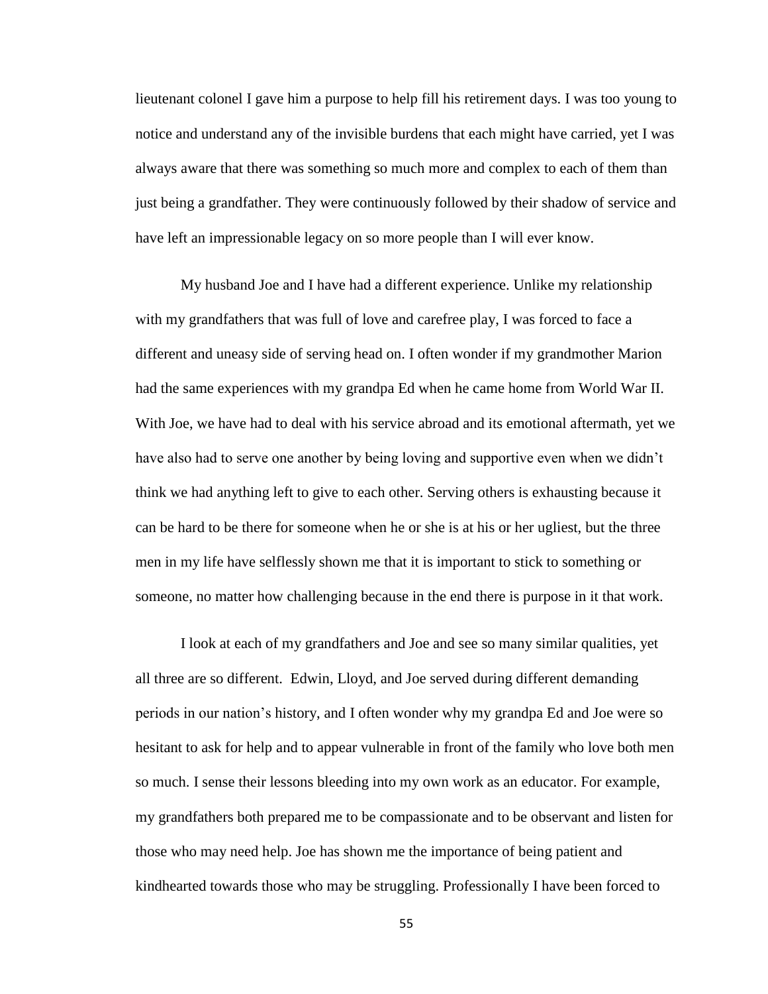lieutenant colonel I gave him a purpose to help fill his retirement days. I was too young to notice and understand any of the invisible burdens that each might have carried, yet I was always aware that there was something so much more and complex to each of them than just being a grandfather. They were continuously followed by their shadow of service and have left an impressionable legacy on so more people than I will ever know.

My husband Joe and I have had a different experience. Unlike my relationship with my grandfathers that was full of love and carefree play, I was forced to face a different and uneasy side of serving head on. I often wonder if my grandmother Marion had the same experiences with my grandpa Ed when he came home from World War II. With Joe, we have had to deal with his service abroad and its emotional aftermath, yet we have also had to serve one another by being loving and supportive even when we didn't think we had anything left to give to each other. Serving others is exhausting because it can be hard to be there for someone when he or she is at his or her ugliest, but the three men in my life have selflessly shown me that it is important to stick to something or someone, no matter how challenging because in the end there is purpose in it that work.

I look at each of my grandfathers and Joe and see so many similar qualities, yet all three are so different. Edwin, Lloyd, and Joe served during different demanding periods in our nation's history, and I often wonder why my grandpa Ed and Joe were so hesitant to ask for help and to appear vulnerable in front of the family who love both men so much. I sense their lessons bleeding into my own work as an educator. For example, my grandfathers both prepared me to be compassionate and to be observant and listen for those who may need help. Joe has shown me the importance of being patient and kindhearted towards those who may be struggling. Professionally I have been forced to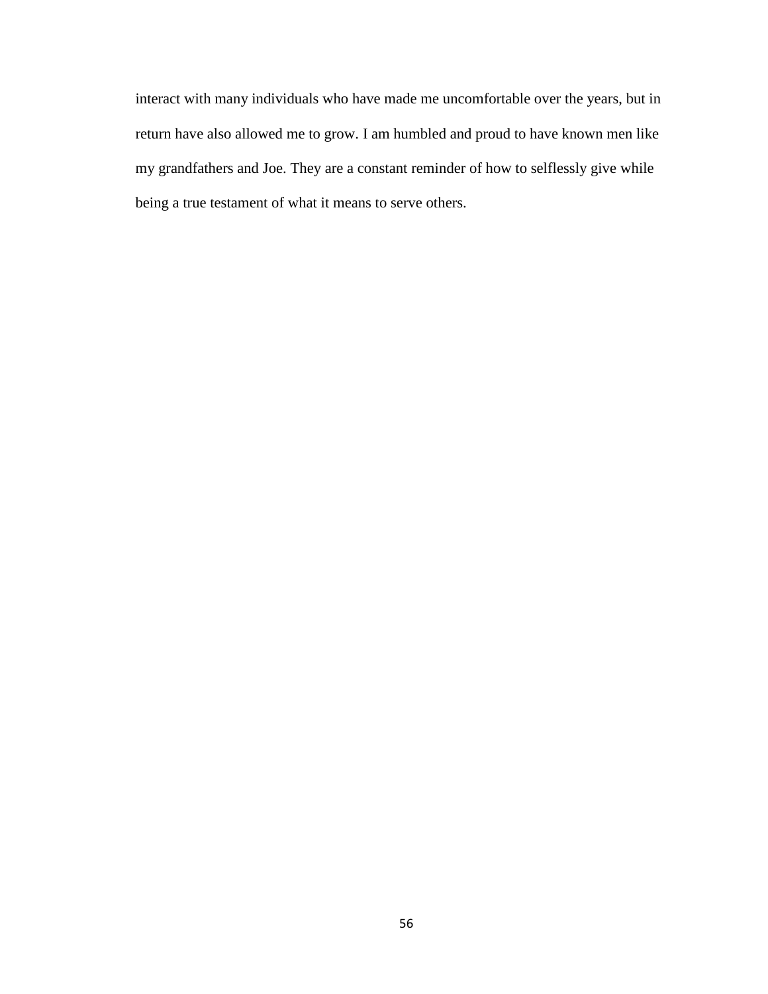interact with many individuals who have made me uncomfortable over the years, but in return have also allowed me to grow. I am humbled and proud to have known men like my grandfathers and Joe. They are a constant reminder of how to selflessly give while being a true testament of what it means to serve others.